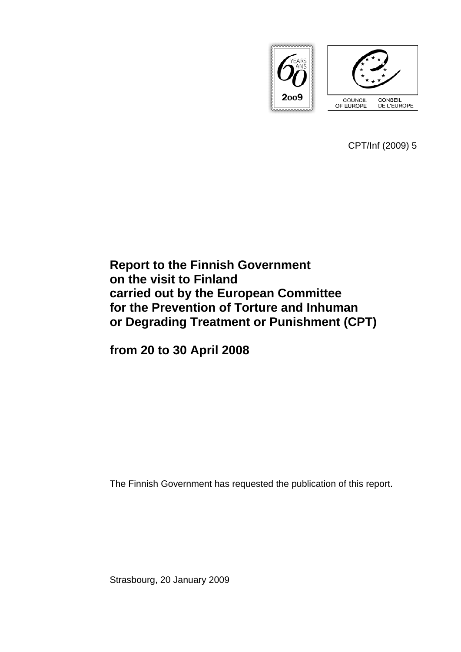

CPT/Inf (2009) 5

# **Report to the Finnish Government on the visit to Finland carried out by the European Committee for the Prevention of Torture and Inhuman or Degrading Treatment or Punishment (CPT)**

**from 20 to 30 April 2008** 

The Finnish Government has requested the publication of this report.

Strasbourg, 20 January 2009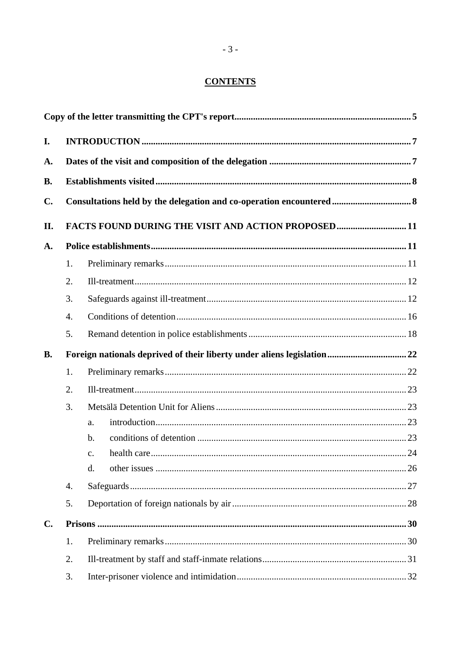# **CONTENTS**

| I.             |    |                                                                         |  |
|----------------|----|-------------------------------------------------------------------------|--|
| A.             |    |                                                                         |  |
| <b>B.</b>      |    |                                                                         |  |
| $\mathbf{C}$ . |    |                                                                         |  |
| II.            |    | FACTS FOUND DURING THE VISIT AND ACTION PROPOSED11                      |  |
| A.             |    |                                                                         |  |
|                | 1. |                                                                         |  |
|                | 2. |                                                                         |  |
|                | 3. |                                                                         |  |
|                | 4. |                                                                         |  |
|                | 5. |                                                                         |  |
| <b>B.</b>      |    | Foreign nationals deprived of their liberty under aliens legislation 22 |  |
|                | 1. |                                                                         |  |
|                | 2. |                                                                         |  |
|                | 3. |                                                                         |  |
|                |    | a.                                                                      |  |
|                |    | b.                                                                      |  |
|                |    | $\mathcal{C}$ .                                                         |  |
|                |    | d.                                                                      |  |
|                | 4. |                                                                         |  |
|                | 5. |                                                                         |  |
| $\mathbf{C}$ . |    |                                                                         |  |
|                | 1. |                                                                         |  |
|                | 2. |                                                                         |  |
|                | 3. |                                                                         |  |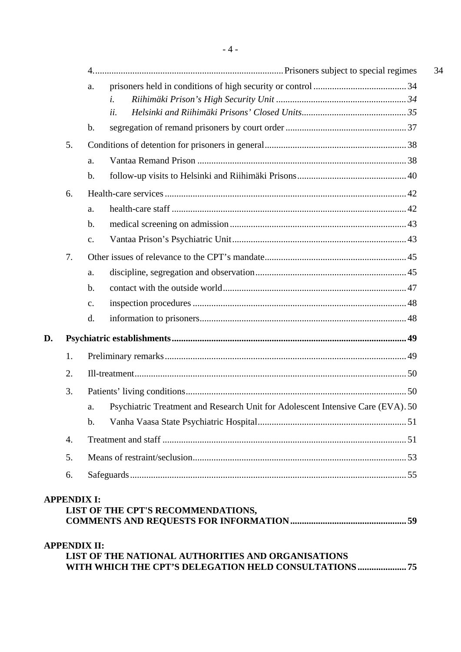|    |    | a.                                                                                    |  |  |  |
|----|----|---------------------------------------------------------------------------------------|--|--|--|
|    |    | i.                                                                                    |  |  |  |
|    |    | ii.                                                                                   |  |  |  |
|    |    | b.                                                                                    |  |  |  |
|    | 5. |                                                                                       |  |  |  |
|    |    | a.                                                                                    |  |  |  |
|    |    | b.                                                                                    |  |  |  |
|    | 6. |                                                                                       |  |  |  |
|    |    | a.                                                                                    |  |  |  |
|    |    | b.                                                                                    |  |  |  |
|    |    | c.                                                                                    |  |  |  |
|    | 7. |                                                                                       |  |  |  |
|    |    | a.                                                                                    |  |  |  |
|    |    | b.                                                                                    |  |  |  |
|    |    | c.                                                                                    |  |  |  |
|    |    | d.                                                                                    |  |  |  |
| D. |    |                                                                                       |  |  |  |
|    | 1. |                                                                                       |  |  |  |
|    | 2. |                                                                                       |  |  |  |
|    | 3. |                                                                                       |  |  |  |
|    |    | Psychiatric Treatment and Research Unit for Adolescent Intensive Care (EVA). 50<br>a. |  |  |  |
|    |    | $\mathbf b$ .                                                                         |  |  |  |
|    | 4. |                                                                                       |  |  |  |
|    | 5. |                                                                                       |  |  |  |
|    | 6. |                                                                                       |  |  |  |
|    |    |                                                                                       |  |  |  |

#### **[APPENDIX II:](#page-74-0)  [LIST OF THE NATIONAL AUTHORITIES AND ORGANISATIONS](#page-74-0)  [WITH WHICH THE CPT'S DELEGATION HELD CONSULTATIONS..................... 75](#page-74-0)**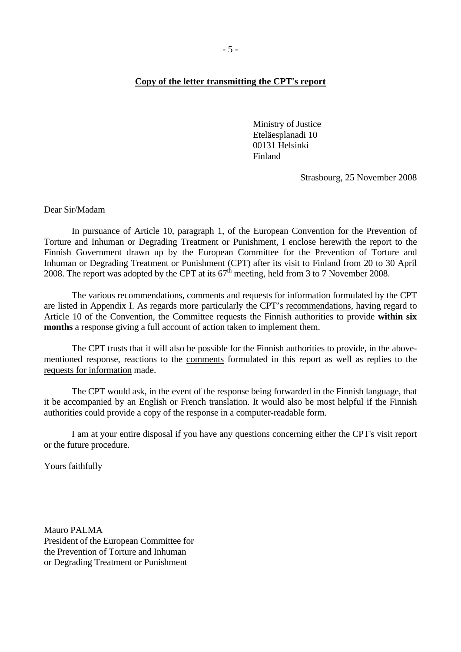#### <span id="page-4-0"></span>**Copy of the letter transmitting the CPT's report**

Ministry of Justice Eteläesplanadi 10 00131 Helsinki Finland

Strasbourg, 25 November 2008

Dear Sir/Madam

 In pursuance of Article 10, paragraph 1, of the European Convention for the Prevention of Torture and Inhuman or Degrading Treatment or Punishment, I enclose herewith the report to the Finnish Government drawn up by the European Committee for the Prevention of Torture and Inhuman or Degrading Treatment or Punishment (CPT) after its visit to Finland from 20 to 30 April 2008. The report was adopted by the CPT at its  $67<sup>th</sup>$  meeting, held from 3 to 7 November 2008.

The various recommendations, comments and requests for information formulated by the CPT are listed in Appendix I. As regards more particularly the CPT's recommendations, having regard to Article 10 of the Convention, the Committee requests the Finnish authorities to provide **within six months** a response giving a full account of action taken to implement them.

The CPT trusts that it will also be possible for the Finnish authorities to provide, in the abovementioned response, reactions to the comments formulated in this report as well as replies to the requests for information made.

The CPT would ask, in the event of the response being forwarded in the Finnish language, that it be accompanied by an English or French translation. It would also be most helpful if the Finnish authorities could provide a copy of the response in a computer-readable form.

 I am at your entire disposal if you have any questions concerning either the CPT's visit report or the future procedure.

Yours faithfully

Mauro PALMA President of the European Committee for the Prevention of Torture and Inhuman or Degrading Treatment or Punishment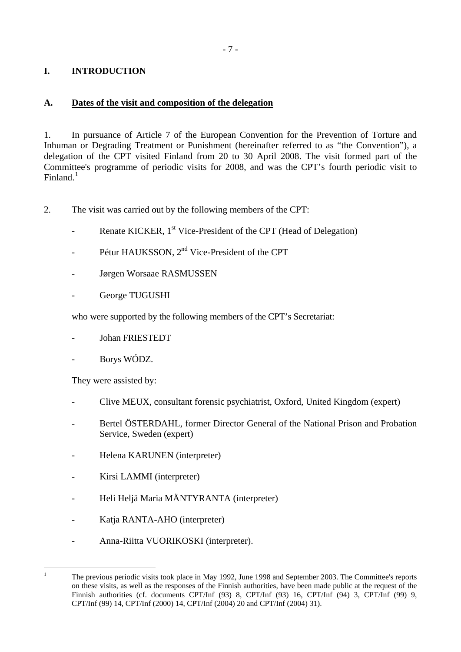# <span id="page-6-0"></span>**I. INTRODUCTION**

#### **A. Dates of the visit and composition of the delegation**

1. In pursuance of Article 7 of the European Convention for the Prevention of Torture and Inhuman or Degrading Treatment or Punishment (hereinafter referred to as "the Convention"), a delegation of the CPT visited Finland from 20 to 30 April 2008. The visit formed part of the Committee's programme of periodic visits for 2008, and was the CPT's fourth periodic visit to Finland. $<sup>1</sup>$  $<sup>1</sup>$  $<sup>1</sup>$ </sup>

- 2. The visit was carried out by the following members of the CPT:
	- Renate KICKER, 1<sup>st</sup> Vice-President of the CPT (Head of Delegation)
	- Pétur HAUKSSON, 2<sup>nd</sup> Vice-President of the CPT
	- Jørgen Worsaae RASMUSSEN
	- George TUGUSHI

who were supported by the following members of the CPT's Secretariat:

- Johan FRIESTEDT
- Borys WÓDZ.

They were assisted by:

<span id="page-6-1"></span> $\frac{1}{1}$ 

- Clive MEUX, consultant forensic psychiatrist, Oxford, United Kingdom (expert)
- Bertel ÖSTERDAHL, former Director General of the National Prison and Probation Service, Sweden (expert)
- Helena KARUNEN (interpreter)
- Kirsi LAMMI (interpreter)
- Heli Heljä Maria MÄNTYRANTA (interpreter)
- Katja RANTA-AHO (interpreter)
- Anna-Riitta VUORIKOSKI (interpreter).

The previous periodic visits took place in May 1992, June 1998 and September 2003. The Committee's reports on these visits, as well as the responses of the Finnish authorities, have been made public at the request of the Finnish authorities (cf. documents CPT/Inf (93) 8, CPT/Inf (93) 16, CPT/Inf (94) 3, CPT/Inf (99) 9, CPT/Inf (99) 14, CPT/Inf (2000) 14, CPT/Inf (2004) 20 and CPT/Inf (2004) 31).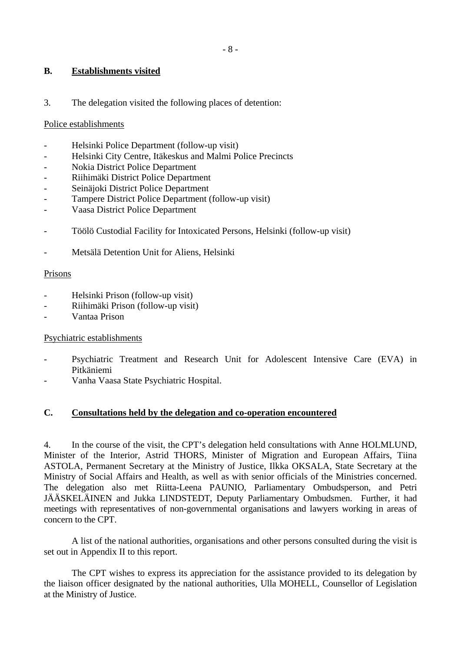#### <span id="page-7-0"></span>**B. Establishments visited**

3. The delegation visited the following places of detention:

#### Police establishments

- Helsinki Police Department (follow-up visit)
- Helsinki City Centre, Itäkeskus and Malmi Police Precincts
- Nokia District Police Department
- Riihimäki District Police Department
- Seinäjoki District Police Department
- Tampere District Police Department (follow-up visit)
- Vaasa District Police Department
- Töölö Custodial Facility for Intoxicated Persons, Helsinki (follow-up visit)
- Metsälä Detention Unit for Aliens, Helsinki

#### Prisons

- Helsinki Prison (follow-up visit)
- Riihimäki Prison (follow-up visit)
- Vantaa Prison

Psychiatric establishments

- Psychiatric Treatment and Research Unit for Adolescent Intensive Care (EVA) in Pitkäniemi
- Vanha Vaasa State Psychiatric Hospital.

## **C. Consultations held by the delegation and co-operation encountered**

4. In the course of the visit, the CPT's delegation held consultations with Anne HOLMLUND, Minister of the Interior, Astrid THORS, Minister of Migration and European Affairs, Tiina ASTOLA, Permanent Secretary at the Ministry of Justice, Ilkka OKSALA, State Secretary at the Ministry of Social Affairs and Health, as well as with senior officials of the Ministries concerned. The delegation also met Riitta-Leena PAUNIO, Parliamentary Ombudsperson, and Petri JÄÄSKELÄINEN and Jukka LINDSTEDT, Deputy Parliamentary Ombudsmen. Further, it had meetings with representatives of non-governmental organisations and lawyers working in areas of concern to the CPT.

 A list of the national authorities, organisations and other persons consulted during the visit is set out in Appendix II to this report.

 The CPT wishes to express its appreciation for the assistance provided to its delegation by the liaison officer designated by the national authorities, Ulla MOHELL, Counsellor of Legislation at the Ministry of Justice.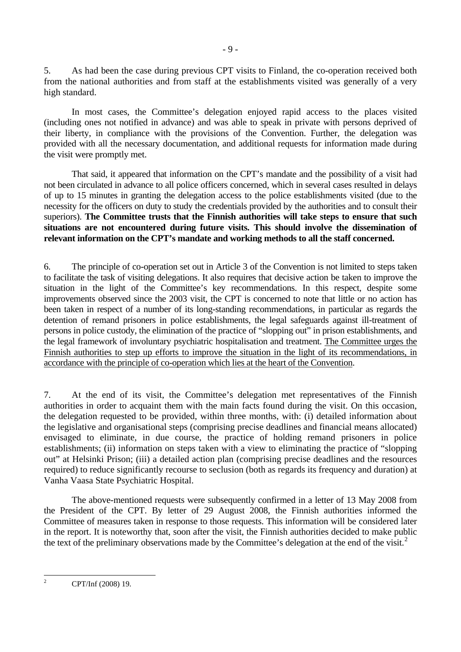5. As had been the case during previous CPT visits to Finland, the co-operation received both from the national authorities and from staff at the establishments visited was generally of a very high standard.

 In most cases, the Committee's delegation enjoyed rapid access to the places visited (including ones not notified in advance) and was able to speak in private with persons deprived of their liberty, in compliance with the provisions of the Convention. Further, the delegation was provided with all the necessary documentation, and additional requests for information made during the visit were promptly met.

 That said, it appeared that information on the CPT's mandate and the possibility of a visit had not been circulated in advance to all police officers concerned, which in several cases resulted in delays of up to 15 minutes in granting the delegation access to the police establishments visited (due to the necessity for the officers on duty to study the credentials provided by the authorities and to consult their superiors). **The Committee trusts that the Finnish authorities will take steps to ensure that such situations are not encountered during future visits. This should involve the dissemination of relevant information on the CPT's mandate and working methods to all the staff concerned.**

6. The principle of co-operation set out in Article 3 of the Convention is not limited to steps taken to facilitate the task of visiting delegations. It also requires that decisive action be taken to improve the situation in the light of the Committee's key recommendations. In this respect, despite some improvements observed since the 2003 visit, the CPT is concerned to note that little or no action has been taken in respect of a number of its long-standing recommendations, in particular as regards the detention of remand prisoners in police establishments, the legal safeguards against ill-treatment of persons in police custody, the elimination of the practice of "slopping out" in prison establishments, and the legal framework of involuntary psychiatric hospitalisation and treatment. The Committee urges the Finnish authorities to step up efforts to improve the situation in the light of its recommendations, in accordance with the principle of co-operation which lies at the heart of the Convention.

7. At the end of its visit, the Committee's delegation met representatives of the Finnish authorities in order to acquaint them with the main facts found during the visit. On this occasion, the delegation requested to be provided, within three months, with: (i) detailed information about the legislative and organisational steps (comprising precise deadlines and financial means allocated) envisaged to eliminate, in due course, the practice of holding remand prisoners in police establishments; (ii) information on steps taken with a view to eliminating the practice of "slopping out" at Helsinki Prison; (iii) a detailed action plan (comprising precise deadlines and the resources required) to reduce significantly recourse to seclusion (both as regards its frequency and duration) at Vanha Vaasa State Psychiatric Hospital.

 The above-mentioned requests were subsequently confirmed in a letter of 13 May 2008 from the President of the CPT. By letter of 29 August 2008, the Finnish authorities informed the Committee of measures taken in response to those requests. This information will be considered later in the report. It is noteworthy that, soon after the visit, the Finnish authorities decided to make public the text of the preliminary observations made by the Committee's delegation at the end of the visit.<sup>[2](#page-8-0)</sup>

CPT/Inf (2008) 19.

<span id="page-8-0"></span> $\frac{1}{2}$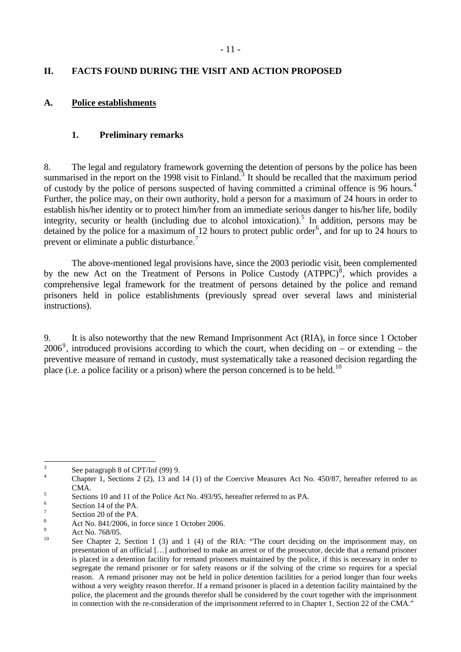## <span id="page-10-0"></span>**II. FACTS FOUND DURING THE VISIT AND ACTION PROPOSED**

#### **A. Police establishments**

#### **1. Preliminary remarks**

8. The legal and regulatory framework governing the detention of persons by the police has been summarised in the report on the 1998 visit to Finland.<sup>[3](#page-10-1)</sup> It should be recalled that the maximum period of custody by the police of persons suspected of having committed a criminal offence is 96 hours.[4](#page-10-2) Further, the police may, on their own authority, hold a person for a maximum of 24 hours in order to establish his/her identity or to protect him/her from an immediate serious danger to his/her life, bodily integrity, security or health (including due to alcohol intoxication).<sup>[5](#page-10-3)</sup> In addition, persons may be detained by the police for a maximum of 12 hours to protect public order<sup>[6](#page-10-4)</sup>, and for up to 24 hours to prevent or eliminate a public disturbance.[7](#page-10-5)

 The above-mentioned legal provisions have, since the 2003 periodic visit, been complemented by the new Act on the Treatment of Persons in Police Custody  $(ATPPC)^8$  $(ATPPC)^8$ , which provides a comprehensive legal framework for the treatment of persons detained by the police and remand prisoners held in police establishments (previously spread over several laws and ministerial instructions).

9. It is also noteworthy that the new Remand Imprisonment Act (RIA), in force since 1 October 2006<sup>[9](#page-10-7)</sup>, introduced provisions according to which the court, when deciding on – or extending – the preventive measure of remand in custody, must systematically take a reasoned decision regarding the place (i.e. a police facility or a prison) where the person concerned is to be held.<sup>[10](#page-10-8)</sup>

<sup>&</sup>lt;sup>2</sup><br>3 See paragraph 8 of CPT/Inf (99) 9.

<span id="page-10-2"></span><span id="page-10-1"></span><sup>4</sup> Chapter 1, Sections 2 (2), 13 and 14 (1) of the Coercive Measures Act No. 450/87, hereafter referred to as 5 CMA.

Sections 10 and 11 of the Police Act No. 493/95, hereafter referred to as PA.

<span id="page-10-4"></span><span id="page-10-3"></span><sup>6</sup> Section 14 of the PA.

<span id="page-10-5"></span><sup>7</sup> Section 20 of the PA.

<span id="page-10-6"></span><sup>8</sup> Act No. 841/2006, in force since 1 October 2006.

<span id="page-10-8"></span><span id="page-10-7"></span><sup>9</sup>  $\frac{9}{10}$  Act No. 768/05.

See Chapter 2, Section 1 (3) and 1 (4) of the RIA: "The court deciding on the imprisonment may, on presentation of an official […] authorised to make an arrest or of the prosecutor, decide that a remand prisoner is placed in a detention facility for remand prisoners maintained by the police, if this is necessary in order to segregate the remand prisoner or for safety reasons or if the solving of the crime so requires for a special reason. A remand prisoner may not be held in police detention facilities for a period longer than four weeks without a very weighty reason therefor. If a remand prisoner is placed in a detention facility maintained by the police, the placement and the grounds therefor shall be considered by the court together with the imprisonment in connection with the re-consideration of the imprisonment referred to in Chapter 1, Section 22 of the CMA."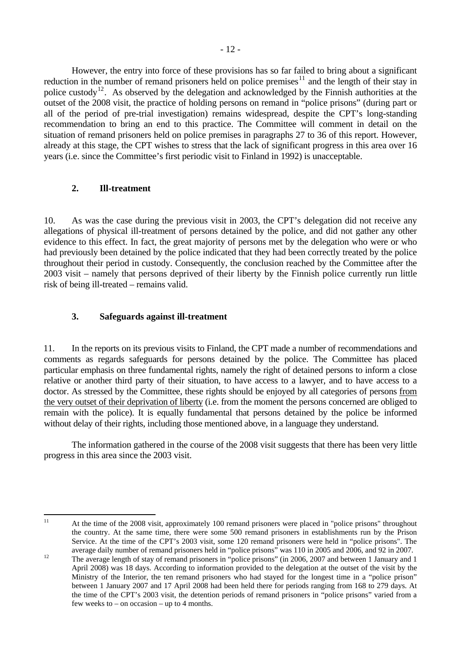<span id="page-11-0"></span> However, the entry into force of these provisions has so far failed to bring about a significant reduction in the number of remand prisoners held on police premises<sup>[11](#page-11-1)</sup> and the length of their stay in police custody<sup>[12](#page-11-2)</sup>. As observed by the delegation and acknowledged by the Finnish authorities at the outset of the 2008 visit, the practice of holding persons on remand in "police prisons" (during part or all of the period of pre-trial investigation) remains widespread, despite the CPT's long-standing recommendation to bring an end to this practice. The Committee will comment in detail on the situation of remand prisoners held on police premises in paragraphs 27 to 36 of this report. However, already at this stage, the CPT wishes to stress that the lack of significant progress in this area over 16 years (i.e. since the Committee's first periodic visit to Finland in 1992) is unacceptable.

## **2. Ill-treatment**

10. As was the case during the previous visit in 2003, the CPT's delegation did not receive any allegations of physical ill-treatment of persons detained by the police, and did not gather any other evidence to this effect. In fact, the great majority of persons met by the delegation who were or who had previously been detained by the police indicated that they had been correctly treated by the police throughout their period in custody. Consequently, the conclusion reached by the Committee after the 2003 visit – namely that persons deprived of their liberty by the Finnish police currently run little risk of being ill-treated – remains valid.

# **3. Safeguards against ill-treatment**

11. In the reports on its previous visits to Finland, the CPT made a number of recommendations and comments as regards safeguards for persons detained by the police. The Committee has placed particular emphasis on three fundamental rights, namely the right of detained persons to inform a close relative or another third party of their situation, to have access to a lawyer, and to have access to a doctor. As stressed by the Committee, these rights should be enjoyed by all categories of persons from the very outset of their deprivation of liberty (i.e. from the moment the persons concerned are obliged to remain with the police). It is equally fundamental that persons detained by the police be informed without delay of their rights, including those mentioned above, in a language they understand.

 The information gathered in the course of the 2008 visit suggests that there has been very little progress in this area since the 2003 visit.

<span id="page-11-1"></span> $11$ 

<sup>11</sup> At the time of the 2008 visit, approximately 100 remand prisoners were placed in "police prisons" throughout the country. At the same time, there were some 500 remand prisoners in establishments run by the Prison Service. At the time of the CPT's 2003 visit, some 120 remand prisoners were held in "police prisons". The

<span id="page-11-2"></span>average daily number of remand prisoners held in "police prisons" was 110 in 2005 and 2006, and 92 in 2007.<br>The average length of stay of remand prisoners in "police prisons" (in 2006, 2007 and between 1 January and 1 April 2008) was 18 days. According to information provided to the delegation at the outset of the visit by the Ministry of the Interior, the ten remand prisoners who had stayed for the longest time in a "police prison" between 1 January 2007 and 17 April 2008 had been held there for periods ranging from 168 to 279 days. At the time of the CPT's 2003 visit, the detention periods of remand prisoners in "police prisons" varied from a few weeks to – on occasion – up to 4 months.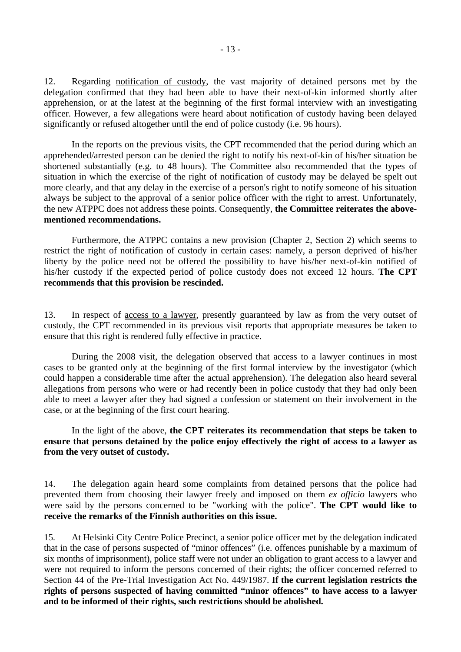12. Regarding notification of custody, the vast majority of detained persons met by the delegation confirmed that they had been able to have their next-of-kin informed shortly after apprehension, or at the latest at the beginning of the first formal interview with an investigating officer. However, a few allegations were heard about notification of custody having been delayed significantly or refused altogether until the end of police custody (i.e. 96 hours).

 In the reports on the previous visits, the CPT recommended that the period during which an apprehended/arrested person can be denied the right to notify his next-of-kin of his/her situation be shortened substantially (e.g. to 48 hours). The Committee also recommended that the types of situation in which the exercise of the right of notification of custody may be delayed be spelt out more clearly, and that any delay in the exercise of a person's right to notify someone of his situation always be subject to the approval of a senior police officer with the right to arrest. Unfortunately, the new ATPPC does not address these points. Consequently, **the Committee reiterates the abovementioned recommendations.** 

 Furthermore, the ATPPC contains a new provision (Chapter 2, Section 2) which seems to restrict the right of notification of custody in certain cases: namely, a person deprived of his/her liberty by the police need not be offered the possibility to have his/her next-of-kin notified of his/her custody if the expected period of police custody does not exceed 12 hours. **The CPT recommends that this provision be rescinded.** 

13. In respect of access to a lawyer, presently guaranteed by law as from the very outset of custody, the CPT recommended in its previous visit reports that appropriate measures be taken to ensure that this right is rendered fully effective in practice.

 During the 2008 visit, the delegation observed that access to a lawyer continues in most cases to be granted only at the beginning of the first formal interview by the investigator (which could happen a considerable time after the actual apprehension). The delegation also heard several allegations from persons who were or had recently been in police custody that they had only been able to meet a lawyer after they had signed a confession or statement on their involvement in the case, or at the beginning of the first court hearing.

#### In the light of the above, **the CPT reiterates its recommendation that steps be taken to ensure that persons detained by the police enjoy effectively the right of access to a lawyer as from the very outset of custody.**

14. The delegation again heard some complaints from detained persons that the police had prevented them from choosing their lawyer freely and imposed on them *ex officio* lawyers who were said by the persons concerned to be "working with the police". **The CPT would like to receive the remarks of the Finnish authorities on this issue.**

15. At Helsinki City Centre Police Precinct, a senior police officer met by the delegation indicated that in the case of persons suspected of "minor offences" (i.e. offences punishable by a maximum of six months of imprisonment), police staff were not under an obligation to grant access to a lawyer and were not required to inform the persons concerned of their rights; the officer concerned referred to Section 44 of the Pre-Trial Investigation Act No. 449/1987. **If the current legislation restricts the rights of persons suspected of having committed "minor offences" to have access to a lawyer and to be informed of their rights, such restrictions should be abolished.**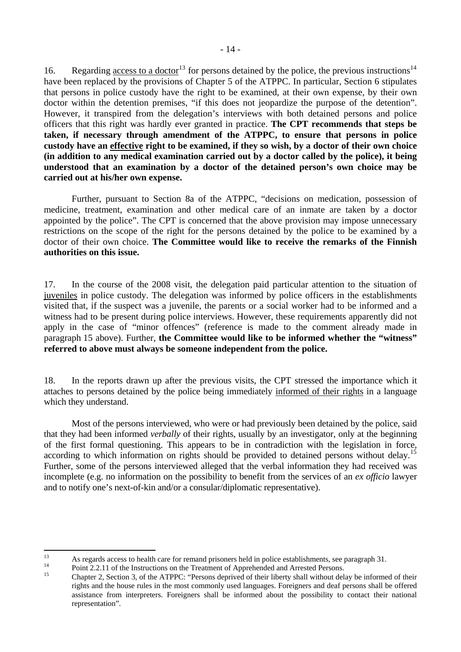16. Regarding access to a doctor<sup>[13](#page-13-0)</sup> for persons detained by the police, the previous instructions<sup>[14](#page-13-1)</sup> have been replaced by the provisions of Chapter 5 of the ATPPC. In particular, Section 6 stipulates that persons in police custody have the right to be examined, at their own expense, by their own doctor within the detention premises, "if this does not jeopardize the purpose of the detention". However, it transpired from the delegation's interviews with both detained persons and police officers that this right was hardly ever granted in practice. **The CPT recommends that steps be taken, if necessary through amendment of the ATPPC, to ensure that persons in police custody have an effective right to be examined, if they so wish, by a doctor of their own choice** 

**(in addition to any medical examination carried out by a doctor called by the police), it being understood that an examination by a doctor of the detained person's own choice may be carried out at his/her own expense.** 

 Further, pursuant to Section 8a of the ATPPC, "decisions on medication, possession of medicine, treatment, examination and other medical care of an inmate are taken by a doctor appointed by the police". The CPT is concerned that the above provision may impose unnecessary restrictions on the scope of the right for the persons detained by the police to be examined by a doctor of their own choice. **The Committee would like to receive the remarks of the Finnish authorities on this issue.** 

17. In the course of the 2008 visit, the delegation paid particular attention to the situation of juveniles in police custody. The delegation was informed by police officers in the establishments visited that, if the suspect was a juvenile, the parents or a social worker had to be informed and a witness had to be present during police interviews. However, these requirements apparently did not apply in the case of "minor offences" (reference is made to the comment already made in paragraph 15 above). Further, **the Committee would like to be informed whether the "witness" referred to above must always be someone independent from the police.** 

18. In the reports drawn up after the previous visits, the CPT stressed the importance which it attaches to persons detained by the police being immediately informed of their rights in a language which they understand.

 Most of the persons interviewed, who were or had previously been detained by the police, said that they had been informed *verbally* of their rights, usually by an investigator, only at the beginning of the first formal questioning. This appears to be in contradiction with the legislation in force, according to which information on rights should be provided to detained persons without delay.<sup>[15](#page-13-2)</sup> Further, some of the persons interviewed alleged that the verbal information they had received was incomplete (e.g. no information on the possibility to benefit from the services of an *ex officio* lawyer and to notify one's next-of-kin and/or a consular/diplomatic representative).

<span id="page-13-0"></span> $13$ <sup>13</sup> As regards access to health care for remand prisoners held in police establishments, see paragraph 31.<br>
Point 2.2.11 of the Instructions on the Treatment of Apprehended and Arrested Persons.

<span id="page-13-1"></span>

<span id="page-13-2"></span><sup>15</sup> Chapter 2, Section 3, of the ATPPC: "Persons deprived of their liberty shall without delay be informed of their rights and the house rules in the most commonly used languages. Foreigners and deaf persons shall be offered assistance from interpreters. Foreigners shall be informed about the possibility to contact their national representation".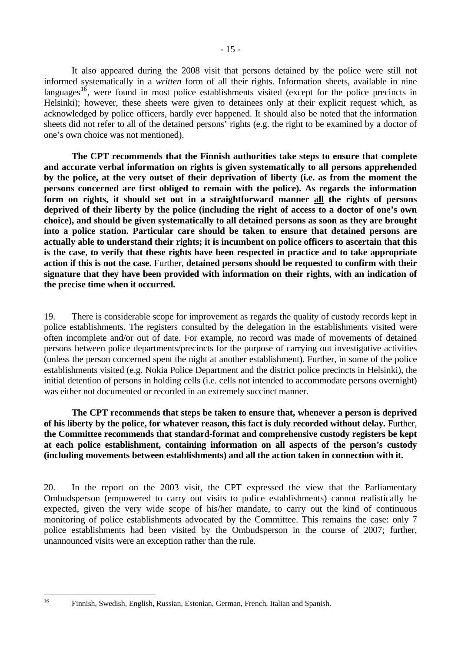It also appeared during the 2008 visit that persons detained by the police were still not informed systematically in a *written* form of all their rights. Information sheets, available in nine languages<sup> $16$ </sup>, were found in most police establishments visited (except for the police precincts in Helsinki); however, these sheets were given to detainees only at their explicit request which, as acknowledged by police officers, hardly ever happened. It should also be noted that the information sheets did not refer to all of the detained persons' rights (e.g. the right to be examined by a doctor of one's own choice was not mentioned).

 **The CPT recommends that the Finnish authorities take steps to ensure that complete and accurate verbal information on rights is given systematically to all persons apprehended by the police, at the very outset of their deprivation of liberty (i.e. as from the moment the persons concerned are first obliged to remain with the police). As regards the information form on rights, it should set out in a straightforward manner all the rights of persons deprived of their liberty by the police (including the right of access to a doctor of one's own choice), and should be given systematically to all detained persons as soon as they are brought into a police station. Particular care should be taken to ensure that detained persons are actually able to understand their rights; it is incumbent on police officers to ascertain that this is the case**, **to verify that these rights have been respected in practice and to take appropriate action if this is not the case.** Further, **detained persons should be requested to confirm with their signature that they have been provided with information on their rights, with an indication of the precise time when it occurred.**

19. There is considerable scope for improvement as regards the quality of custody records kept in police establishments. The registers consulted by the delegation in the establishments visited were often incomplete and/or out of date. For example, no record was made of movements of detained persons between police departments/precincts for the purpose of carrying out investigative activities (unless the person concerned spent the night at another establishment). Further, in some of the police establishments visited (e.g. Nokia Police Department and the district police precincts in Helsinki), the initial detention of persons in holding cells (i.e. cells not intended to accommodate persons overnight) was either not documented or recorded in an extremely succinct manner.

**The CPT recommends that steps be taken to ensure that, whenever a person is deprived of his liberty by the police, for whatever reason, this fact is duly recorded without delay.** Further, **the Committee recommends that standard-format and comprehensive custody registers be kept at each police establishment, containing information on all aspects of the person's custody (including movements between establishments) and all the action taken in connection with it.** 

20. In the report on the 2003 visit, the CPT expressed the view that the Parliamentary Ombudsperson (empowered to carry out visits to police establishments) cannot realistically be expected, given the very wide scope of his/her mandate, to carry out the kind of continuous monitoring of police establishments advocated by the Committee. This remains the case: only 7 police establishments had been visited by the Ombudsperson in the course of 2007; further, unannounced visits were an exception rather than the rule.

<span id="page-14-0"></span><sup>16</sup> 

<sup>16</sup> Finnish, Swedish, English, Russian, Estonian, German, French, Italian and Spanish.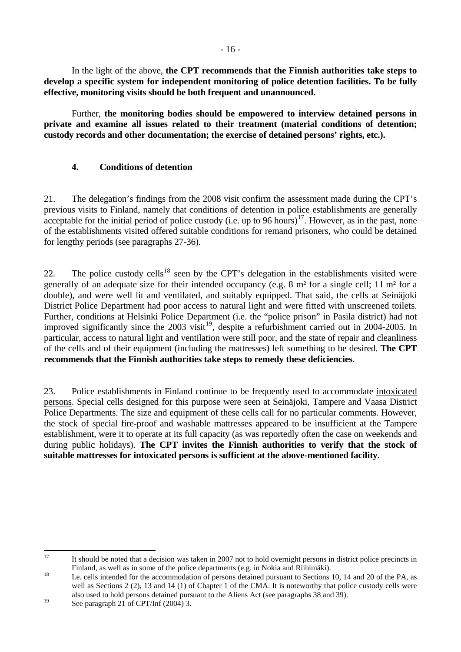<span id="page-15-0"></span> In the light of the above, **the CPT recommends that the Finnish authorities take steps to develop a specific system for independent monitoring of police detention facilities. To be fully effective, monitoring visits should be both frequent and unannounced.** 

Further, **the monitoring bodies should be empowered to interview detained persons in private and examine all issues related to their treatment (material conditions of detention; custody records and other documentation; the exercise of detained persons' rights, etc.).** 

## **4. Conditions of detention**

21. The delegation's findings from the 2008 visit confirm the assessment made during the CPT's previous visits to Finland, namely that conditions of detention in police establishments are generally acceptable for the initial period of police custody (i.e. up to 96 hours)<sup>[17](#page-15-1)</sup>. However, as in the past, none of the establishments visited offered suitable conditions for remand prisoners, who could be detained for lengthy periods (see paragraphs 27-36).

22. The police custody cells<sup>[18](#page-15-2)</sup> seen by the CPT's delegation in the establishments visited were generally of an adequate size for their intended occupancy (e.g. 8 m² for a single cell; 11 m² for a double), and were well lit and ventilated, and suitably equipped. That said, the cells at Seinäjoki District Police Department had poor access to natural light and were fitted with unscreened toilets. Further, conditions at Helsinki Police Department (i.e. the "police prison" in Pasila district) had not improved significantly since the 2003 visit<sup>[19](#page-15-3)</sup>, despite a refurbishment carried out in 2004-2005. In particular, access to natural light and ventilation were still poor, and the state of repair and cleanliness of the cells and of their equipment (including the mattresses) left something to be desired. **The CPT recommends that the Finnish authorities take steps to remedy these deficiencies.**

23. Police establishments in Finland continue to be frequently used to accommodate intoxicated persons. Special cells designed for this purpose were seen at Seinäjoki, Tampere and Vaasa District Police Departments. The size and equipment of these cells call for no particular comments. However, the stock of special fire-proof and washable mattresses appeared to be insufficient at the Tampere establishment, were it to operate at its full capacity (as was reportedly often the case on weekends and during public holidays). **The CPT invites the Finnish authorities to verify that the stock of suitable mattresses for intoxicated persons is sufficient at the above-mentioned facility.** 

<span id="page-15-1"></span><sup>17</sup> 17 It should be noted that a decision was taken in 2007 not to hold overnight persons in district police precincts in Finland, as well as in some of the police departments (e.g. in Nokia and Riihimäki).<br>18 I.e. cells intended for the accommodation of persons detained pursuant to Sections 10, 14 and 20 of the PA, as

<span id="page-15-2"></span>well as Sections 2 (2), 13 and 14 (1) of Chapter 1 of the CMA. It is noteworthy that police custody cells were also used to hold persons detained pursuant to the Aliens Act (see paragraphs 38 and 39).

<span id="page-15-3"></span><sup>&</sup>lt;sup>19</sup> See paragraph 21 of CPT/Inf (2004) 3.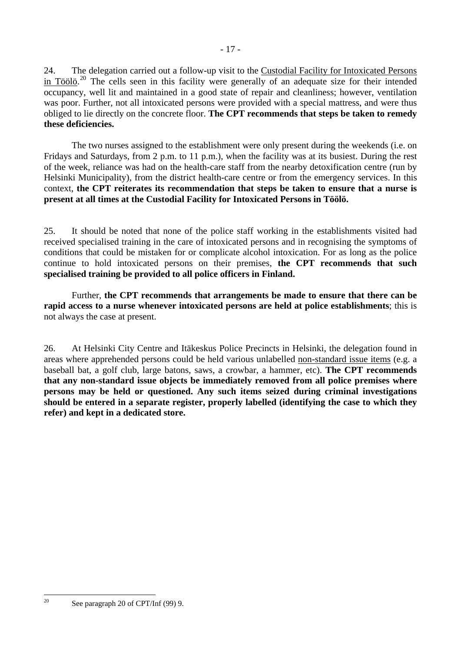24. The delegation carried out a follow-up visit to the Custodial Facility for Intoxicated Persons in Töölö.<sup>[20](#page-16-0)</sup> The cells seen in this facility were generally of an adequate size for their intended occupancy, well lit and maintained in a good state of repair and cleanliness; however, ventilation was poor. Further, not all intoxicated persons were provided with a special mattress, and were thus obliged to lie directly on the concrete floor. **The CPT recommends that steps be taken to remedy these deficiencies.**

 The two nurses assigned to the establishment were only present during the weekends (i.e. on Fridays and Saturdays, from 2 p.m. to 11 p.m.), when the facility was at its busiest. During the rest of the week, reliance was had on the health-care staff from the nearby detoxification centre (run by Helsinki Municipality), from the district health-care centre or from the emergency services. In this context, **the CPT reiterates its recommendation that steps be taken to ensure that a nurse is present at all times at the Custodial Facility for Intoxicated Persons in Töölö.**

25. It should be noted that none of the police staff working in the establishments visited had received specialised training in the care of intoxicated persons and in recognising the symptoms of conditions that could be mistaken for or complicate alcohol intoxication. For as long as the police continue to hold intoxicated persons on their premises, **the CPT recommends that such specialised training be provided to all police officers in Finland.** 

 Further, **the CPT recommends that arrangements be made to ensure that there can be rapid access to a nurse whenever intoxicated persons are held at police establishments**; this is not always the case at present.

26. At Helsinki City Centre and Itäkeskus Police Precincts in Helsinki, the delegation found in areas where apprehended persons could be held various unlabelled non-standard issue items (e.g. a baseball bat, a golf club, large batons, saws, a crowbar, a hammer, etc). **The CPT recommends that any non-standard issue objects be immediately removed from all police premises where persons may be held or questioned. Any such items seized during criminal investigations should be entered in a separate register, properly labelled (identifying the case to which they refer) and kept in a dedicated store.**

<span id="page-16-0"></span> $20^{\circ}$ See paragraph 20 of CPT/Inf (99) 9.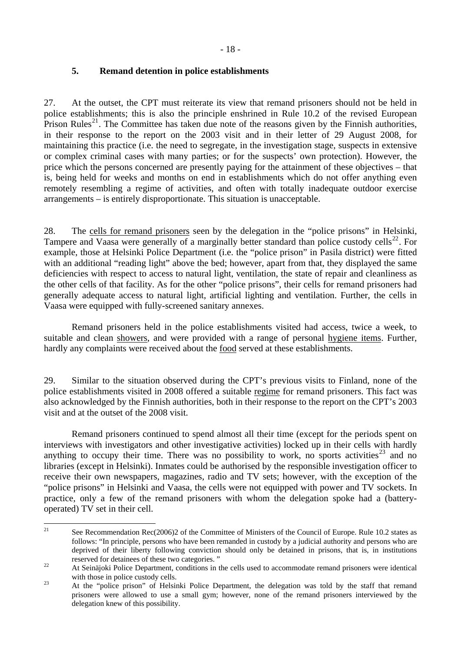#### <span id="page-17-0"></span>**5. Remand detention in police establishments**

27. At the outset, the CPT must reiterate its view that remand prisoners should not be held in police establishments; this is also the principle enshrined in Rule 10.2 of the revised European Prison Rules<sup>[21](#page-17-1)</sup>. The Committee has taken due note of the reasons given by the Finnish authorities, in their response to the report on the 2003 visit and in their letter of 29 August 2008, for maintaining this practice (i.e. the need to segregate, in the investigation stage, suspects in extensive or complex criminal cases with many parties; or for the suspects' own protection). However, the price which the persons concerned are presently paying for the attainment of these objectives – that is, being held for weeks and months on end in establishments which do not offer anything even remotely resembling a regime of activities, and often with totally inadequate outdoor exercise arrangements – is entirely disproportionate. This situation is unacceptable.

28. The cells for remand prisoners seen by the delegation in the "police prisons" in Helsinki, Tampere and Vaasa were generally of a marginally better standard than police custody cells<sup>[22](#page-17-2)</sup>. For example, those at Helsinki Police Department (i.e. the "police prison" in Pasila district) were fitted with an additional "reading light" above the bed; however, apart from that, they displayed the same deficiencies with respect to access to natural light, ventilation, the state of repair and cleanliness as the other cells of that facility. As for the other "police prisons", their cells for remand prisoners had generally adequate access to natural light, artificial lighting and ventilation. Further, the cells in Vaasa were equipped with fully-screened sanitary annexes.

 Remand prisoners held in the police establishments visited had access, twice a week, to suitable and clean showers, and were provided with a range of personal hygiene items. Further, hardly any complaints were received about the food served at these establishments.

29. Similar to the situation observed during the CPT's previous visits to Finland, none of the police establishments visited in 2008 offered a suitable regime for remand prisoners. This fact was also acknowledged by the Finnish authorities, both in their response to the report on the CPT's 2003 visit and at the outset of the 2008 visit.

 Remand prisoners continued to spend almost all their time (except for the periods spent on interviews with investigators and other investigative activities) locked up in their cells with hardly anything to occupy their time. There was no possibility to work, no sports activities<sup>[23](#page-17-3)</sup> and no libraries (except in Helsinki). Inmates could be authorised by the responsible investigation officer to receive their own newspapers, magazines, radio and TV sets; however, with the exception of the "police prisons" in Helsinki and Vaasa, the cells were not equipped with power and TV sockets. In practice, only a few of the remand prisoners with whom the delegation spoke had a (batteryoperated) TV set in their cell.

<span id="page-17-1"></span> $\overline{21}$ See Recommendation Rec(2006)2 of the Committee of Ministers of the Council of Europe. Rule 10.2 states as follows: "In principle, persons who have been remanded in custody by a judicial authority and persons who are deprived of their liberty following conviction should only be detained in prisons, that is, in institutions reserved for detainees of these two categories. "<br>At Seinäjoki Police Department, conditions in the cells used to accommodate remand prisoners were identical

<span id="page-17-2"></span>with those in police custody cells.<br>
23 At the "police prison" of Helsinki Police Department, the delegation was told by the staff that remand

<span id="page-17-3"></span>prisoners were allowed to use a small gym; however, none of the remand prisoners interviewed by the delegation knew of this possibility.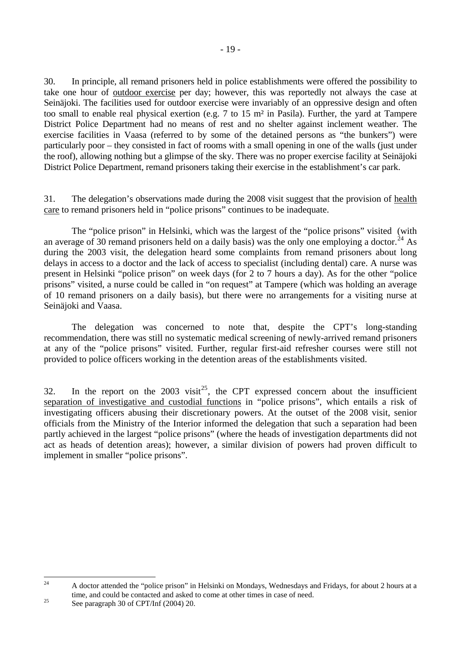30. In principle, all remand prisoners held in police establishments were offered the possibility to take one hour of outdoor exercise per day; however, this was reportedly not always the case at Seinäjoki. The facilities used for outdoor exercise were invariably of an oppressive design and often too small to enable real physical exertion (e.g. 7 to 15 m² in Pasila). Further, the yard at Tampere District Police Department had no means of rest and no shelter against inclement weather. The exercise facilities in Vaasa (referred to by some of the detained persons as "the bunkers") were particularly poor – they consisted in fact of rooms with a small opening in one of the walls (just under the roof), allowing nothing but a glimpse of the sky. There was no proper exercise facility at Seinäjoki District Police Department, remand prisoners taking their exercise in the establishment's car park.

31. The delegation's observations made during the 2008 visit suggest that the provision of health care to remand prisoners held in "police prisons" continues to be inadequate.

 The "police prison" in Helsinki, which was the largest of the "police prisons" visited (with an average of 30 remand prisoners held on a daily basis) was the only one employing a doctor.<sup>[24](#page-18-0)</sup> As during the 2003 visit, the delegation heard some complaints from remand prisoners about long delays in access to a doctor and the lack of access to specialist (including dental) care. A nurse was present in Helsinki "police prison" on week days (for 2 to 7 hours a day). As for the other "police prisons" visited, a nurse could be called in "on request" at Tampere (which was holding an average of 10 remand prisoners on a daily basis), but there were no arrangements for a visiting nurse at Seinäjoki and Vaasa.

 The delegation was concerned to note that, despite the CPT's long-standing recommendation, there was still no systematic medical screening of newly-arrived remand prisoners at any of the "police prisons" visited. Further, regular first-aid refresher courses were still not provided to police officers working in the detention areas of the establishments visited.

32. In the report on the  $2003$  visit<sup>[25](#page-18-1)</sup>, the CPT expressed concern about the insufficient separation of investigative and custodial functions in "police prisons", which entails a risk of investigating officers abusing their discretionary powers. At the outset of the 2008 visit, senior officials from the Ministry of the Interior informed the delegation that such a separation had been partly achieved in the largest "police prisons" (where the heads of investigation departments did not act as heads of detention areas); however, a similar division of powers had proven difficult to implement in smaller "police prisons".

<span id="page-18-0"></span> $24$ 24 A doctor attended the "police prison" in Helsinki on Mondays, Wednesdays and Fridays, for about 2 hours at a time, and could be contacted and asked to come at other times in case of need.<br>See paragraph 30 of CPT/Inf (2004) 20.

<span id="page-18-1"></span>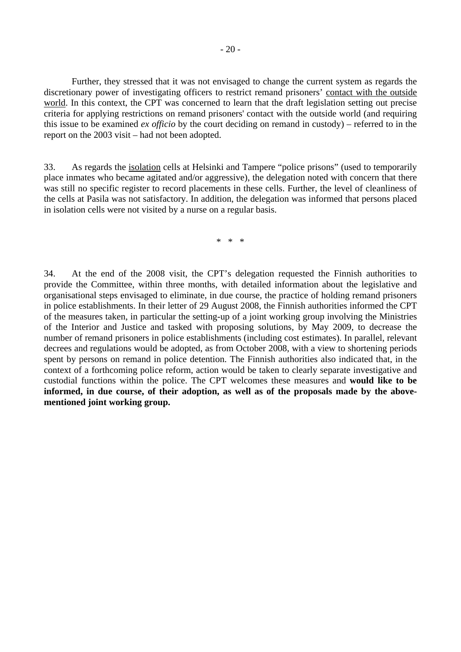Further, they stressed that it was not envisaged to change the current system as regards the discretionary power of investigating officers to restrict remand prisoners' contact with the outside world. In this context, the CPT was concerned to learn that the draft legislation setting out precise criteria for applying restrictions on remand prisoners' contact with the outside world (and requiring this issue to be examined *ex officio* by the court deciding on remand in custody) – referred to in the report on the 2003 visit – had not been adopted.

33. As regards the isolation cells at Helsinki and Tampere "police prisons" (used to temporarily place inmates who became agitated and/or aggressive), the delegation noted with concern that there was still no specific register to record placements in these cells. Further, the level of cleanliness of the cells at Pasila was not satisfactory. In addition, the delegation was informed that persons placed in isolation cells were not visited by a nurse on a regular basis.

\* \* \*

34. At the end of the 2008 visit, the CPT's delegation requested the Finnish authorities to provide the Committee, within three months, with detailed information about the legislative and organisational steps envisaged to eliminate, in due course, the practice of holding remand prisoners in police establishments. In their letter of 29 August 2008, the Finnish authorities informed the CPT of the measures taken, in particular the setting-up of a joint working group involving the Ministries of the Interior and Justice and tasked with proposing solutions, by May 2009, to decrease the number of remand prisoners in police establishments (including cost estimates). In parallel, relevant decrees and regulations would be adopted, as from October 2008, with a view to shortening periods spent by persons on remand in police detention. The Finnish authorities also indicated that, in the context of a forthcoming police reform, action would be taken to clearly separate investigative and custodial functions within the police. The CPT welcomes these measures and **would like to be informed, in due course, of their adoption, as well as of the proposals made by the abovementioned joint working group.**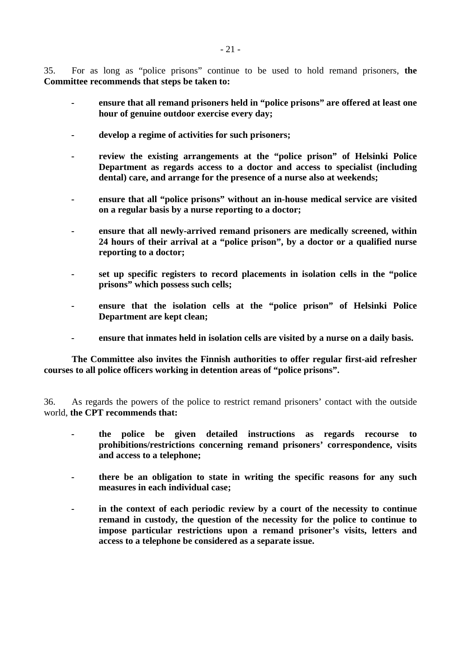35. For as long as "police prisons" continue to be used to hold remand prisoners, **the Committee recommends that steps be taken to:**

- **ensure that all remand prisoners held in "police prisons" are offered at least one hour of genuine outdoor exercise every day;**
- **develop a regime of activities for such prisoners;**
- **review the existing arrangements at the "police prison" of Helsinki Police Department as regards access to a doctor and access to specialist (including dental) care, and arrange for the presence of a nurse also at weekends;**
- **ensure that all "police prisons" without an in-house medical service are visited on a regular basis by a nurse reporting to a doctor;**
- **ensure that all newly-arrived remand prisoners are medically screened, within 24 hours of their arrival at a "police prison", by a doctor or a qualified nurse reporting to a doctor;**
- **set up specific registers to record placements in isolation cells in the "police prisons" which possess such cells;**
- ensure that the isolation cells at the "police prison" of Helsinki Police **Department are kept clean;**
- ensure that inmates held in isolation cells are visited by a nurse on a daily basis.

 **The Committee also invites the Finnish authorities to offer regular first-aid refresher courses to all police officers working in detention areas of "police prisons".** 

36. As regards the powers of the police to restrict remand prisoners' contact with the outside world, **the CPT recommends that:** 

- **the police be given detailed instructions as regards recourse to prohibitions/restrictions concerning remand prisoners' correspondence, visits and access to a telephone;**
- **there be an obligation to state in writing the specific reasons for any such measures in each individual case;**
- **in the context of each periodic review by a court of the necessity to continue remand in custody, the question of the necessity for the police to continue to impose particular restrictions upon a remand prisoner's visits, letters and access to a telephone be considered as a separate issue.**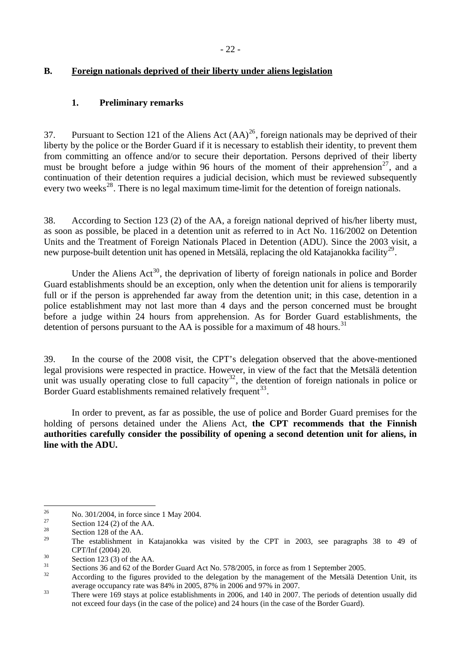## <span id="page-21-0"></span>**B. Foreign nationals deprived of their liberty under aliens legislation**

#### **1. Preliminary remarks**

37. Pursuant to Section 121 of the Aliens Act  $(AA)^{26}$  $(AA)^{26}$  $(AA)^{26}$ , foreign nationals may be deprived of their liberty by the police or the Border Guard if it is necessary to establish their identity, to prevent them from committing an offence and/or to secure their deportation. Persons deprived of their liberty must be brought before a judge within 96 hours of the moment of their apprehension<sup>[27](#page-21-2)</sup>, and a continuation of their detention requires a judicial decision, which must be reviewed subsequently every two weeks<sup>[28](#page-21-3)</sup>. There is no legal maximum time-limit for the detention of foreign nationals.

38. According to Section 123 (2) of the AA, a foreign national deprived of his/her liberty must, as soon as possible, be placed in a detention unit as referred to in Act No. 116/2002 on Detention Units and the Treatment of Foreign Nationals Placed in Detention (ADU). Since the 2003 visit, a new purpose-built detention unit has opened in Metsälä, replacing the old Katajanokka facility<sup>[29](#page-21-4)</sup>.

Under the Aliens  $Act^{30}$  $Act^{30}$  $Act^{30}$ , the deprivation of liberty of foreign nationals in police and Border Guard establishments should be an exception, only when the detention unit for aliens is temporarily full or if the person is apprehended far away from the detention unit; in this case, detention in a police establishment may not last more than 4 days and the person concerned must be brought before a judge within 24 hours from apprehension. As for Border Guard establishments, the detention of persons pursuant to the AA is possible for a maximum of 48 hours.<sup>[31](#page-21-6)</sup>

39. In the course of the 2008 visit, the CPT's delegation observed that the above-mentioned legal provisions were respected in practice. However, in view of the fact that the Metsälä detention unit was usually operating close to full capacity<sup>[32](#page-21-7)</sup>, the detention of foreign nationals in police or Border Guard establishments remained relatively frequent<sup>[33](#page-21-8)</sup>.

 In order to prevent, as far as possible, the use of police and Border Guard premises for the holding of persons detained under the Aliens Act, **the CPT recommends that the Finnish authorities carefully consider the possibility of opening a second detention unit for aliens, in line with the ADU.** 

<span id="page-21-1"></span><sup>26</sup> <sup>26</sup> No. 301/2004, in force since 1 May 2004.

<span id="page-21-2"></span><sup>&</sup>lt;sup>27</sup> Section 124 (2) of the AA.

<span id="page-21-3"></span> $\frac{28}{29}$  Section 128 of the AA.

<span id="page-21-4"></span><sup>29</sup> The establishment in Katajanokka was visited by the CPT in 2003, see paragraphs 38 to 49 of CPT/Inf (2004) 20.<br>
Section 123 (3) of the AA.

<span id="page-21-6"></span><span id="page-21-5"></span><sup>&</sup>lt;sup>31</sup> Sections 36 and 62 of the Border Guard Act No. 578/2005, in force as from 1 September 2005.

<span id="page-21-7"></span>According to the figures provided to the delegation by the management of the Metsälä Detention Unit, its

<span id="page-21-8"></span>average occupancy rate was 84% in 2005, 87% in 2006 and 97% in 2007.<br>There were 169 stays at police establishments in 2006, and 140 in 2007. The periods of detention usually did not exceed four days (in the case of the police) and 24 hours (in the case of the Border Guard).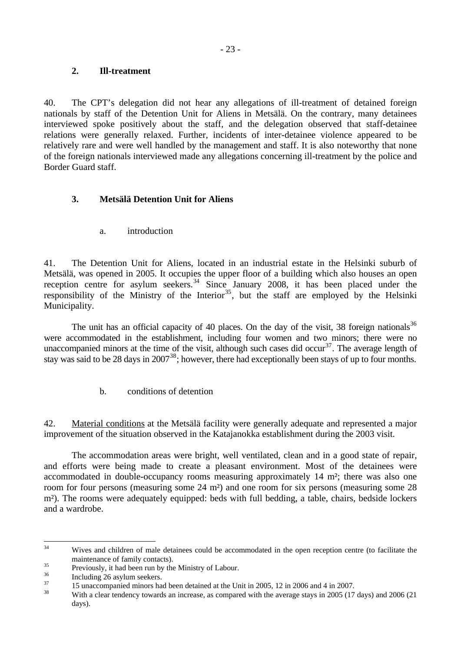#### <span id="page-22-0"></span>**2. Ill-treatment**

40. The CPT's delegation did not hear any allegations of ill-treatment of detained foreign nationals by staff of the Detention Unit for Aliens in Metsälä. On the contrary, many detainees interviewed spoke positively about the staff, and the delegation observed that staff-detainee relations were generally relaxed. Further, incidents of inter-detainee violence appeared to be relatively rare and were well handled by the management and staff. It is also noteworthy that none of the foreign nationals interviewed made any allegations concerning ill-treatment by the police and Border Guard staff.

## **3. Metsälä Detention Unit for Aliens**

a. introduction

41. The Detention Unit for Aliens, located in an industrial estate in the Helsinki suburb of Metsälä, was opened in 2005. It occupies the upper floor of a building which also houses an open reception centre for asylum seekers.<sup>[34](#page-22-1)</sup> Since January 2008, it has been placed under the responsibility of the Ministry of the Interior<sup>[35](#page-22-2)</sup>, but the staff are employed by the Helsinki Municipality.

The unit has an official capacity of 40 places. On the day of the visit, 38 foreign nationals<sup>[36](#page-22-3)</sup> were accommodated in the establishment, including four women and two minors; there were no unaccompanied minors at the time of the visit, although such cases did occur $37$ . The average length of stay was said to be 28 days in  $2007^{38}$  $2007^{38}$  $2007^{38}$ ; however, there had exceptionally been stays of up to four months.

b. conditions of detention

42. Material conditions at the Metsälä facility were generally adequate and represented a major improvement of the situation observed in the Katajanokka establishment during the 2003 visit.

 The accommodation areas were bright, well ventilated, clean and in a good state of repair, and efforts were being made to create a pleasant environment. Most of the detainees were accommodated in double-occupancy rooms measuring approximately 14 m²; there was also one room for four persons (measuring some 24 m²) and one room for six persons (measuring some 28 m²). The rooms were adequately equipped: beds with full bedding, a table, chairs, bedside lockers and a wardrobe.

<span id="page-22-1"></span> $34$ Wives and children of male detainees could be accommodated in the open reception centre (to facilitate the

maintenance of family contacts).<br>
Previously, it had been run by the Ministry of Labour.<br>
<sup>36</sup>

<span id="page-22-3"></span><span id="page-22-2"></span> $\frac{36}{37}$  Including 26 asylum seekers.

<span id="page-22-5"></span><span id="page-22-4"></span> $\frac{37}{15}$  15 unaccompanied minors had been detained at the Unit in 2005, 12 in 2006 and 4 in 2007.

With a clear tendency towards an increase, as compared with the average stays in 2005 (17 days) and 2006 (21 days).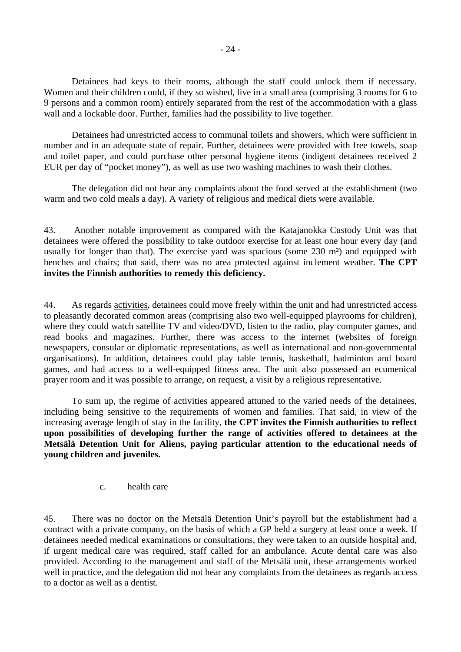<span id="page-23-0"></span> Detainees had keys to their rooms, although the staff could unlock them if necessary. Women and their children could, if they so wished, live in a small area (comprising 3 rooms for 6 to 9 persons and a common room) entirely separated from the rest of the accommodation with a glass wall and a lockable door. Further, families had the possibility to live together.

 Detainees had unrestricted access to communal toilets and showers, which were sufficient in number and in an adequate state of repair. Further, detainees were provided with free towels, soap and toilet paper, and could purchase other personal hygiene items (indigent detainees received 2 EUR per day of "pocket money"), as well as use two washing machines to wash their clothes.

 The delegation did not hear any complaints about the food served at the establishment (two warm and two cold meals a day). A variety of religious and medical diets were available.

43. Another notable improvement as compared with the Katajanokka Custody Unit was that detainees were offered the possibility to take outdoor exercise for at least one hour every day (and usually for longer than that). The exercise yard was spacious (some 230 m<sup>2</sup>) and equipped with benches and chairs; that said, there was no area protected against inclement weather. **The CPT invites the Finnish authorities to remedy this deficiency.**

44. As regards activities, detainees could move freely within the unit and had unrestricted access to pleasantly decorated common areas (comprising also two well-equipped playrooms for children), where they could watch satellite TV and video/DVD, listen to the radio, play computer games, and read books and magazines. Further, there was access to the internet (websites of foreign newspapers, consular or diplomatic representations, as well as international and non-governmental organisations). In addition, detainees could play table tennis, basketball, badminton and board games, and had access to a well-equipped fitness area. The unit also possessed an ecumenical prayer room and it was possible to arrange, on request, a visit by a religious representative.

 To sum up, the regime of activities appeared attuned to the varied needs of the detainees, including being sensitive to the requirements of women and families. That said, in view of the increasing average length of stay in the facility, **the CPT invites the Finnish authorities to reflect upon possibilities of developing further the range of activities offered to detainees at the Metsälä Detention Unit for Aliens, paying particular attention to the educational needs of young children and juveniles.** 

c. health care

45. There was no doctor on the Metsälä Detention Unit's payroll but the establishment had a contract with a private company, on the basis of which a GP held a surgery at least once a week. If detainees needed medical examinations or consultations, they were taken to an outside hospital and, if urgent medical care was required, staff called for an ambulance. Acute dental care was also provided. According to the management and staff of the Metsälä unit, these arrangements worked well in practice, and the delegation did not hear any complaints from the detainees as regards access to a doctor as well as a dentist.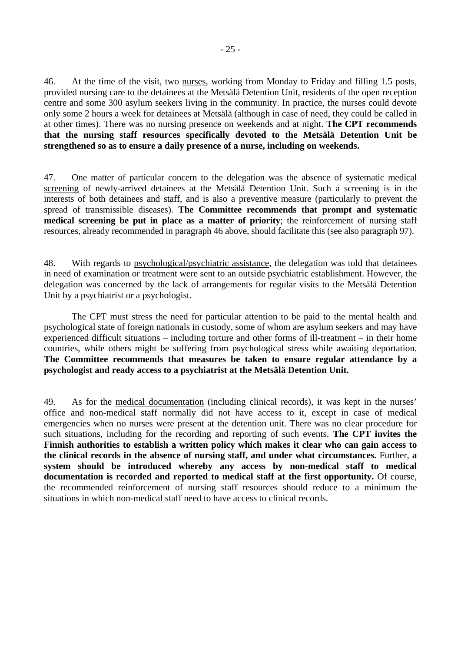46. At the time of the visit, two nurses, working from Monday to Friday and filling 1.5 posts, provided nursing care to the detainees at the Metsälä Detention Unit, residents of the open reception centre and some 300 asylum seekers living in the community. In practice, the nurses could devote only some 2 hours a week for detainees at Metsälä (although in case of need, they could be called in at other times). There was no nursing presence on weekends and at night. **The CPT recommends that the nursing staff resources specifically devoted to the Metsälä Detention Unit be strengthened so as to ensure a daily presence of a nurse, including on weekends.**

47. One matter of particular concern to the delegation was the absence of systematic medical screening of newly-arrived detainees at the Metsälä Detention Unit. Such a screening is in the interests of both detainees and staff, and is also a preventive measure (particularly to prevent the spread of transmissible diseases). **The Committee recommends that prompt and systematic medical screening be put in place as a matter of priority**; the reinforcement of nursing staff resources, already recommended in paragraph 46 above, should facilitate this (see also paragraph 97).

48. With regards to psychological/psychiatric assistance, the delegation was told that detainees in need of examination or treatment were sent to an outside psychiatric establishment. However, the delegation was concerned by the lack of arrangements for regular visits to the Metsälä Detention Unit by a psychiatrist or a psychologist.

 The CPT must stress the need for particular attention to be paid to the mental health and psychological state of foreign nationals in custody, some of whom are asylum seekers and may have experienced difficult situations – including torture and other forms of ill-treatment – in their home countries, while others might be suffering from psychological stress while awaiting deportation. **The Committee recommends that measures be taken to ensure regular attendance by a psychologist and ready access to a psychiatrist at the Metsälä Detention Unit.** 

49. As for the medical documentation (including clinical records), it was kept in the nurses' office and non-medical staff normally did not have access to it, except in case of medical emergencies when no nurses were present at the detention unit. There was no clear procedure for such situations, including for the recording and reporting of such events. **The CPT invites the Finnish authorities to establish a written policy which makes it clear who can gain access to the clinical records in the absence of nursing staff, and under what circumstances.** Further, **a system should be introduced whereby any access by non-medical staff to medical documentation is recorded and reported to medical staff at the first opportunity.** Of course, the recommended reinforcement of nursing staff resources should reduce to a minimum the situations in which non-medical staff need to have access to clinical records.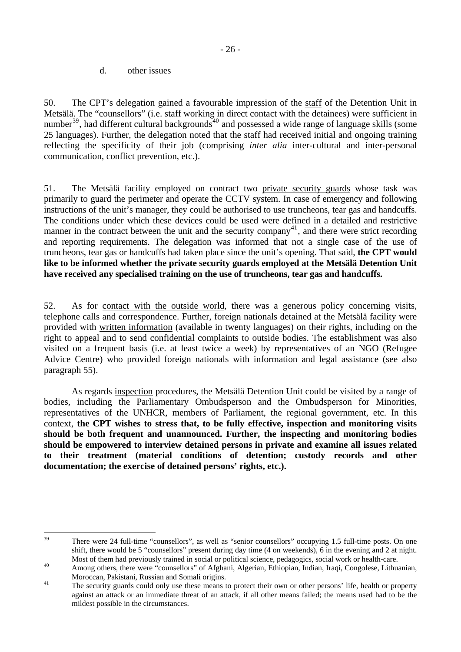d. other issues

<span id="page-25-0"></span>50. The CPT's delegation gained a favourable impression of the staff of the Detention Unit in Metsälä. The "counsellors" (i.e. staff working in direct contact with the detainees) were sufficient in number<sup>[39](#page-25-1)</sup>, had different cultural backgrounds<sup>[40](#page-25-2)</sup> and possessed a wide range of language skills (some 25 languages). Further, the delegation noted that the staff had received initial and ongoing training reflecting the specificity of their job (comprising *inter alia* inter-cultural and inter-personal communication, conflict prevention, etc.).

51. The Metsälä facility employed on contract two private security guards whose task was primarily to guard the perimeter and operate the CCTV system. In case of emergency and following instructions of the unit's manager, they could be authorised to use truncheons, tear gas and handcuffs. The conditions under which these devices could be used were defined in a detailed and restrictive manner in the contract between the unit and the security company<sup>[41](#page-25-3)</sup>, and there were strict recording and reporting requirements. The delegation was informed that not a single case of the use of truncheons, tear gas or handcuffs had taken place since the unit's opening. That said, **the CPT would like to be informed whether the private security guards employed at the Metsälä Detention Unit have received any specialised training on the use of truncheons, tear gas and handcuffs.** 

52. As for contact with the outside world, there was a generous policy concerning visits, telephone calls and correspondence. Further, foreign nationals detained at the Metsälä facility were provided with written information (available in twenty languages) on their rights, including on the right to appeal and to send confidential complaints to outside bodies. The establishment was also visited on a frequent basis (i.e. at least twice a week) by representatives of an NGO (Refugee Advice Centre) who provided foreign nationals with information and legal assistance (see also paragraph 55).

 As regards inspection procedures, the Metsälä Detention Unit could be visited by a range of bodies, including the Parliamentary Ombudsperson and the Ombudsperson for Minorities, representatives of the UNHCR, members of Parliament, the regional government, etc. In this context, **the CPT wishes to stress that, to be fully effective, inspection and monitoring visits should be both frequent and unannounced. Further, the inspecting and monitoring bodies should be empowered to interview detained persons in private and examine all issues related to their treatment (material conditions of detention; custody records and other documentation; the exercise of detained persons' rights, etc.).** 

<span id="page-25-1"></span><sup>39</sup> There were 24 full-time "counsellors", as well as "senior counsellors" occupying 1.5 full-time posts. On one shift, there would be 5 "counsellors" present during day time (4 on weekends), 6 in the evening and 2 at night. Most of them had previously trained in social or political science, pedagogics, social work or health-care.<br>Among others, there were "counsellors" of Afghani, Algerian, Ethiopian, Indian, Iraqi, Congolese, Lithuanian,

<span id="page-25-3"></span><span id="page-25-2"></span>Moroccan, Pakistani, Russian and Somali origins.<br><sup>41</sup> The security guards could only use these means to protect their own or other persons' life, health or property against an attack or an immediate threat of an attack, if all other means failed; the means used had to be the mildest possible in the circumstances.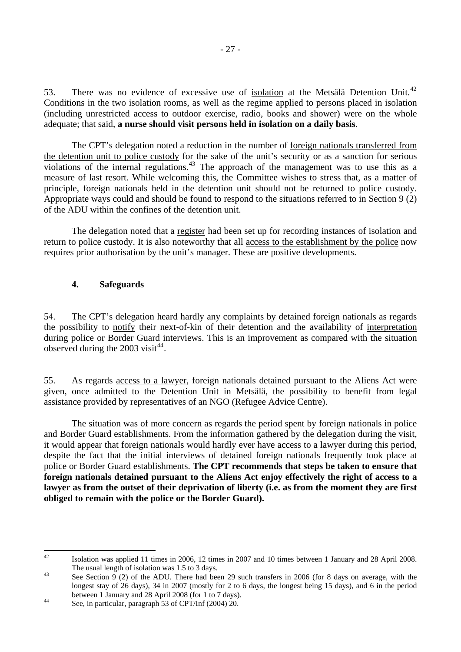<span id="page-26-0"></span>53. There was no evidence of excessive use of isolation at the Metsälä Detention Unit.<sup>[42](#page-26-1)</sup> Conditions in the two isolation rooms, as well as the regime applied to persons placed in isolation (including unrestricted access to outdoor exercise, radio, books and shower) were on the whole adequate; that said, **a nurse should visit persons held in isolation on a daily basis**.

 The CPT's delegation noted a reduction in the number of foreign nationals transferred from the detention unit to police custody for the sake of the unit's security or as a sanction for serious violations of the internal regulations.<sup>[43](#page-26-2)</sup> The approach of the management was to use this as a measure of last resort. While welcoming this, the Committee wishes to stress that, as a matter of principle, foreign nationals held in the detention unit should not be returned to police custody. Appropriate ways could and should be found to respond to the situations referred to in Section 9 (2) of the ADU within the confines of the detention unit.

 The delegation noted that a register had been set up for recording instances of isolation and return to police custody. It is also noteworthy that all access to the establishment by the police now requires prior authorisation by the unit's manager. These are positive developments.

#### **4. Safeguards**

54. The CPT's delegation heard hardly any complaints by detained foreign nationals as regards the possibility to notify their next-of-kin of their detention and the availability of interpretation during police or Border Guard interviews. This is an improvement as compared with the situation observed during the 2003 visit<sup>[44](#page-26-3)</sup>.

55. As regards access to a lawyer, foreign nationals detained pursuant to the Aliens Act were given, once admitted to the Detention Unit in Metsälä, the possibility to benefit from legal assistance provided by representatives of an NGO (Refugee Advice Centre).

 The situation was of more concern as regards the period spent by foreign nationals in police and Border Guard establishments. From the information gathered by the delegation during the visit, it would appear that foreign nationals would hardly ever have access to a lawyer during this period, despite the fact that the initial interviews of detained foreign nationals frequently took place at police or Border Guard establishments. **The CPT recommends that steps be taken to ensure that foreign nationals detained pursuant to the Aliens Act enjoy effectively the right of access to a lawyer as from the outset of their deprivation of liberty (i.e. as from the moment they are first obliged to remain with the police or the Border Guard).** 

<span id="page-26-1"></span> $42 \overline{ }$ 42 Isolation was applied 11 times in 2006, 12 times in 2007 and 10 times between 1 January and 28 April 2008. The usual length of isolation was 1.5 to 3 days.<br>See Section 9 (2) of the ADU. There had been 29 such transfers in 2006 (for 8 days on average, with the

<span id="page-26-2"></span>longest stay of 26 days), 34 in 2007 (mostly for 2 to 6 days, the longest being 15 days), and 6 in the period between 1 January and 28 April 2008 (for 1 to 7 days).<br>See, in particular, paragraph 53 of CPT/Inf (2004) 20.

<span id="page-26-3"></span>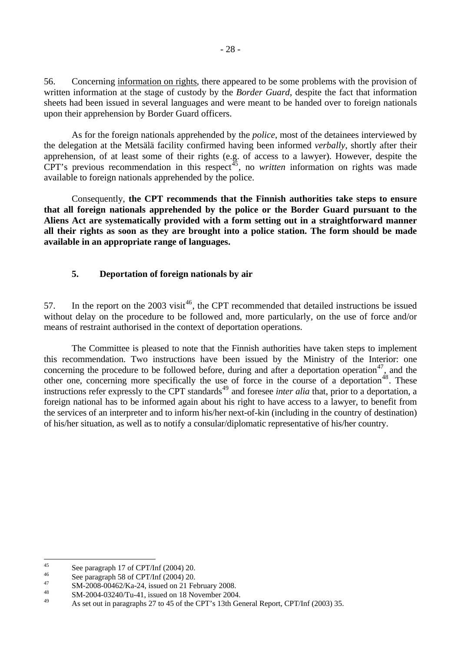<span id="page-27-0"></span>56. Concerning information on rights, there appeared to be some problems with the provision of written information at the stage of custody by the *Border Guard*, despite the fact that information sheets had been issued in several languages and were meant to be handed over to foreign nationals upon their apprehension by Border Guard officers.

 As for the foreign nationals apprehended by the *police*, most of the detainees interviewed by the delegation at the Metsälä facility confirmed having been informed *verbally*, shortly after their apprehension, of at least some of their rights (e.g. of access to a lawyer). However, despite the CPT's previous recommendation in this respect<sup> $45$ </sup>, no *written* information on rights was made available to foreign nationals apprehended by the police.

 Consequently, **the CPT recommends that the Finnish authorities take steps to ensure that all foreign nationals apprehended by the police or the Border Guard pursuant to the Aliens Act are systematically provided with a form setting out in a straightforward manner all their rights as soon as they are brought into a police station. The form should be made available in an appropriate range of languages.** 

#### **5. Deportation of foreign nationals by air**

57. In the report on the 2003 visit<sup>[46](#page-27-2)</sup>, the CPT recommended that detailed instructions be issued without delay on the procedure to be followed and, more particularly, on the use of force and/or means of restraint authorised in the context of deportation operations.

 The Committee is pleased to note that the Finnish authorities have taken steps to implement this recommendation. Two instructions have been issued by the Ministry of the Interior: one concerning the procedure to be followed before, during and after a deportation operation<sup>[47](#page-27-3)</sup>, and the other one, concerning more specifically the use of force in the course of a deportation<sup>[48](#page-27-4)</sup>. These instructions refer expressly to the CPT standards<sup>[49](#page-27-5)</sup> and foresee *inter alia* that, prior to a deportation, a foreign national has to be informed again about his right to have access to a lawyer, to benefit from the services of an interpreter and to inform his/her next-of-kin (including in the country of destination) of his/her situation, as well as to notify a consular/diplomatic representative of his/her country.

<span id="page-27-1"></span><sup>45</sup>  $^{45}$  See paragraph 17 of CPT/Inf (2004) 20.

<span id="page-27-2"></span> $^{46}$  See paragraph 58 of CPT/Inf (2004) 20.

<span id="page-27-3"></span> $^{47}$  SM-2008-00462/Ka-24, issued on 21 February 2008.

<span id="page-27-5"></span><span id="page-27-4"></span><sup>&</sup>lt;sup>48</sup> SM-2004-03240/Tu-41, issued on 18 November 2004.

<sup>49</sup> As set out in paragraphs 27 to 45 of the CPT's 13th General Report, CPT/Inf (2003) 35.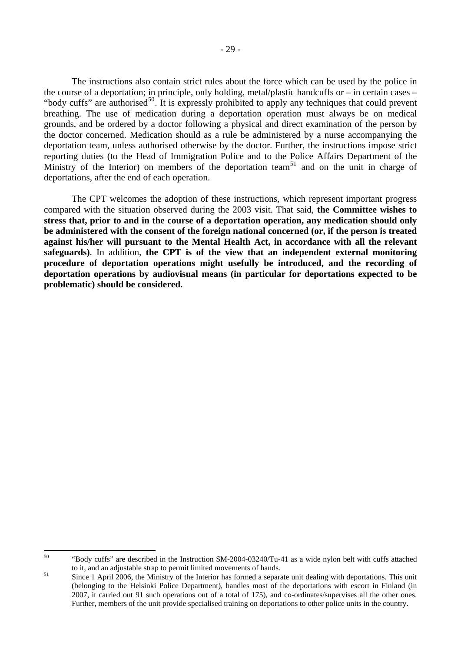The instructions also contain strict rules about the force which can be used by the police in the course of a deportation; in principle, only holding, metal/plastic handcuffs or – in certain cases – "body cuffs" are authorised<sup>[50](#page-28-0)</sup>. It is expressly prohibited to apply any techniques that could prevent breathing. The use of medication during a deportation operation must always be on medical grounds, and be ordered by a doctor following a physical and direct examination of the person by the doctor concerned. Medication should as a rule be administered by a nurse accompanying the deportation team, unless authorised otherwise by the doctor. Further, the instructions impose strict reporting duties (to the Head of Immigration Police and to the Police Affairs Department of the Ministry of the Interior) on members of the deportation team<sup>[51](#page-28-1)</sup> and on the unit in charge of deportations, after the end of each operation.

 The CPT welcomes the adoption of these instructions, which represent important progress compared with the situation observed during the 2003 visit. That said, **the Committee wishes to stress that, prior to and in the course of a deportation operation, any medication should only be administered with the consent of the foreign national concerned (or, if the person is treated against his/her will pursuant to the Mental Health Act, in accordance with all the relevant safeguards)**. In addition, **the CPT is of the view that an independent external monitoring procedure of deportation operations might usefully be introduced, and the recording of deportation operations by audiovisual means (in particular for deportations expected to be problematic) should be considered.**

<span id="page-28-0"></span><sup>50</sup> 50 "Body cuffs" are described in the Instruction SM-2004-03240/Tu-41 as a wide nylon belt with cuffs attached

<span id="page-28-1"></span>to it, and an adjustable strap to permit limited movements of hands.<br>
Since 1 April 2006, the Ministry of the Interior has formed a separate unit dealing with deportations. This unit (belonging to the Helsinki Police Department), handles most of the deportations with escort in Finland (in 2007, it carried out 91 such operations out of a total of 175), and co-ordinates/supervises all the other ones. Further, members of the unit provide specialised training on deportations to other police units in the country.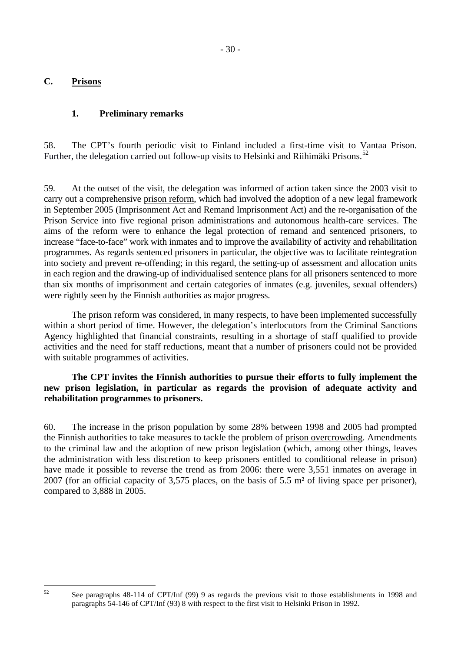#### <span id="page-29-0"></span>**C. Prisons**

#### **1. Preliminary remarks**

58. The CPT's fourth periodic visit to Finland included a first-time visit to Vantaa Prison. Further, the delegation carried out follow-up visits to Helsinki and Riihimäki Prisons.<sup>[52](#page-29-1)</sup>

59. At the outset of the visit, the delegation was informed of action taken since the 2003 visit to carry out a comprehensive prison reform, which had involved the adoption of a new legal framework in September 2005 (Imprisonment Act and Remand Imprisonment Act) and the re-organisation of the Prison Service into five regional prison administrations and autonomous health-care services. The aims of the reform were to enhance the legal protection of remand and sentenced prisoners, to increase "face-to-face" work with inmates and to improve the availability of activity and rehabilitation programmes. As regards sentenced prisoners in particular, the objective was to facilitate reintegration into society and prevent re-offending; in this regard, the setting-up of assessment and allocation units in each region and the drawing-up of individualised sentence plans for all prisoners sentenced to more than six months of imprisonment and certain categories of inmates (e.g. juveniles, sexual offenders) were rightly seen by the Finnish authorities as major progress.

 The prison reform was considered, in many respects, to have been implemented successfully within a short period of time. However, the delegation's interlocutors from the Criminal Sanctions Agency highlighted that financial constraints, resulting in a shortage of staff qualified to provide activities and the need for staff reductions, meant that a number of prisoners could not be provided with suitable programmes of activities.

#### **The CPT invites the Finnish authorities to pursue their efforts to fully implement the new prison legislation, in particular as regards the provision of adequate activity and rehabilitation programmes to prisoners.**

60. The increase in the prison population by some 28% between 1998 and 2005 had prompted the Finnish authorities to take measures to tackle the problem of prison overcrowding. Amendments to the criminal law and the adoption of new prison legislation (which, among other things, leaves the administration with less discretion to keep prisoners entitled to conditional release in prison) have made it possible to reverse the trend as from 2006: there were 3,551 inmates on average in 2007 (for an official capacity of 3,575 places, on the basis of 5.5 m² of living space per prisoner), compared to 3,888 in 2005.

<span id="page-29-1"></span> $52$ 

See paragraphs 48-114 of CPT/Inf (99) 9 as regards the previous visit to those establishments in 1998 and paragraphs 54-146 of CPT/Inf (93) 8 with respect to the first visit to Helsinki Prison in 1992.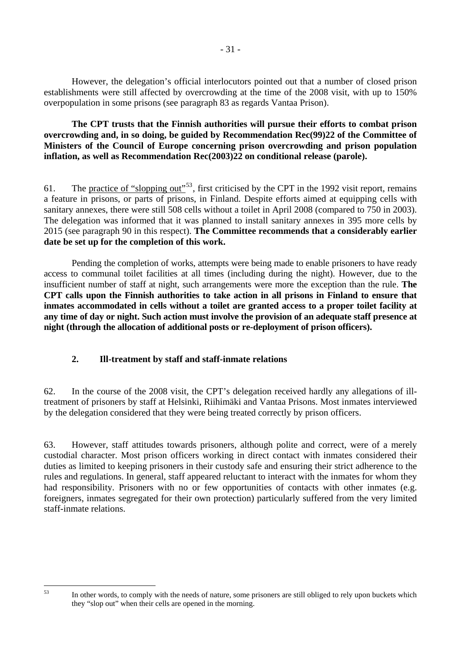<span id="page-30-0"></span> However, the delegation's official interlocutors pointed out that a number of closed prison establishments were still affected by overcrowding at the time of the 2008 visit, with up to 150% overpopulation in some prisons (see paragraph 83 as regards Vantaa Prison).

#### **The CPT trusts that the Finnish authorities will pursue their efforts to combat prison overcrowding and, in so doing, be guided by Recommendation Rec(99)22 of the Committee of Ministers of the Council of Europe concerning prison overcrowding and prison population inflation, as well as Recommendation Rec(2003)22 on conditional release (parole).**

61. The practice of "slopping out"<sup>[53](#page-30-1)</sup>, first criticised by the CPT in the 1992 visit report, remains a feature in prisons, or parts of prisons, in Finland. Despite efforts aimed at equipping cells with sanitary annexes, there were still 508 cells without a toilet in April 2008 (compared to 750 in 2003). The delegation was informed that it was planned to install sanitary annexes in 395 more cells by 2015 (see paragraph 90 in this respect). **The Committee recommends that a considerably earlier date be set up for the completion of this work.**

 Pending the completion of works, attempts were being made to enable prisoners to have ready access to communal toilet facilities at all times (including during the night). However, due to the insufficient number of staff at night, such arrangements were more the exception than the rule. **The CPT calls upon the Finnish authorities to take action in all prisons in Finland to ensure that inmates accommodated in cells without a toilet are granted access to a proper toilet facility at any time of day or night. Such action must involve the provision of an adequate staff presence at night (through the allocation of additional posts or re-deployment of prison officers).**

# **2. Ill-treatment by staff and staff-inmate relations**

<span id="page-30-1"></span> $53$ 

62. In the course of the 2008 visit, the CPT's delegation received hardly any allegations of illtreatment of prisoners by staff at Helsinki, Riihimäki and Vantaa Prisons. Most inmates interviewed by the delegation considered that they were being treated correctly by prison officers.

63. However, staff attitudes towards prisoners, although polite and correct, were of a merely custodial character. Most prison officers working in direct contact with inmates considered their duties as limited to keeping prisoners in their custody safe and ensuring their strict adherence to the rules and regulations. In general, staff appeared reluctant to interact with the inmates for whom they had responsibility. Prisoners with no or few opportunities of contacts with other inmates (e.g. foreigners, inmates segregated for their own protection) particularly suffered from the very limited staff-inmate relations.

In other words, to comply with the needs of nature, some prisoners are still obliged to rely upon buckets which they "slop out" when their cells are opened in the morning.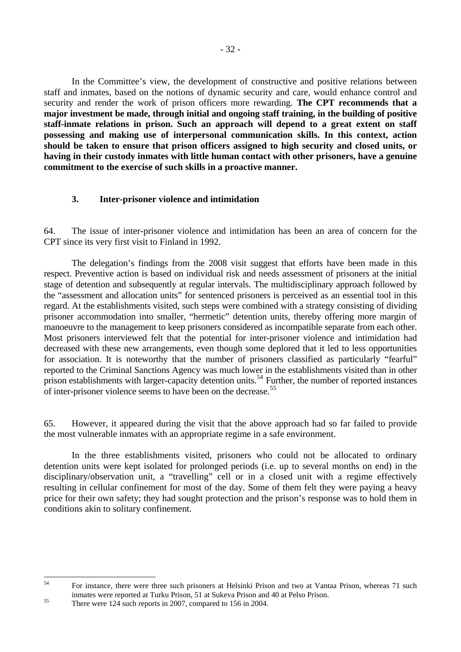<span id="page-31-0"></span> In the Committee's view, the development of constructive and positive relations between staff and inmates, based on the notions of dynamic security and care, would enhance control and security and render the work of prison officers more rewarding. **The CPT recommends that a major investment be made, through initial and ongoing staff training, in the building of positive staff-inmate relations in prison. Such an approach will depend to a great extent on staff possessing and making use of interpersonal communication skills. In this context, action should be taken to ensure that prison officers assigned to high security and closed units, or having in their custody inmates with little human contact with other prisoners, have a genuine commitment to the exercise of such skills in a proactive manner.** 

#### **3. Inter-prisoner violence and intimidation**

64. The issue of inter-prisoner violence and intimidation has been an area of concern for the CPT since its very first visit to Finland in 1992.

 The delegation's findings from the 2008 visit suggest that efforts have been made in this respect. Preventive action is based on individual risk and needs assessment of prisoners at the initial stage of detention and subsequently at regular intervals. The multidisciplinary approach followed by the "assessment and allocation units" for sentenced prisoners is perceived as an essential tool in this regard. At the establishments visited, such steps were combined with a strategy consisting of dividing prisoner accommodation into smaller, "hermetic" detention units, thereby offering more margin of manoeuvre to the management to keep prisoners considered as incompatible separate from each other. Most prisoners interviewed felt that the potential for inter-prisoner violence and intimidation had decreased with these new arrangements, even though some deplored that it led to less opportunities for association. It is noteworthy that the number of prisoners classified as particularly "fearful" reported to the Criminal Sanctions Agency was much lower in the establishments visited than in other prison establishments with larger-capacity detention units.<sup>[54](#page-31-1)</sup> Further, the number of reported instances of inter-prisoner violence seems to have been on the decrease.<sup>[55](#page-31-2)</sup>

65. However, it appeared during the visit that the above approach had so far failed to provide the most vulnerable inmates with an appropriate regime in a safe environment.

 In the three establishments visited, prisoners who could not be allocated to ordinary detention units were kept isolated for prolonged periods (i.e. up to several months on end) in the disciplinary/observation unit, a "travelling" cell or in a closed unit with a regime effectively resulting in cellular confinement for most of the day. Some of them felt they were paying a heavy price for their own safety; they had sought protection and the prison's response was to hold them in conditions akin to solitary confinement.

<span id="page-31-1"></span> $54$ 54 For instance, there were three such prisoners at Helsinki Prison and two at Vantaa Prison, whereas 71 such inmates were reported at Turku Prison, 51 at Sukeva Prison and 40 at Pelso Prison.<br>There were 124 such reports in 2007, compared to 156 in 2004.

<span id="page-31-2"></span>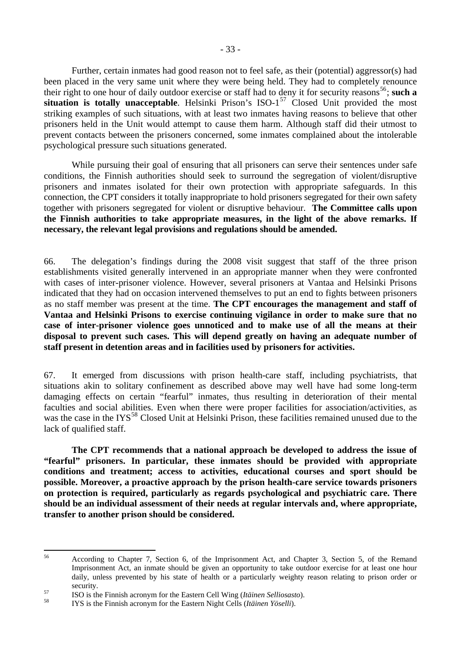Further, certain inmates had good reason not to feel safe, as their (potential) aggressor(s) had been placed in the very same unit where they were being held. They had to completely renounce their right to one hour of daily outdoor exercise or staff had to deny it for security reasons<sup>[56](#page-32-0)</sup>; such a situation is totally unacceptable. Helsinki Prison's ISO-1<sup>[57](#page-32-1)</sup> Closed Unit provided the most striking examples of such situations, with at least two inmates having reasons to believe that other prisoners held in the Unit would attempt to cause them harm. Although staff did their utmost to prevent contacts between the prisoners concerned, some inmates complained about the intolerable psychological pressure such situations generated.

While pursuing their goal of ensuring that all prisoners can serve their sentences under safe conditions, the Finnish authorities should seek to surround the segregation of violent/disruptive prisoners and inmates isolated for their own protection with appropriate safeguards. In this connection, the CPT considers it totally inappropriate to hold prisoners segregated for their own safety together with prisoners segregated for violent or disruptive behaviour. **The Committee calls upon the Finnish authorities to take appropriate measures, in the light of the above remarks. If necessary, the relevant legal provisions and regulations should be amended.**

66. The delegation's findings during the 2008 visit suggest that staff of the three prison establishments visited generally intervened in an appropriate manner when they were confronted with cases of inter-prisoner violence. However, several prisoners at Vantaa and Helsinki Prisons indicated that they had on occasion intervened themselves to put an end to fights between prisoners as no staff member was present at the time. **The CPT encourages the management and staff of Vantaa and Helsinki Prisons to exercise continuing vigilance in order to make sure that no case of inter-prisoner violence goes unnoticed and to make use of all the means at their disposal to prevent such cases. This will depend greatly on having an adequate number of staff present in detention areas and in facilities used by prisoners for activities.**

67. It emerged from discussions with prison health-care staff, including psychiatrists, that situations akin to solitary confinement as described above may well have had some long-term damaging effects on certain "fearful" inmates, thus resulting in deterioration of their mental faculties and social abilities. Even when there were proper facilities for association/activities, as was the case in the IYS<sup>[58](#page-32-2)</sup> Closed Unit at Helsinki Prison, these facilities remained unused due to the lack of qualified staff.

**The CPT recommends that a national approach be developed to address the issue of "fearful" prisoners. In particular, these inmates should be provided with appropriate conditions and treatment; access to activities, educational courses and sport should be possible. Moreover, a proactive approach by the prison health-care service towards prisoners on protection is required, particularly as regards psychological and psychiatric care. There should be an individual assessment of their needs at regular intervals and, where appropriate, transfer to another prison should be considered.**

<span id="page-32-0"></span><sup>56</sup> 56 According to Chapter 7, Section 6, of the Imprisonment Act, and Chapter 3, Section 5, of the Remand Imprisonment Act, an inmate should be given an opportunity to take outdoor exercise for at least one hour daily, unless prevented by his state of health or a particularly weighty reason relating to prison order or

<span id="page-32-1"></span>security.<br>
ISO is the Finnish acronym for the Eastern Cell Wing (*Itäinen Selliosasto*).<br>
ISO is the Finnish acronym for the Eastern Night Cells (*Itäinen Yöselli*).

<span id="page-32-2"></span>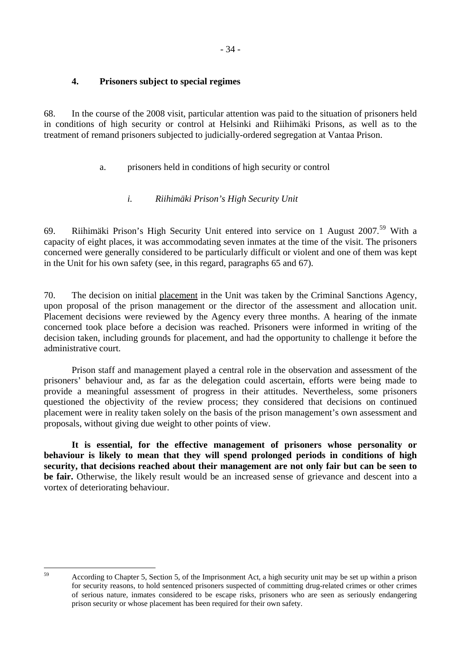# <span id="page-33-0"></span>**4. Prisoners subject to special regimes**

68. In the course of the 2008 visit, particular attention was paid to the situation of prisoners held in conditions of high security or control at Helsinki and Riihimäki Prisons, as well as to the treatment of remand prisoners subjected to judicially-ordered segregation at Vantaa Prison.

# a. prisoners held in conditions of high security or control

# *i. Riihimäki Prison's High Security Unit*

69. Riihimäki Prison's High Security Unit entered into service on 1 August 2007.<sup>[59](#page-33-1)</sup> With a capacity of eight places, it was accommodating seven inmates at the time of the visit. The prisoners concerned were generally considered to be particularly difficult or violent and one of them was kept in the Unit for his own safety (see, in this regard, paragraphs 65 and 67).

70. The decision on initial placement in the Unit was taken by the Criminal Sanctions Agency, upon proposal of the prison management or the director of the assessment and allocation unit. Placement decisions were reviewed by the Agency every three months. A hearing of the inmate concerned took place before a decision was reached. Prisoners were informed in writing of the decision taken, including grounds for placement, and had the opportunity to challenge it before the administrative court.

 Prison staff and management played a central role in the observation and assessment of the prisoners' behaviour and, as far as the delegation could ascertain, efforts were being made to provide a meaningful assessment of progress in their attitudes. Nevertheless, some prisoners questioned the objectivity of the review process; they considered that decisions on continued placement were in reality taken solely on the basis of the prison management's own assessment and proposals, without giving due weight to other points of view.

**It is essential, for the effective management of prisoners whose personality or behaviour is likely to mean that they will spend prolonged periods in conditions of high security, that decisions reached about their management are not only fair but can be seen to be fair.** Otherwise, the likely result would be an increased sense of grievance and descent into a vortex of deteriorating behaviour.

<span id="page-33-1"></span> $59$ 

<sup>59</sup> According to Chapter 5, Section 5, of the Imprisonment Act, a high security unit may be set up within a prison for security reasons, to hold sentenced prisoners suspected of committing drug-related crimes or other crimes of serious nature, inmates considered to be escape risks, prisoners who are seen as seriously endangering prison security or whose placement has been required for their own safety.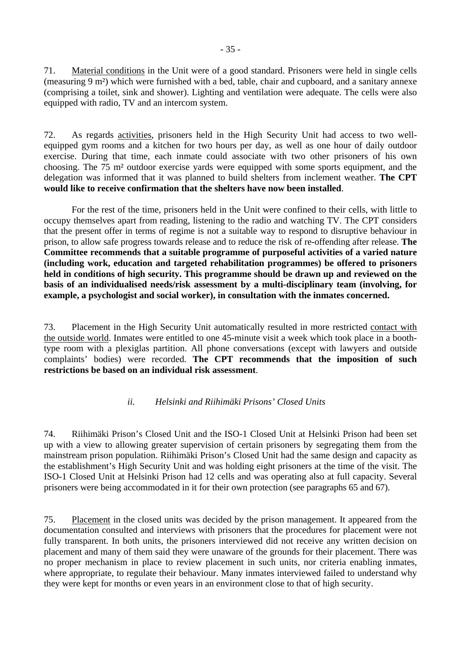<span id="page-34-0"></span>71. Material conditions in the Unit were of a good standard. Prisoners were held in single cells (measuring 9 m²) which were furnished with a bed, table, chair and cupboard, and a sanitary annexe (comprising a toilet, sink and shower). Lighting and ventilation were adequate. The cells were also equipped with radio, TV and an intercom system.

72. As regards activities, prisoners held in the High Security Unit had access to two wellequipped gym rooms and a kitchen for two hours per day, as well as one hour of daily outdoor exercise. During that time, each inmate could associate with two other prisoners of his own choosing. The 75 m² outdoor exercise yards were equipped with some sports equipment, and the delegation was informed that it was planned to build shelters from inclement weather. **The CPT would like to receive confirmation that the shelters have now been installed**.

 For the rest of the time, prisoners held in the Unit were confined to their cells, with little to occupy themselves apart from reading, listening to the radio and watching TV. The CPT considers that the present offer in terms of regime is not a suitable way to respond to disruptive behaviour in prison, to allow safe progress towards release and to reduce the risk of re-offending after release. **The Committee recommends that a suitable programme of purposeful activities of a varied nature (including work, education and targeted rehabilitation programmes) be offered to prisoners held in conditions of high security. This programme should be drawn up and reviewed on the basis of an individualised needs/risk assessment by a multi-disciplinary team (involving, for example, a psychologist and social worker), in consultation with the inmates concerned.**

73. Placement in the High Security Unit automatically resulted in more restricted contact with the outside world. Inmates were entitled to one 45-minute visit a week which took place in a boothtype room with a plexiglas partition. All phone conversations (except with lawyers and outside complaints' bodies) were recorded. **The CPT recommends that the imposition of such restrictions be based on an individual risk assessment**.

## *ii. Helsinki and Riihimäki Prisons' Closed Units*

74. Riihimäki Prison's Closed Unit and the ISO-1 Closed Unit at Helsinki Prison had been set up with a view to allowing greater supervision of certain prisoners by segregating them from the mainstream prison population. Riihimäki Prison's Closed Unit had the same design and capacity as the establishment's High Security Unit and was holding eight prisoners at the time of the visit. The ISO-1 Closed Unit at Helsinki Prison had 12 cells and was operating also at full capacity. Several prisoners were being accommodated in it for their own protection (see paragraphs 65 and 67).

75. Placement in the closed units was decided by the prison management. It appeared from the documentation consulted and interviews with prisoners that the procedures for placement were not fully transparent. In both units, the prisoners interviewed did not receive any written decision on placement and many of them said they were unaware of the grounds for their placement. There was no proper mechanism in place to review placement in such units, nor criteria enabling inmates, where appropriate, to regulate their behaviour. Many inmates interviewed failed to understand why they were kept for months or even years in an environment close to that of high security.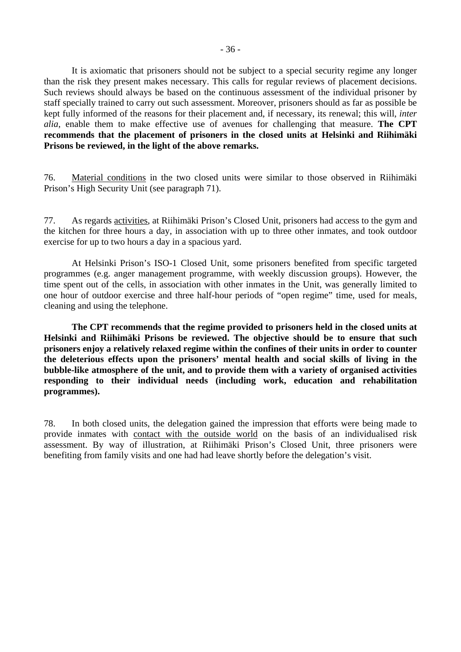It is axiomatic that prisoners should not be subject to a special security regime any longer than the risk they present makes necessary. This calls for regular reviews of placement decisions. Such reviews should always be based on the continuous assessment of the individual prisoner by staff specially trained to carry out such assessment. Moreover, prisoners should as far as possible be kept fully informed of the reasons for their placement and, if necessary, its renewal; this will, *inter alia*, enable them to make effective use of avenues for challenging that measure. **The CPT recommends that the placement of prisoners in the closed units at Helsinki and Riihimäki Prisons be reviewed, in the light of the above remarks.** 

76. Material conditions in the two closed units were similar to those observed in Riihimäki Prison's High Security Unit (see paragraph 71).

77. As regards activities, at Riihimäki Prison's Closed Unit, prisoners had access to the gym and the kitchen for three hours a day, in association with up to three other inmates, and took outdoor exercise for up to two hours a day in a spacious yard.

 At Helsinki Prison's ISO-1 Closed Unit, some prisoners benefited from specific targeted programmes (e.g. anger management programme, with weekly discussion groups). However, the time spent out of the cells, in association with other inmates in the Unit, was generally limited to one hour of outdoor exercise and three half-hour periods of "open regime" time, used for meals, cleaning and using the telephone.

**The CPT recommends that the regime provided to prisoners held in the closed units at Helsinki and Riihimäki Prisons be reviewed. The objective should be to ensure that such prisoners enjoy a relatively relaxed regime within the confines of their units in order to counter the deleterious effects upon the prisoners' mental health and social skills of living in the bubble-like atmosphere of the unit, and to provide them with a variety of organised activities responding to their individual needs (including work, education and rehabilitation programmes).** 

78. In both closed units, the delegation gained the impression that efforts were being made to provide inmates with contact with the outside world on the basis of an individualised risk assessment. By way of illustration, at Riihimäki Prison's Closed Unit, three prisoners were benefiting from family visits and one had had leave shortly before the delegation's visit.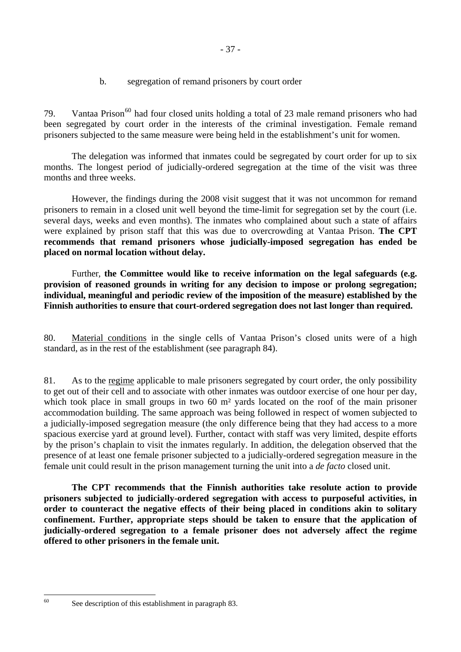b. segregation of remand prisoners by court order

79. Vantaa Prison<sup>[60](#page-36-0)</sup> had four closed units holding a total of 23 male remand prisoners who had been segregated by court order in the interests of the criminal investigation. Female remand prisoners subjected to the same measure were being held in the establishment's unit for women.

 The delegation was informed that inmates could be segregated by court order for up to six months. The longest period of judicially-ordered segregation at the time of the visit was three months and three weeks.

 However, the findings during the 2008 visit suggest that it was not uncommon for remand prisoners to remain in a closed unit well beyond the time-limit for segregation set by the court (i.e. several days, weeks and even months). The inmates who complained about such a state of affairs were explained by prison staff that this was due to overcrowding at Vantaa Prison. **The CPT recommends that remand prisoners whose judicially-imposed segregation has ended be placed on normal location without delay.**

Further, **the Committee would like to receive information on the legal safeguards (e.g. provision of reasoned grounds in writing for any decision to impose or prolong segregation; individual, meaningful and periodic review of the imposition of the measure) established by the Finnish authorities to ensure that court-ordered segregation does not last longer than required.** 

80. Material conditions in the single cells of Vantaa Prison's closed units were of a high standard, as in the rest of the establishment (see paragraph 84).

81. As to the regime applicable to male prisoners segregated by court order, the only possibility to get out of their cell and to associate with other inmates was outdoor exercise of one hour per day, which took place in small groups in two 60 m<sup>2</sup> yards located on the roof of the main prisoner accommodation building. The same approach was being followed in respect of women subjected to a judicially-imposed segregation measure (the only difference being that they had access to a more spacious exercise yard at ground level). Further, contact with staff was very limited, despite efforts by the prison's chaplain to visit the inmates regularly. In addition, the delegation observed that the presence of at least one female prisoner subjected to a judicially-ordered segregation measure in the female unit could result in the prison management turning the unit into a *de facto* closed unit.

**The CPT recommends that the Finnish authorities take resolute action to provide prisoners subjected to judicially-ordered segregation with access to purposeful activities, in order to counteract the negative effects of their being placed in conditions akin to solitary confinement. Further, appropriate steps should be taken to ensure that the application of judicially-ordered segregation to a female prisoner does not adversely affect the regime offered to other prisoners in the female unit.** 

<span id="page-36-0"></span><sup>60</sup> 

See description of this establishment in paragraph 83.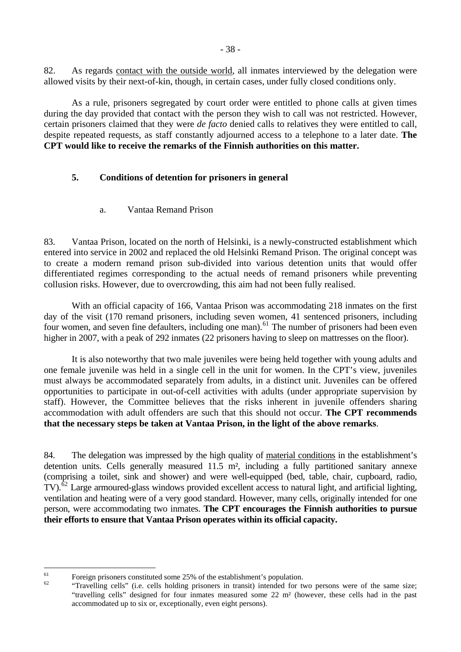82. As regards contact with the outside world, all inmates interviewed by the delegation were allowed visits by their next-of-kin, though, in certain cases, under fully closed conditions only.

 As a rule, prisoners segregated by court order were entitled to phone calls at given times during the day provided that contact with the person they wish to call was not restricted. However, certain prisoners claimed that they were *de facto* denied calls to relatives they were entitled to call, despite repeated requests, as staff constantly adjourned access to a telephone to a later date. **The CPT would like to receive the remarks of the Finnish authorities on this matter.**

# **5. Conditions of detention for prisoners in general**

a. Vantaa Remand Prison

83. Vantaa Prison, located on the north of Helsinki, is a newly-constructed establishment which entered into service in 2002 and replaced the old Helsinki Remand Prison. The original concept was to create a modern remand prison sub-divided into various detention units that would offer differentiated regimes corresponding to the actual needs of remand prisoners while preventing collusion risks. However, due to overcrowding, this aim had not been fully realised.

 With an official capacity of 166, Vantaa Prison was accommodating 218 inmates on the first day of the visit (170 remand prisoners, including seven women, 41 sentenced prisoners, including four women, and seven fine defaulters, including one man).<sup>[61](#page-37-0)</sup> The number of prisoners had been even higher in 2007, with a peak of 292 inmates (22 prisoners having to sleep on mattresses on the floor).

 It is also noteworthy that two male juveniles were being held together with young adults and one female juvenile was held in a single cell in the unit for women. In the CPT's view, juveniles must always be accommodated separately from adults, in a distinct unit. Juveniles can be offered opportunities to participate in out-of-cell activities with adults (under appropriate supervision by staff). However, the Committee believes that the risks inherent in juvenile offenders sharing accommodation with adult offenders are such that this should not occur. **The CPT recommends that the necessary steps be taken at Vantaa Prison, in the light of the above remarks**.

84. The delegation was impressed by the high quality of material conditions in the establishment's detention units. Cells generally measured 11.5 m<sup>2</sup>, including a fully partitioned sanitary annexe (comprising a toilet, sink and shower) and were well-equipped (bed, table, chair, cupboard, radio, TV).<sup>[62](#page-37-1)</sup> Large armoured-glass windows provided excellent access to natural light, and artificial lighting, ventilation and heating were of a very good standard. However, many cells, originally intended for one person, were accommodating two inmates. **The CPT encourages the Finnish authorities to pursue their efforts to ensure that Vantaa Prison operates within its official capacity.** 

<span id="page-37-1"></span><span id="page-37-0"></span> $61$ 

 $\frac{61}{62}$  Foreign prisoners constituted some 25% of the establishment's population.<br><sup>62</sup> "Travelling cells" (i.e. cells holding prisoners in transit) intended for two persons were of the same size; "travelling cells" designed for four inmates measured some 22 m² (however, these cells had in the past accommodated up to six or, exceptionally, even eight persons).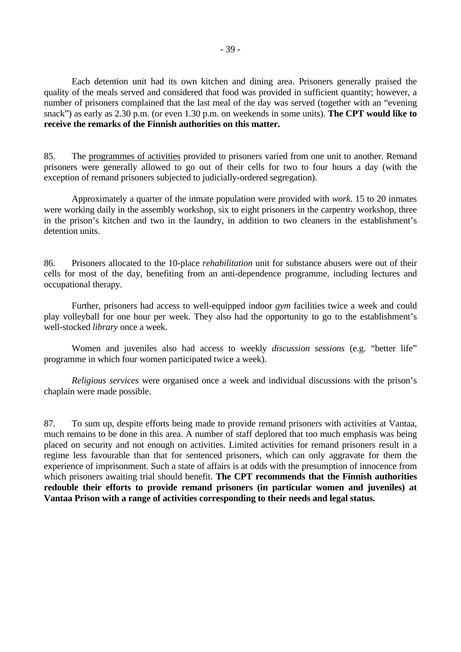Each detention unit had its own kitchen and dining area. Prisoners generally praised the quality of the meals served and considered that food was provided in sufficient quantity; however, a number of prisoners complained that the last meal of the day was served (together with an "evening snack") as early as 2.30 p.m. (or even 1.30 p.m. on weekends in some units). **The CPT would like to receive the remarks of the Finnish authorities on this matter.**

85. The programmes of activities provided to prisoners varied from one unit to another. Remand prisoners were generally allowed to go out of their cells for two to four hours a day (with the exception of remand prisoners subjected to judicially-ordered segregation).

 Approximately a quarter of the inmate population were provided with *work*. 15 to 20 inmates were working daily in the assembly workshop, six to eight prisoners in the carpentry workshop, three in the prison's kitchen and two in the laundry, in addition to two cleaners in the establishment's detention units.

86. Prisoners allocated to the 10-place *rehabilitation* unit for substance abusers were out of their cells for most of the day, benefiting from an anti-dependence programme, including lectures and occupational therapy.

 Further, prisoners had access to well-equipped indoor *gym* facilities twice a week and could play volleyball for one hour per week. They also had the opportunity to go to the establishment's well-stocked *library* once a week.

 Women and juveniles also had access to weekly *discussion sessions* (e.g. "better life" programme in which four women participated twice a week).

*Religious services* were organised once a week and individual discussions with the prison's chaplain were made possible.

87. To sum up, despite efforts being made to provide remand prisoners with activities at Vantaa, much remains to be done in this area. A number of staff deplored that too much emphasis was being placed on security and not enough on activities. Limited activities for remand prisoners result in a regime less favourable than that for sentenced prisoners, which can only aggravate for them the experience of imprisonment. Such a state of affairs is at odds with the presumption of innocence from which prisoners awaiting trial should benefit. **The CPT recommends that the Finnish authorities redouble their efforts to provide remand prisoners (in particular women and juveniles) at Vantaa Prison with a range of activities corresponding to their needs and legal status.**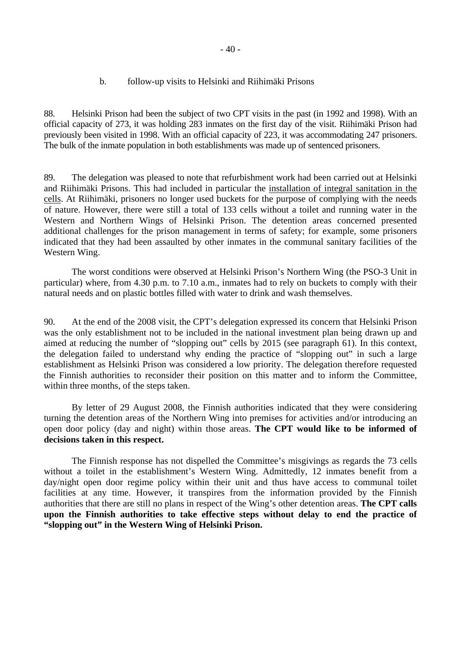# b. follow-up visits to Helsinki and Riihimäki Prisons

88. Helsinki Prison had been the subject of two CPT visits in the past (in 1992 and 1998). With an official capacity of 273, it was holding 283 inmates on the first day of the visit. Riihimäki Prison had previously been visited in 1998. With an official capacity of 223, it was accommodating 247 prisoners. The bulk of the inmate population in both establishments was made up of sentenced prisoners.

89. The delegation was pleased to note that refurbishment work had been carried out at Helsinki and Riihimäki Prisons. This had included in particular the installation of integral sanitation in the cells. At Riihimäki, prisoners no longer used buckets for the purpose of complying with the needs of nature. However, there were still a total of 133 cells without a toilet and running water in the Western and Northern Wings of Helsinki Prison. The detention areas concerned presented additional challenges for the prison management in terms of safety; for example, some prisoners indicated that they had been assaulted by other inmates in the communal sanitary facilities of the Western Wing.

 The worst conditions were observed at Helsinki Prison's Northern Wing (the PSO-3 Unit in particular) where, from 4.30 p.m. to 7.10 a.m., inmates had to rely on buckets to comply with their natural needs and on plastic bottles filled with water to drink and wash themselves.

90. At the end of the 2008 visit, the CPT's delegation expressed its concern that Helsinki Prison was the only establishment not to be included in the national investment plan being drawn up and aimed at reducing the number of "slopping out" cells by 2015 (see paragraph 61). In this context, the delegation failed to understand why ending the practice of "slopping out" in such a large establishment as Helsinki Prison was considered a low priority. The delegation therefore requested the Finnish authorities to reconsider their position on this matter and to inform the Committee, within three months, of the steps taken.

 By letter of 29 August 2008, the Finnish authorities indicated that they were considering turning the detention areas of the Northern Wing into premises for activities and/or introducing an open door policy (day and night) within those areas. **The CPT would like to be informed of decisions taken in this respect.**

 The Finnish response has not dispelled the Committee's misgivings as regards the 73 cells without a toilet in the establishment's Western Wing. Admittedly, 12 inmates benefit from a day/night open door regime policy within their unit and thus have access to communal toilet facilities at any time. However, it transpires from the information provided by the Finnish authorities that there are still no plans in respect of the Wing's other detention areas. **The CPT calls upon the Finnish authorities to take effective steps without delay to end the practice of "slopping out" in the Western Wing of Helsinki Prison.**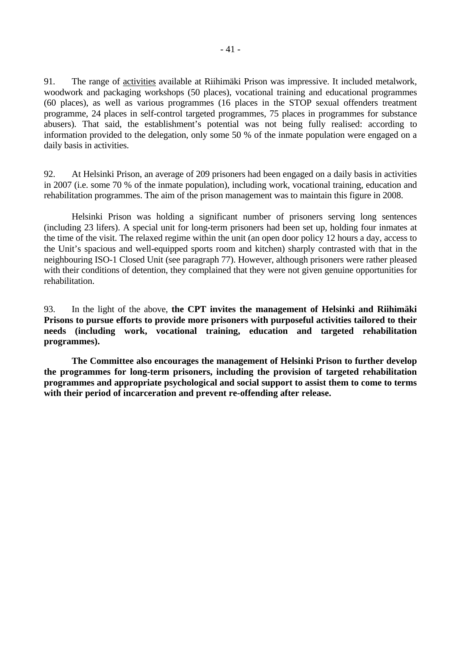91. The range of activities available at Riihimäki Prison was impressive. It included metalwork, woodwork and packaging workshops (50 places), vocational training and educational programmes (60 places), as well as various programmes (16 places in the STOP sexual offenders treatment programme, 24 places in self-control targeted programmes, 75 places in programmes for substance abusers). That said, the establishment's potential was not being fully realised: according to information provided to the delegation, only some 50 % of the inmate population were engaged on a daily basis in activities.

92. At Helsinki Prison, an average of 209 prisoners had been engaged on a daily basis in activities in 2007 (i.e. some 70 % of the inmate population), including work, vocational training, education and rehabilitation programmes. The aim of the prison management was to maintain this figure in 2008.

 Helsinki Prison was holding a significant number of prisoners serving long sentences (including 23 lifers). A special unit for long-term prisoners had been set up, holding four inmates at the time of the visit. The relaxed regime within the unit (an open door policy 12 hours a day, access to the Unit's spacious and well-equipped sports room and kitchen) sharply contrasted with that in the neighbouring ISO-1 Closed Unit (see paragraph 77). However, although prisoners were rather pleased with their conditions of detention, they complained that they were not given genuine opportunities for rehabilitation.

93. In the light of the above, **the CPT invites the management of Helsinki and Riihimäki Prisons to pursue efforts to provide more prisoners with purposeful activities tailored to their needs (including work, vocational training, education and targeted rehabilitation programmes).** 

 **The Committee also encourages the management of Helsinki Prison to further develop the programmes for long-term prisoners, including the provision of targeted rehabilitation programmes and appropriate psychological and social support to assist them to come to terms with their period of incarceration and prevent re-offending after release.**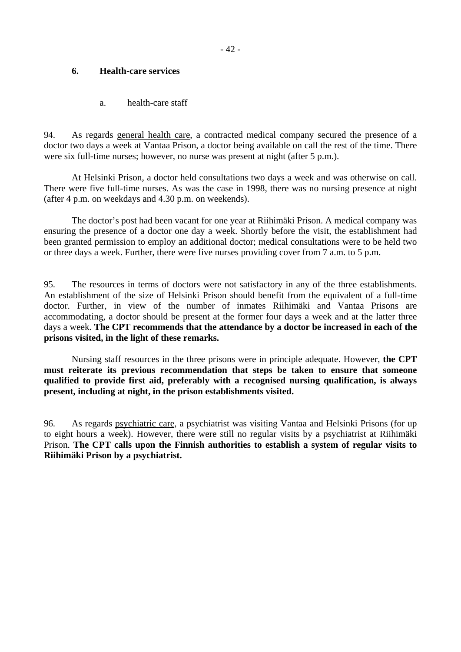# **6. Health-care services**

a. health-care staff

94. As regards general health care, a contracted medical company secured the presence of a doctor two days a week at Vantaa Prison, a doctor being available on call the rest of the time. There were six full-time nurses; however, no nurse was present at night (after 5 p.m.).

 At Helsinki Prison, a doctor held consultations two days a week and was otherwise on call. There were five full-time nurses. As was the case in 1998, there was no nursing presence at night (after 4 p.m. on weekdays and 4.30 p.m. on weekends).

 The doctor's post had been vacant for one year at Riihimäki Prison. A medical company was ensuring the presence of a doctor one day a week. Shortly before the visit, the establishment had been granted permission to employ an additional doctor; medical consultations were to be held two or three days a week. Further, there were five nurses providing cover from 7 a.m. to 5 p.m.

95. The resources in terms of doctors were not satisfactory in any of the three establishments. An establishment of the size of Helsinki Prison should benefit from the equivalent of a full-time doctor. Further, in view of the number of inmates Riihimäki and Vantaa Prisons are accommodating, a doctor should be present at the former four days a week and at the latter three days a week. **The CPT recommends that the attendance by a doctor be increased in each of the prisons visited, in the light of these remarks.** 

Nursing staff resources in the three prisons were in principle adequate. However, **the CPT must reiterate its previous recommendation that steps be taken to ensure that someone qualified to provide first aid, preferably with a recognised nursing qualification, is always present, including at night, in the prison establishments visited.** 

96. As regards psychiatric care, a psychiatrist was visiting Vantaa and Helsinki Prisons (for up to eight hours a week). However, there were still no regular visits by a psychiatrist at Riihimäki Prison. **The CPT calls upon the Finnish authorities to establish a system of regular visits to Riihimäki Prison by a psychiatrist.**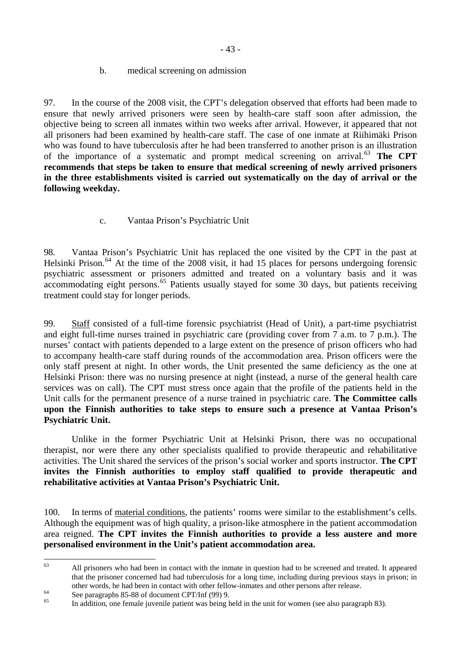- 43 -

# b. medical screening on admission

97. In the course of the 2008 visit, the CPT's delegation observed that efforts had been made to ensure that newly arrived prisoners were seen by health-care staff soon after admission, the objective being to screen all inmates within two weeks after arrival. However, it appeared that not all prisoners had been examined by health-care staff. The case of one inmate at Riihimäki Prison who was found to have tuberculosis after he had been transferred to another prison is an illustration of the importance of a systematic and prompt medical screening on arrival.[63](#page-42-0) **The CPT recommends that steps be taken to ensure that medical screening of newly arrived prisoners in the three establishments visited is carried out systematically on the day of arrival or the following weekday.**

# c. Vantaa Prison's Psychiatric Unit

98. Vantaa Prison's Psychiatric Unit has replaced the one visited by the CPT in the past at Helsinki Prison.<sup>[64](#page-42-1)</sup> At the time of the 2008 visit, it had 15 places for persons undergoing forensic psychiatric assessment or prisoners admitted and treated on a voluntary basis and it was  $\alpha$  accommodating eight persons.<sup>[65](#page-42-2)</sup> Patients usually stayed for some 30 days, but patients receiving treatment could stay for longer periods.

99. Staff consisted of a full-time forensic psychiatrist (Head of Unit), a part-time psychiatrist and eight full-time nurses trained in psychiatric care (providing cover from 7 a.m. to 7 p.m.). The nurses' contact with patients depended to a large extent on the presence of prison officers who had to accompany health-care staff during rounds of the accommodation area. Prison officers were the only staff present at night. In other words, the Unit presented the same deficiency as the one at Helsinki Prison: there was no nursing presence at night (instead, a nurse of the general health care services was on call). The CPT must stress once again that the profile of the patients held in the Unit calls for the permanent presence of a nurse trained in psychiatric care. **The Committee calls upon the Finnish authorities to take steps to ensure such a presence at Vantaa Prison's Psychiatric Unit.** 

 Unlike in the former Psychiatric Unit at Helsinki Prison, there was no occupational therapist, nor were there any other specialists qualified to provide therapeutic and rehabilitative activities. The Unit shared the services of the prison's social worker and sports instructor. **The CPT invites the Finnish authorities to employ staff qualified to provide therapeutic and rehabilitative activities at Vantaa Prison's Psychiatric Unit.**

100. In terms of material conditions, the patients' rooms were similar to the establishment's cells. Although the equipment was of high quality, a prison-like atmosphere in the patient accommodation area reigned. **The CPT invites the Finnish authorities to provide a less austere and more personalised environment in the Unit's patient accommodation area.** 

<span id="page-42-0"></span><sup>63</sup> 63 All prisoners who had been in contact with the inmate in question had to be screened and treated. It appeared that the prisoner concerned had had tuberculosis for a long time, including during previous stays in prison; in other words, he had been in contact with other fellow-inmates and other persons after release.<br>See paragraphs 85-88 of document CPT/Inf (99) 9.

<span id="page-42-1"></span>

<span id="page-42-2"></span><sup>65</sup> In addition, one female juvenile patient was being held in the unit for women (see also paragraph 83).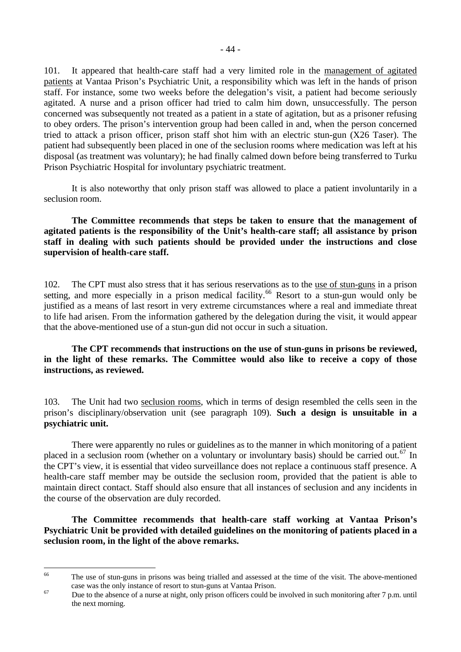101. It appeared that health-care staff had a very limited role in the management of agitated patients at Vantaa Prison's Psychiatric Unit, a responsibility which was left in the hands of prison staff. For instance, some two weeks before the delegation's visit, a patient had become seriously agitated. A nurse and a prison officer had tried to calm him down, unsuccessfully. The person concerned was subsequently not treated as a patient in a state of agitation, but as a prisoner refusing to obey orders. The prison's intervention group had been called in and, when the person concerned tried to attack a prison officer, prison staff shot him with an electric stun-gun (X26 Taser). The patient had subsequently been placed in one of the seclusion rooms where medication was left at his disposal (as treatment was voluntary); he had finally calmed down before being transferred to Turku Prison Psychiatric Hospital for involuntary psychiatric treatment.

 It is also noteworthy that only prison staff was allowed to place a patient involuntarily in a seclusion room.

**The Committee recommends that steps be taken to ensure that the management of agitated patients is the responsibility of the Unit's health-care staff; all assistance by prison staff in dealing with such patients should be provided under the instructions and close supervision of health-care staff.**

102. The CPT must also stress that it has serious reservations as to the use of stun-guns in a prison setting, and more especially in a prison medical facility.<sup>[66](#page-43-0)</sup> Resort to a stun-gun would only be justified as a means of last resort in very extreme circumstances where a real and immediate threat to life had arisen. From the information gathered by the delegation during the visit, it would appear that the above-mentioned use of a stun-gun did not occur in such a situation.

# **The CPT recommends that instructions on the use of stun-guns in prisons be reviewed, in the light of these remarks. The Committee would also like to receive a copy of those instructions, as reviewed.**

103. The Unit had two seclusion rooms, which in terms of design resembled the cells seen in the prison's disciplinary/observation unit (see paragraph 109). **Such a design is unsuitable in a psychiatric unit.**

 There were apparently no rules or guidelines as to the manner in which monitoring of a patient placed in a seclusion room (whether on a voluntary or involuntary basis) should be carried out.<sup>[67](#page-43-1)</sup> In the CPT's view, it is essential that video surveillance does not replace a continuous staff presence. A health-care staff member may be outside the seclusion room, provided that the patient is able to maintain direct contact. Staff should also ensure that all instances of seclusion and any incidents in the course of the observation are duly recorded.

**The Committee recommends that health-care staff working at Vantaa Prison's Psychiatric Unit be provided with detailed guidelines on the monitoring of patients placed in a seclusion room, in the light of the above remarks.** 

<span id="page-43-0"></span><sup>66</sup> The use of stun-guns in prisons was being trialled and assessed at the time of the visit. The above-mentioned case was the only instance of resort to stun-guns at Vantaa Prison.<br>Due to the absence of a nurse at night, only prison officers could be involved in such monitoring after 7 p.m. until

<span id="page-43-1"></span>the next morning.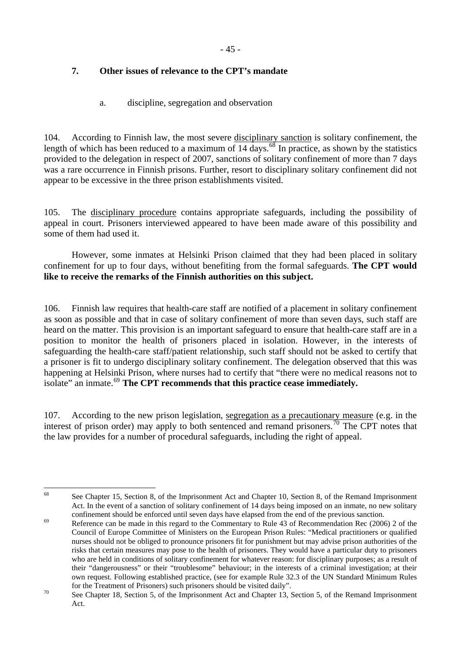# **7. Other issues of relevance to the CPT's mandate**

a. discipline, segregation and observation

104. According to Finnish law, the most severe disciplinary sanction is solitary confinement, the length of which has been reduced to a maximum of  $\overline{14}$  days.<sup>[68](#page-44-0)</sup> In practice, as shown by the statistics provided to the delegation in respect of 2007, sanctions of solitary confinement of more than 7 days was a rare occurrence in Finnish prisons. Further, resort to disciplinary solitary confinement did not appear to be excessive in the three prison establishments visited.

105. The disciplinary procedure contains appropriate safeguards, including the possibility of appeal in court. Prisoners interviewed appeared to have been made aware of this possibility and some of them had used it.

 However, some inmates at Helsinki Prison claimed that they had been placed in solitary confinement for up to four days, without benefiting from the formal safeguards. **The CPT would like to receive the remarks of the Finnish authorities on this subject.**

106. Finnish law requires that health-care staff are notified of a placement in solitary confinement as soon as possible and that in case of solitary confinement of more than seven days, such staff are heard on the matter. This provision is an important safeguard to ensure that health-care staff are in a position to monitor the health of prisoners placed in isolation. However, in the interests of safeguarding the health-care staff/patient relationship, such staff should not be asked to certify that a prisoner is fit to undergo disciplinary solitary confinement. The delegation observed that this was happening at Helsinki Prison, where nurses had to certify that "there were no medical reasons not to isolate" an inmate.[69](#page-44-1) **The CPT recommends that this practice cease immediately.**

107. According to the new prison legislation, segregation as a precautionary measure (e.g. in the interest of prison order) may apply to both sentenced and remand prisoners.<sup>[70](#page-44-2)</sup> The CPT notes that the law provides for a number of procedural safeguards, including the right of appeal.

<span id="page-44-0"></span>68

See Chapter 15, Section 8, of the Imprisonment Act and Chapter 10, Section 8, of the Remand Imprisonment Act. In the event of a sanction of solitary confinement of 14 days being imposed on an inmate, no new solitary

<span id="page-44-1"></span>confinement should be enforced until seven days have elapsed from the end of the previous sanction.<br>Reference can be made in this regard to the Commentary to Rule 43 of Recommendation Rec (2006) 2 of the Council of Europe Committee of Ministers on the European Prison Rules: "Medical practitioners or qualified nurses should not be obliged to pronounce prisoners fit for punishment but may advise prison authorities of the risks that certain measures may pose to the health of prisoners. They would have a particular duty to prisoners who are held in conditions of solitary confinement for whatever reason: for disciplinary purposes; as a result of their "dangerousness" or their "troublesome" behaviour; in the interests of a criminal investigation; at their own request. Following established practice, (see for example Rule 32.3 of the UN Standard Minimum Rules

<span id="page-44-2"></span>for the Treatment of Prisoners) such prisoners should be visited daily".<br>See Chapter 18, Section 5, of the Imprisonment Act and Chapter 13, Section 5, of the Remand Imprisonment Act.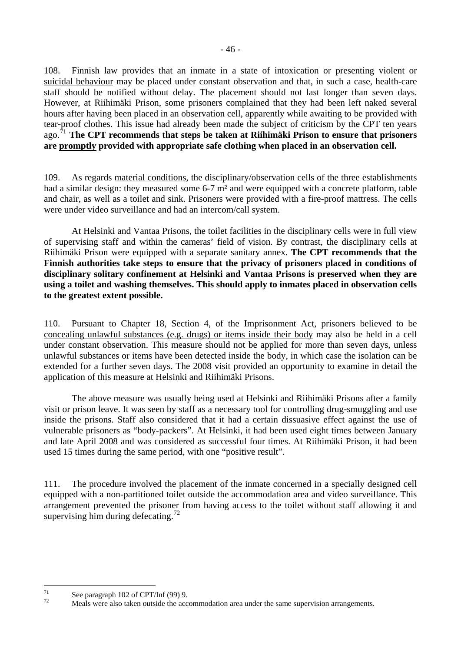108. Finnish law provides that an inmate in a state of intoxication or presenting violent or suicidal behaviour may be placed under constant observation and that, in such a case, health-care staff should be notified without delay. The placement should not last longer than seven days. However, at Riihimäki Prison, some prisoners complained that they had been left naked several hours after having been placed in an observation cell, apparently while awaiting to be provided with tear-proof clothes. This issue had already been made the subject of criticism by the CPT ten years ago.[71](#page-45-0) **The CPT recommends that steps be taken at Riihimäki Prison to ensure that prisoners are promptly provided with appropriate safe clothing when placed in an observation cell.**

109. As regards material conditions, the disciplinary/observation cells of the three establishments had a similar design: they measured some 6-7 m<sup>2</sup> and were equipped with a concrete platform, table and chair, as well as a toilet and sink. Prisoners were provided with a fire-proof mattress. The cells were under video surveillance and had an intercom/call system.

 At Helsinki and Vantaa Prisons, the toilet facilities in the disciplinary cells were in full view of supervising staff and within the cameras' field of vision. By contrast, the disciplinary cells at Riihimäki Prison were equipped with a separate sanitary annex. **The CPT recommends that the Finnish authorities take steps to ensure that the privacy of prisoners placed in conditions of disciplinary solitary confinement at Helsinki and Vantaa Prisons is preserved when they are using a toilet and washing themselves. This should apply to inmates placed in observation cells to the greatest extent possible.**

110. Pursuant to Chapter 18, Section 4, of the Imprisonment Act, prisoners believed to be concealing unlawful substances (e.g. drugs) or items inside their body may also be held in a cell under constant observation. This measure should not be applied for more than seven days, unless unlawful substances or items have been detected inside the body, in which case the isolation can be extended for a further seven days. The 2008 visit provided an opportunity to examine in detail the application of this measure at Helsinki and Riihimäki Prisons.

 The above measure was usually being used at Helsinki and Riihimäki Prisons after a family visit or prison leave. It was seen by staff as a necessary tool for controlling drug-smuggling and use inside the prisons. Staff also considered that it had a certain dissuasive effect against the use of vulnerable prisoners as "body-packers". At Helsinki, it had been used eight times between January and late April 2008 and was considered as successful four times. At Riihimäki Prison, it had been used 15 times during the same period, with one "positive result".

111. The procedure involved the placement of the inmate concerned in a specially designed cell equipped with a non-partitioned toilet outside the accommodation area and video surveillance. This arrangement prevented the prisoner from having access to the toilet without staff allowing it and supervising him during defecating.<sup>[72](#page-45-1)</sup>

<span id="page-45-0"></span> $71$  $\frac{71}{72}$  See paragraph 102 of CPT/Inf (99) 9.

<span id="page-45-1"></span><sup>72</sup> Meals were also taken outside the accommodation area under the same supervision arrangements.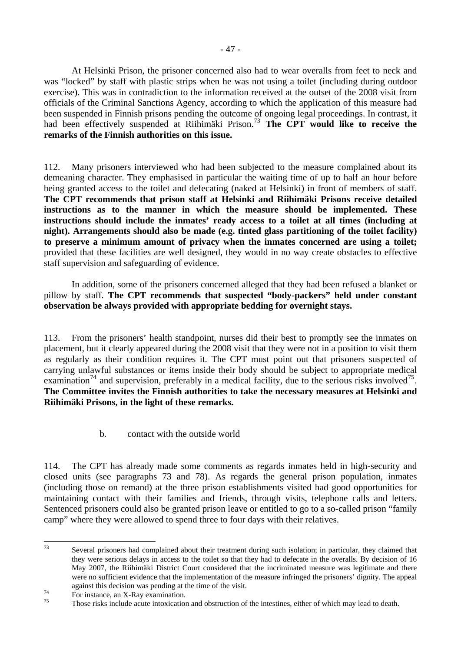At Helsinki Prison, the prisoner concerned also had to wear overalls from feet to neck and was "locked" by staff with plastic strips when he was not using a toilet (including during outdoor exercise). This was in contradiction to the information received at the outset of the 2008 visit from officials of the Criminal Sanctions Agency, according to which the application of this measure had been suspended in Finnish prisons pending the outcome of ongoing legal proceedings. In contrast, it had been effectively suspended at Riihimäki Prison.<sup>[73](#page-46-0)</sup> The CPT would like to receive the **remarks of the Finnish authorities on this issue.**

112. Many prisoners interviewed who had been subjected to the measure complained about its demeaning character. They emphasised in particular the waiting time of up to half an hour before being granted access to the toilet and defecating (naked at Helsinki) in front of members of staff. **The CPT recommends that prison staff at Helsinki and Riihimäki Prisons receive detailed instructions as to the manner in which the measure should be implemented. These instructions should include the inmates' ready access to a toilet at all times (including at night). Arrangements should also be made (e.g. tinted glass partitioning of the toilet facility) to preserve a minimum amount of privacy when the inmates concerned are using a toilet;**  provided that these facilities are well designed, they would in no way create obstacles to effective staff supervision and safeguarding of evidence.

 In addition, some of the prisoners concerned alleged that they had been refused a blanket or pillow by staff. **The CPT recommends that suspected "body-packers" held under constant observation be always provided with appropriate bedding for overnight stays.**

113. From the prisoners' health standpoint, nurses did their best to promptly see the inmates on placement, but it clearly appeared during the 2008 visit that they were not in a position to visit them as regularly as their condition requires it. The CPT must point out that prisoners suspected of carrying unlawful substances or items inside their body should be subject to appropriate medical examination<sup>[74](#page-46-1)</sup> and supervision, preferably in a medical facility, due to the serious risks involved<sup>[75](#page-46-2)</sup>. **The Committee invites the Finnish authorities to take the necessary measures at Helsinki and Riihimäki Prisons, in the light of these remarks.**

b. contact with the outside world

114. The CPT has already made some comments as regards inmates held in high-security and closed units (see paragraphs 73 and 78). As regards the general prison population, inmates (including those on remand) at the three prison establishments visited had good opportunities for maintaining contact with their families and friends, through visits, telephone calls and letters. Sentenced prisoners could also be granted prison leave or entitled to go to a so-called prison "family camp" where they were allowed to spend three to four days with their relatives.

<span id="page-46-0"></span><sup>73</sup> Several prisoners had complained about their treatment during such isolation; in particular, they claimed that they were serious delays in access to the toilet so that they had to defecate in the overalls. By decision of 16 May 2007, the Riihimäki District Court considered that the incriminated measure was legitimate and there were no sufficient evidence that the implementation of the measure infringed the prisoners' dignity. The appeal against this decision was pending at the time of the visit.<br>For instance, an X-Ray examination.

<span id="page-46-2"></span><span id="page-46-1"></span>

Those risks include acute intoxication and obstruction of the intestines, either of which may lead to death.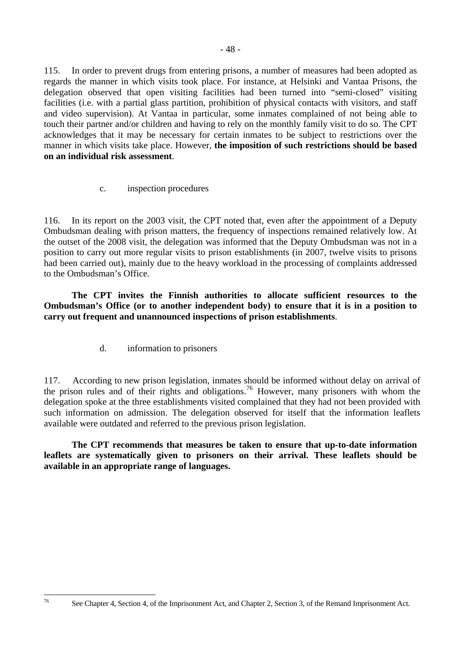facilities (i.e. with a partial glass partition, prohibition of physical contacts with visitors, and staff and video supervision). At Vantaa in particular, some inmates complained of not being able to touch their partner and/or children and having to rely on the monthly family visit to do so. The CPT acknowledges that it may be necessary for certain inmates to be subject to restrictions over the manner in which visits take place. However, **the imposition of such restrictions should be based on an individual risk assessment**.

c. inspection procedures

116. In its report on the 2003 visit, the CPT noted that, even after the appointment of a Deputy Ombudsman dealing with prison matters, the frequency of inspections remained relatively low. At the outset of the 2008 visit, the delegation was informed that the Deputy Ombudsman was not in a position to carry out more regular visits to prison establishments (in 2007, twelve visits to prisons had been carried out), mainly due to the heavy workload in the processing of complaints addressed to the Ombudsman's Office.

**The CPT invites the Finnish authorities to allocate sufficient resources to the Ombudsman's Office (or to another independent body) to ensure that it is in a position to carry out frequent and unannounced inspections of prison establishments**.

d. information to prisoners

<span id="page-47-0"></span>76

117. According to new prison legislation, inmates should be informed without delay on arrival of the prison rules and of their rights and obligations.[76](#page-47-0) However, many prisoners with whom the delegation spoke at the three establishments visited complained that they had not been provided with such information on admission. The delegation observed for itself that the information leaflets available were outdated and referred to the previous prison legislation.

**The CPT recommends that measures be taken to ensure that up-to-date information leaflets are systematically given to prisoners on their arrival. These leaflets should be available in an appropriate range of languages.**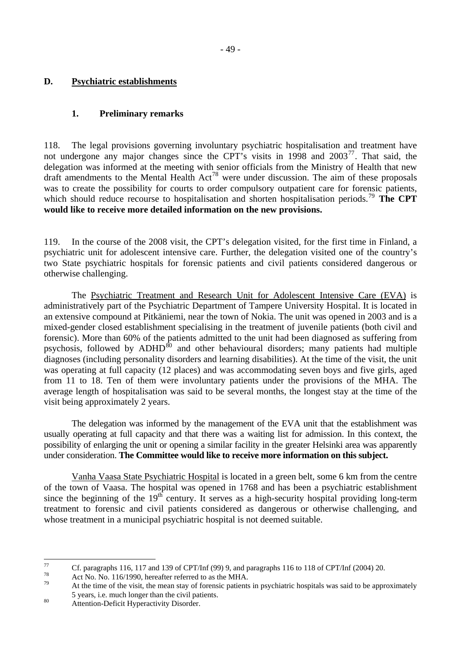# **D. Psychiatric establishments**

# **1. Preliminary remarks**

118. The legal provisions governing involuntary psychiatric hospitalisation and treatment have not undergone any major changes since the CPT's visits in 1998 and  $2003^{77}$  $2003^{77}$  $2003^{77}$ . That said, the delegation was informed at the meeting with senior officials from the Ministry of Health that new draft amendments to the Mental Health  $Act^{78}$  $Act^{78}$  $Act^{78}$  were under discussion. The aim of these proposals was to create the possibility for courts to order compulsory outpatient care for forensic patients, which should reduce recourse to hospitalisation and shorten hospitalisation periods.<sup>[79](#page-48-2)</sup> **The CPT would like to receive more detailed information on the new provisions.** 

119. In the course of the 2008 visit, the CPT's delegation visited, for the first time in Finland, a psychiatric unit for adolescent intensive care. Further, the delegation visited one of the country's two State psychiatric hospitals for forensic patients and civil patients considered dangerous or otherwise challenging.

 The Psychiatric Treatment and Research Unit for Adolescent Intensive Care (EVA) is administratively part of the Psychiatric Department of Tampere University Hospital. It is located in an extensive compound at Pitkäniemi, near the town of Nokia. The unit was opened in 2003 and is a mixed-gender closed establishment specialising in the treatment of juvenile patients (both civil and forensic). More than 60% of the patients admitted to the unit had been diagnosed as suffering from psychosis, followed by ADHD<sup>[80](#page-48-3)</sup> and other behavioural disorders; many patients had multiple diagnoses (including personality disorders and learning disabilities). At the time of the visit, the unit was operating at full capacity (12 places) and was accommodating seven boys and five girls, aged from 11 to 18. Ten of them were involuntary patients under the provisions of the MHA. The average length of hospitalisation was said to be several months, the longest stay at the time of the visit being approximately 2 years.

 The delegation was informed by the management of the EVA unit that the establishment was usually operating at full capacity and that there was a waiting list for admission. In this context, the possibility of enlarging the unit or opening a similar facility in the greater Helsinki area was apparently under consideration. **The Committee would like to receive more information on this subject.** 

Vanha Vaasa State Psychiatric Hospital is located in a green belt, some 6 km from the centre of the town of Vaasa. The hospital was opened in 1768 and has been a psychiatric establishment since the beginning of the 19<sup>th</sup> century. It serves as a high-security hospital providing long-term treatment to forensic and civil patients considered as dangerous or otherwise challenging, and whose treatment in a municipal psychiatric hospital is not deemed suitable.

<span id="page-48-0"></span> $77$ <sup>77</sup> Cf. paragraphs 116, 117 and 139 of CPT/Inf (99) 9, and paragraphs 116 to 118 of CPT/Inf (2004) 20.

<span id="page-48-1"></span><sup>&</sup>lt;sup>78</sup> Act No. No. 116/1990, hereafter referred to as the MHA.

<span id="page-48-2"></span>At the time of the visit, the mean stay of forensic patients in psychiatric hospitals was said to be approximately 5 years, i.e. much longer than the civil patients. 80 Attention-Deficit Hyperactivity Disorder.

<span id="page-48-3"></span>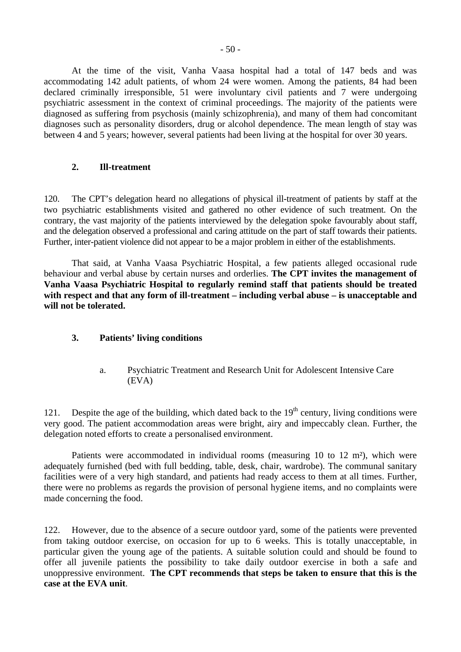At the time of the visit, Vanha Vaasa hospital had a total of 147 beds and was accommodating 142 adult patients, of whom 24 were women. Among the patients, 84 had been declared criminally irresponsible, 51 were involuntary civil patients and 7 were undergoing psychiatric assessment in the context of criminal proceedings. The majority of the patients were diagnosed as suffering from psychosis (mainly schizophrenia), and many of them had concomitant diagnoses such as personality disorders, drug or alcohol dependence. The mean length of stay was between 4 and 5 years; however, several patients had been living at the hospital for over 30 years.

# **2. Ill-treatment**

120. The CPT's delegation heard no allegations of physical ill-treatment of patients by staff at the two psychiatric establishments visited and gathered no other evidence of such treatment. On the contrary, the vast majority of the patients interviewed by the delegation spoke favourably about staff, and the delegation observed a professional and caring attitude on the part of staff towards their patients. Further, inter-patient violence did not appear to be a major problem in either of the establishments.

 That said, at Vanha Vaasa Psychiatric Hospital, a few patients alleged occasional rude behaviour and verbal abuse by certain nurses and orderlies. **The CPT invites the management of Vanha Vaasa Psychiatric Hospital to regularly remind staff that patients should be treated with respect and that any form of ill-treatment – including verbal abuse – is unacceptable and will not be tolerated.** 

# **3. Patients' living conditions**

a. Psychiatric Treatment and Research Unit for Adolescent Intensive Care (EVA)

121. Despite the age of the building, which dated back to the  $19<sup>th</sup>$  century, living conditions were very good. The patient accommodation areas were bright, airy and impeccably clean. Further, the delegation noted efforts to create a personalised environment.

 Patients were accommodated in individual rooms (measuring 10 to 12 m²), which were adequately furnished (bed with full bedding, table, desk, chair, wardrobe). The communal sanitary facilities were of a very high standard, and patients had ready access to them at all times. Further, there were no problems as regards the provision of personal hygiene items, and no complaints were made concerning the food.

122. However, due to the absence of a secure outdoor yard, some of the patients were prevented from taking outdoor exercise, on occasion for up to 6 weeks. This is totally unacceptable, in particular given the young age of the patients. A suitable solution could and should be found to offer all juvenile patients the possibility to take daily outdoor exercise in both a safe and unoppressive environment. **The CPT recommends that steps be taken to ensure that this is the case at the EVA unit**.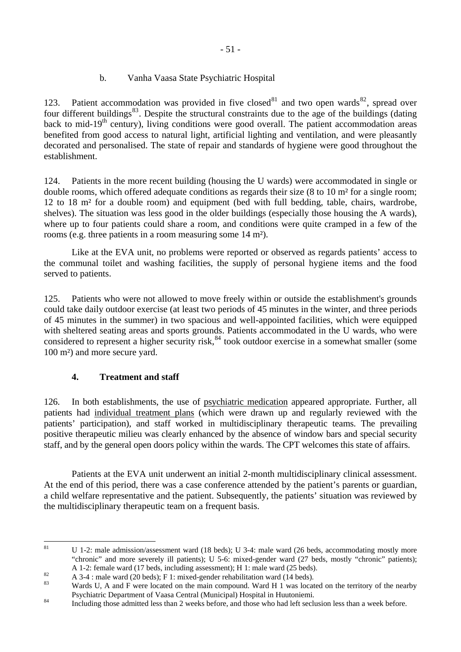# b. Vanha Vaasa State Psychiatric Hospital

123. Patient accommodation was provided in five closed<sup>[81](#page-50-0)</sup> and two open wards<sup>[82](#page-50-1)</sup>, spread over four different buildings $83$ . Despite the structural constraints due to the age of the buildings (dating back to mid-19<sup>th</sup> century), living conditions were good overall. The patient accommodation areas benefited from good access to natural light, artificial lighting and ventilation, and were pleasantly decorated and personalised. The state of repair and standards of hygiene were good throughout the establishment.

124. Patients in the more recent building (housing the U wards) were accommodated in single or double rooms, which offered adequate conditions as regards their size (8 to 10 m² for a single room; 12 to 18 m² for a double room) and equipment (bed with full bedding, table, chairs, wardrobe, shelves). The situation was less good in the older buildings (especially those housing the A wards), where up to four patients could share a room, and conditions were quite cramped in a few of the rooms (e.g. three patients in a room measuring some 14 m²).

 Like at the EVA unit, no problems were reported or observed as regards patients' access to the communal toilet and washing facilities, the supply of personal hygiene items and the food served to patients.

125. Patients who were not allowed to move freely within or outside the establishment's grounds could take daily outdoor exercise (at least two periods of 45 minutes in the winter, and three periods of 45 minutes in the summer) in two spacious and well-appointed facilities, which were equipped with sheltered seating areas and sports grounds. Patients accommodated in the U wards, who were considered to represent a higher security risk,  $84$  took outdoor exercise in a somewhat smaller (some 100 m²) and more secure yard.

# **4. Treatment and staff**

126. In both establishments, the use of psychiatric medication appeared appropriate. Further, all patients had individual treatment plans (which were drawn up and regularly reviewed with the patients' participation), and staff worked in multidisciplinary therapeutic teams. The prevailing positive therapeutic milieu was clearly enhanced by the absence of window bars and special security staff, and by the general open doors policy within the wards. The CPT welcomes this state of affairs.

 Patients at the EVA unit underwent an initial 2-month multidisciplinary clinical assessment. At the end of this period, there was a case conference attended by the patient's parents or guardian, a child welfare representative and the patient. Subsequently, the patients' situation was reviewed by the multidisciplinary therapeutic team on a frequent basis.

<span id="page-50-0"></span><sup>81</sup> 81 U 1-2: male admission/assessment ward (18 beds); U 3-4: male ward (26 beds, accommodating mostly more "chronic" and more severely ill patients); U 5-6: mixed-gender ward (27 beds, mostly "chronic" patients);

A 1-2: female ward (17 beds, including assessment); H 1: male ward (25 beds).<br>A 3-4 : male ward (20 beds); F 1: mixed-gender rehabilitation ward (14 beds).

<span id="page-50-2"></span><span id="page-50-1"></span>Wards U, A and F were located on the main compound. Ward H 1 was located on the territory of the nearby Psychiatric Department of Vaasa Central (Municipal) Hospital in Huutoniemi.<br><sup>84</sup> Including those admitted less than 2 weeks before, and those who had left seclusion less than a week before.

<span id="page-50-3"></span>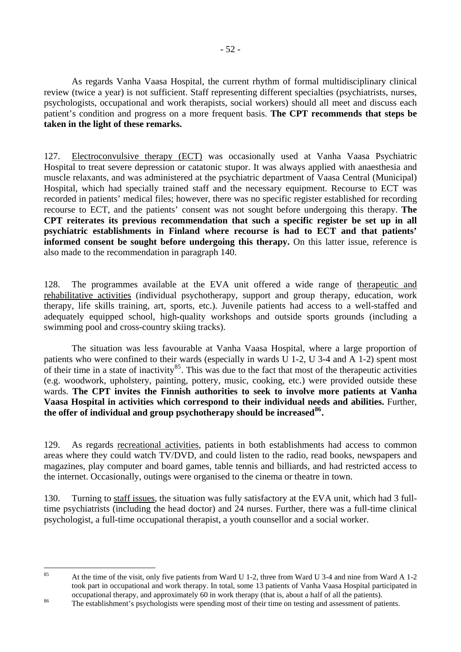As regards Vanha Vaasa Hospital, the current rhythm of formal multidisciplinary clinical review (twice a year) is not sufficient. Staff representing different specialties (psychiatrists, nurses, psychologists, occupational and work therapists, social workers) should all meet and discuss each patient's condition and progress on a more frequent basis. **The CPT recommends that steps be taken in the light of these remarks.** 

127. Electroconvulsive therapy (ECT) was occasionally used at Vanha Vaasa Psychiatric Hospital to treat severe depression or catatonic stupor. It was always applied with anaesthesia and muscle relaxants, and was administered at the psychiatric department of Vaasa Central (Municipal) Hospital, which had specially trained staff and the necessary equipment. Recourse to ECT was recorded in patients' medical files; however, there was no specific register established for recording recourse to ECT, and the patients' consent was not sought before undergoing this therapy. **The CPT reiterates its previous recommendation that such a specific register be set up in all psychiatric establishments in Finland where recourse is had to ECT and that patients' informed consent be sought before undergoing this therapy.** On this latter issue, reference is also made to the recommendation in paragraph 140.

128. The programmes available at the EVA unit offered a wide range of therapeutic and rehabilitative activities (individual psychotherapy, support and group therapy, education, work therapy, life skills training, art, sports, etc.). Juvenile patients had access to a well-staffed and adequately equipped school, high-quality workshops and outside sports grounds (including a swimming pool and cross-country skiing tracks).

 The situation was less favourable at Vanha Vaasa Hospital, where a large proportion of patients who were confined to their wards (especially in wards U 1-2, U 3-4 and A 1-2) spent most of their time in a state of inactivity<sup>[85](#page-51-0)</sup>. This was due to the fact that most of the therapeutic activities (e.g. woodwork, upholstery, painting, pottery, music, cooking, etc.) were provided outside these wards. **The CPT invites the Finnish authorities to seek to involve more patients at Vanha Vaasa Hospital in activities which correspond to their individual needs and abilities.** Further, **the offer of individual and group psychotherapy should be increased[86](#page-51-1).** 

129. As regards recreational activities, patients in both establishments had access to common areas where they could watch TV/DVD, and could listen to the radio, read books, newspapers and magazines, play computer and board games, table tennis and billiards, and had restricted access to the internet. Occasionally, outings were organised to the cinema or theatre in town.

130. Turning to staff issues, the situation was fully satisfactory at the EVA unit, which had 3 fulltime psychiatrists (including the head doctor) and 24 nurses. Further, there was a full-time clinical psychologist, a full-time occupational therapist, a youth counsellor and a social worker.

<span id="page-51-0"></span> $85$ 85 At the time of the visit, only five patients from Ward U 1-2, three from Ward U 3-4 and nine from Ward A 1-2 took part in occupational and work therapy. In total, some 13 patients of Vanha Vaasa Hospital participated in occupational therapy, and approximately 60 in work therapy (that is, about a half of all the patients).<br><sup>86</sup> The establishment's psychologists were spending most of their time on testing and assessment of patients.

<span id="page-51-1"></span>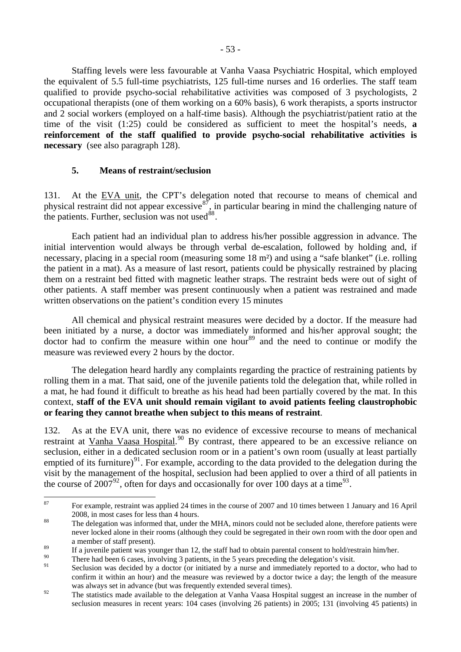Staffing levels were less favourable at Vanha Vaasa Psychiatric Hospital, which employed the equivalent of 5.5 full-time psychiatrists, 125 full-time nurses and 16 orderlies. The staff team qualified to provide psycho-social rehabilitative activities was composed of 3 psychologists, 2 occupational therapists (one of them working on a 60% basis), 6 work therapists, a sports instructor and 2 social workers (employed on a half-time basis). Although the psychiatrist/patient ratio at the time of the visit (1:25) could be considered as sufficient to meet the hospital's needs, **a reinforcement of the staff qualified to provide psycho-social rehabilitative activities is necessary** (see also paragraph 128).

# **5. Means of restraint/seclusion**

131. At the EVA unit, the CPT's delegation noted that recourse to means of chemical and physical restraint did not appear excessive  $\frac{87}{7}$  $\frac{87}{7}$  $\frac{87}{7}$ , in particular bearing in mind the challenging nature of the patients. Further, seclusion was not used $^{88}$  $^{88}$  $^{88}$ .

 Each patient had an individual plan to address his/her possible aggression in advance. The initial intervention would always be through verbal de-escalation, followed by holding and, if necessary, placing in a special room (measuring some 18 m²) and using a "safe blanket" (i.e. rolling the patient in a mat). As a measure of last resort, patients could be physically restrained by placing them on a restraint bed fitted with magnetic leather straps. The restraint beds were out of sight of other patients. A staff member was present continuously when a patient was restrained and made written observations on the patient's condition every 15 minutes

 All chemical and physical restraint measures were decided by a doctor. If the measure had been initiated by a nurse, a doctor was immediately informed and his/her approval sought; the doctor had to confirm the measure within one hour<sup>[89](#page-52-2)</sup> and the need to continue or modify the measure was reviewed every 2 hours by the doctor.

 The delegation heard hardly any complaints regarding the practice of restraining patients by rolling them in a mat. That said, one of the juvenile patients told the delegation that, while rolled in a mat, he had found it difficult to breathe as his head had been partially covered by the mat. In this context, **staff of the EVA unit should remain vigilant to avoid patients feeling claustrophobic or fearing they cannot breathe when subject to this means of restraint**.

132. As at the EVA unit, there was no evidence of excessive recourse to means of mechanical restraint at Vanha Vaasa Hospital.<sup>[90](#page-52-3)</sup> By contrast, there appeared to be an excessive reliance on seclusion, either in a dedicated seclusion room or in a patient's own room (usually at least partially emptied of its furniture)<sup>[91](#page-52-4)</sup>. For example, according to the data provided to the delegation during the visit by the management of the hospital, seclusion had been applied to over a third of all patients in the course of 2007<sup>[92](#page-52-5)</sup>, often for days and occasionally for over 100 days at a time<sup>[93](#page-52-5)</sup>.

<span id="page-52-0"></span><sup>87</sup> 87 For example, restraint was applied 24 times in the course of 2007 and 10 times between 1 January and 16 April

<span id="page-52-1"></span><sup>2008,</sup> in most cases for less than 4 hours.<br><sup>88</sup> The delegation was informed that, under the MHA, minors could not be secluded alone, therefore patients were never locked alone in their rooms (although they could be segregated in their own room with the door open and a member of staff present).

<span id="page-52-2"></span> $\frac{89}{20}$  If a juvenile patient was younger than 12, the staff had to obtain parental consent to hold/restrain him/her.

<span id="page-52-4"></span><span id="page-52-3"></span><sup>&</sup>lt;sup>90</sup> There had been 6 cases, involving 3 patients, in the 5 years preceding the delegation's visit.

Seclusion was decided by a doctor (or initiated by a nurse and immediately reported to a doctor, who had to confirm it within an hour) and the measure was reviewed by a doctor twice a day; the length of the measure was always set in advance (but was frequently extended several times).

<span id="page-52-5"></span><sup>&</sup>lt;sup>92</sup> The statistics made available to the delegation at Vanha Vaasa Hospital suggest an increase in the number of seclusion measures in recent years: 104 cases (involving 26 patients) in 2005; 131 (involving 45 patients) in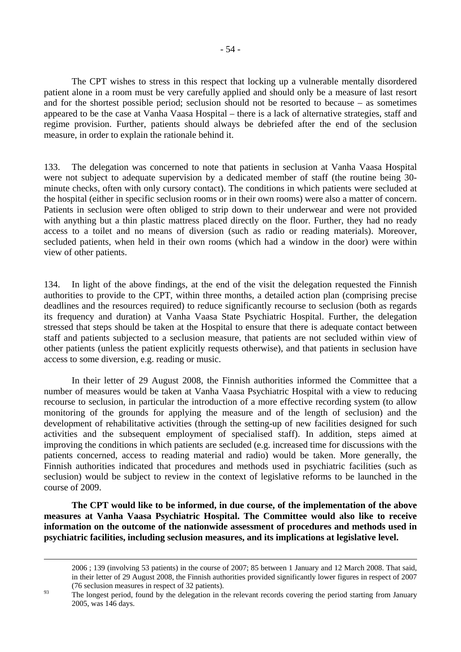The CPT wishes to stress in this respect that locking up a vulnerable mentally disordered patient alone in a room must be very carefully applied and should only be a measure of last resort and for the shortest possible period; seclusion should not be resorted to because – as sometimes appeared to be the case at Vanha Vaasa Hospital – there is a lack of alternative strategies, staff and regime provision. Further, patients should always be debriefed after the end of the seclusion measure, in order to explain the rationale behind it.

133. The delegation was concerned to note that patients in seclusion at Vanha Vaasa Hospital were not subject to adequate supervision by a dedicated member of staff (the routine being 30 minute checks, often with only cursory contact). The conditions in which patients were secluded at the hospital (either in specific seclusion rooms or in their own rooms) were also a matter of concern. Patients in seclusion were often obliged to strip down to their underwear and were not provided with anything but a thin plastic mattress placed directly on the floor. Further, they had no ready access to a toilet and no means of diversion (such as radio or reading materials). Moreover, secluded patients, when held in their own rooms (which had a window in the door) were within view of other patients.

134. In light of the above findings, at the end of the visit the delegation requested the Finnish authorities to provide to the CPT, within three months, a detailed action plan (comprising precise deadlines and the resources required) to reduce significantly recourse to seclusion (both as regards its frequency and duration) at Vanha Vaasa State Psychiatric Hospital. Further, the delegation stressed that steps should be taken at the Hospital to ensure that there is adequate contact between staff and patients subjected to a seclusion measure, that patients are not secluded within view of other patients (unless the patient explicitly requests otherwise), and that patients in seclusion have access to some diversion, e.g. reading or music.

 In their letter of 29 August 2008, the Finnish authorities informed the Committee that a number of measures would be taken at Vanha Vaasa Psychiatric Hospital with a view to reducing recourse to seclusion, in particular the introduction of a more effective recording system (to allow monitoring of the grounds for applying the measure and of the length of seclusion) and the development of rehabilitative activities (through the setting-up of new facilities designed for such activities and the subsequent employment of specialised staff). In addition, steps aimed at improving the conditions in which patients are secluded (e.g. increased time for discussions with the patients concerned, access to reading material and radio) would be taken. More generally, the Finnish authorities indicated that procedures and methods used in psychiatric facilities (such as seclusion) would be subject to review in the context of legislative reforms to be launched in the course of 2009.

**The CPT would like to be informed, in due course, of the implementation of the above measures at Vanha Vaasa Psychiatric Hospital. The Committee would also like to receive information on the outcome of the nationwide assessment of procedures and methods used in psychiatric facilities, including seclusion measures, and its implications at legislative level.**

 $\overline{a}$ 

<sup>2006 ; 139 (</sup>involving 53 patients) in the course of 2007; 85 between 1 January and 12 March 2008. That said, in their letter of 29 August 2008, the Finnish authorities provided significantly lower figures in respect of 2007 (76 seclusion measures in respect of 32 patients).

<sup>&</sup>lt;sup>93</sup><br>The longest period, found by the delegation in the relevant records covering the period starting from January 2005, was 146 days.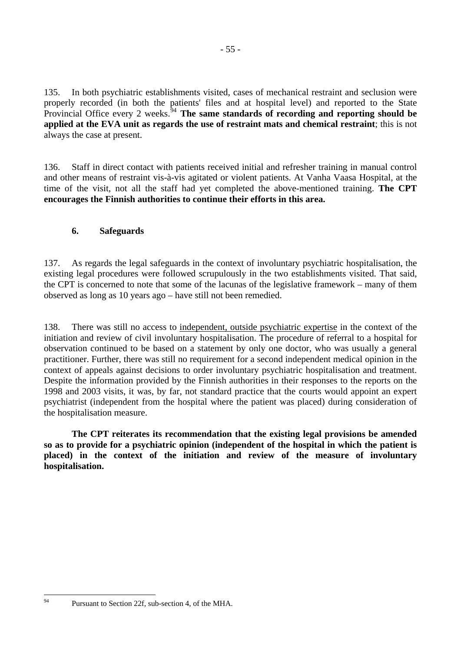135. In both psychiatric establishments visited, cases of mechanical restraint and seclusion were properly recorded (in both the patients' files and at hospital level) and reported to the State Provincial Office every 2 weeks.<sup>[94](#page-54-0)</sup> **The same standards of recording and reporting should be applied at the EVA unit as regards the use of restraint mats and chemical restraint**; this is not always the case at present.

136. Staff in direct contact with patients received initial and refresher training in manual control and other means of restraint vis-à-vis agitated or violent patients. At Vanha Vaasa Hospital, at the time of the visit, not all the staff had yet completed the above-mentioned training. **The CPT encourages the Finnish authorities to continue their efforts in this area.** 

# **6. Safeguards**

137. As regards the legal safeguards in the context of involuntary psychiatric hospitalisation, the existing legal procedures were followed scrupulously in the two establishments visited. That said, the CPT is concerned to note that some of the lacunas of the legislative framework – many of them observed as long as 10 years ago – have still not been remedied.

138. There was still no access to independent, outside psychiatric expertise in the context of the initiation and review of civil involuntary hospitalisation. The procedure of referral to a hospital for observation continued to be based on a statement by only one doctor, who was usually a general practitioner. Further, there was still no requirement for a second independent medical opinion in the context of appeals against decisions to order involuntary psychiatric hospitalisation and treatment. Despite the information provided by the Finnish authorities in their responses to the reports on the 1998 and 2003 visits, it was, by far, not standard practice that the courts would appoint an expert psychiatrist (independent from the hospital where the patient was placed) during consideration of the hospitalisation measure.

 **The CPT reiterates its recommendation that the existing legal provisions be amended so as to provide for a psychiatric opinion (independent of the hospital in which the patient is placed) in the context of the initiation and review of the measure of involuntary hospitalisation.** 

<span id="page-54-0"></span> $Q\Delta$ 

Pursuant to Section 22f, sub-section 4, of the MHA.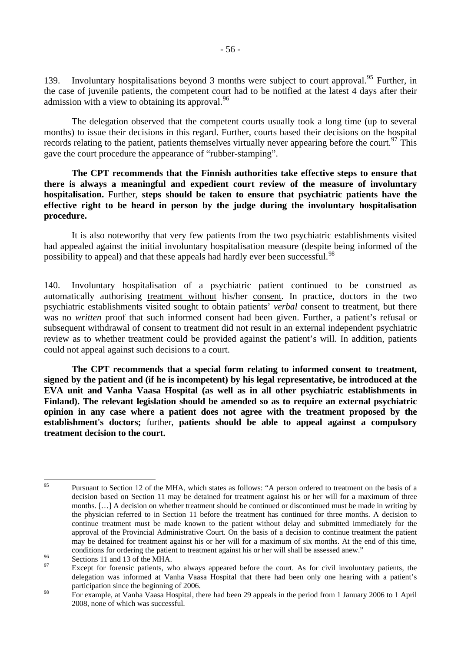139. Involuntary hospitalisations beyond 3 months were subject to court approval.<sup>[95](#page-55-0)</sup> Further, in the case of juvenile patients, the competent court had to be notified at the latest 4 days after their admission with a view to obtaining its approval.  $96$ 

 The delegation observed that the competent courts usually took a long time (up to several months) to issue their decisions in this regard. Further, courts based their decisions on the hospital records relating to the patient, patients themselves virtually never appearing before the court.<sup>[97](#page-55-2)</sup> This gave the court procedure the appearance of "rubber-stamping".

**The CPT recommends that the Finnish authorities take effective steps to ensure that there is always a meaningful and expedient court review of the measure of involuntary hospitalisation.** Further, **steps should be taken to ensure that psychiatric patients have the effective right to be heard in person by the judge during the involuntary hospitalisation procedure.** 

 It is also noteworthy that very few patients from the two psychiatric establishments visited had appealed against the initial involuntary hospitalisation measure (despite being informed of the possibility to appeal) and that these appeals had hardly ever been successful.<sup>[98](#page-55-3)</sup>

140. Involuntary hospitalisation of a psychiatric patient continued to be construed as automatically authorising treatment without his/her consent. In practice, doctors in the two psychiatric establishments visited sought to obtain patients' *verbal* consent to treatment, but there was no *written* proof that such informed consent had been given. Further, a patient's refusal or subsequent withdrawal of consent to treatment did not result in an external independent psychiatric review as to whether treatment could be provided against the patient's will. In addition, patients could not appeal against such decisions to a court.

**The CPT recommends that a special form relating to informed consent to treatment, signed by the patient and (if he is incompetent) by his legal representative, be introduced at the EVA unit and Vanha Vaasa Hospital (as well as in all other psychiatric establishments in Finland). The relevant legislation should be amended so as to require an external psychiatric opinion in any case where a patient does not agree with the treatment proposed by the establishment's doctors;** further, **patients should be able to appeal against a compulsory treatment decision to the court.** 

<span id="page-55-0"></span><sup>95</sup> 95 Pursuant to Section 12 of the MHA, which states as follows: "A person ordered to treatment on the basis of a decision based on Section 11 may be detained for treatment against his or her will for a maximum of three months. [...] A decision on whether treatment should be continued or discontinued must be made in writing by the physician referred to in Section 11 before the treatment has continued for three months. A decision to continue treatment must be made known to the patient without delay and submitted immediately for the approval of the Provincial Administrative Court. On the basis of a decision to continue treatment the patient may be detained for treatment against his or her will for a maximum of six months. At the end of this time, conditions for ordering the patient to treatment against his or her will shall be assessed anew."<br>Sections 11 and 13 of the MHA.

<span id="page-55-1"></span>

<span id="page-55-2"></span>Except for forensic patients, who always appeared before the court. As for civil involuntary patients, the delegation was informed at Vanha Vaasa Hospital that there had been only one hearing with a patient's participation since the beginning of 2006.

<span id="page-55-3"></span><sup>&</sup>lt;sup>98</sup> For example, at Vanha Vaasa Hospital, there had been 29 appeals in the period from 1 January 2006 to 1 April 2008, none of which was successful.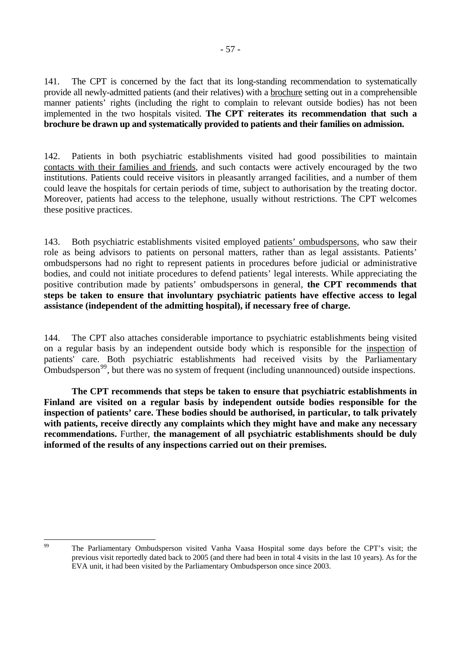141. The CPT is concerned by the fact that its long-standing recommendation to systematically provide all newly-admitted patients (and their relatives) with a brochure setting out in a comprehensible manner patients' rights (including the right to complain to relevant outside bodies) has not been implemented in the two hospitals visited. **The CPT reiterates its recommendation that such a brochure be drawn up and systematically provided to patients and their families on admission.** 

142. Patients in both psychiatric establishments visited had good possibilities to maintain contacts with their families and friends, and such contacts were actively encouraged by the two institutions. Patients could receive visitors in pleasantly arranged facilities, and a number of them could leave the hospitals for certain periods of time, subject to authorisation by the treating doctor. Moreover, patients had access to the telephone, usually without restrictions. The CPT welcomes these positive practices.

143. Both psychiatric establishments visited employed patients' ombudspersons, who saw their role as being advisors to patients on personal matters, rather than as legal assistants. Patients' ombudspersons had no right to represent patients in procedures before judicial or administrative bodies, and could not initiate procedures to defend patients' legal interests. While appreciating the positive contribution made by patients' ombudspersons in general, **the CPT recommends that steps be taken to ensure that involuntary psychiatric patients have effective access to legal assistance (independent of the admitting hospital), if necessary free of charge.** 

144. The CPT also attaches considerable importance to psychiatric establishments being visited on a regular basis by an independent outside body which is responsible for the inspection of patients' care. Both psychiatric establishments had received visits by the Parliamentary Ombudsperson<sup>[99](#page-56-0)</sup>, but there was no system of frequent (including unannounced) outside inspections.

**The CPT recommends that steps be taken to ensure that psychiatric establishments in Finland are visited on a regular basis by independent outside bodies responsible for the inspection of patients' care. These bodies should be authorised, in particular, to talk privately with patients, receive directly any complaints which they might have and make any necessary recommendations.** Further, **the management of all psychiatric establishments should be duly informed of the results of any inspections carried out on their premises.** 

<span id="page-56-0"></span><sup>99</sup> 

The Parliamentary Ombudsperson visited Vanha Vaasa Hospital some days before the CPT's visit; the previous visit reportedly dated back to 2005 (and there had been in total 4 visits in the last 10 years). As for the EVA unit, it had been visited by the Parliamentary Ombudsperson once since 2003.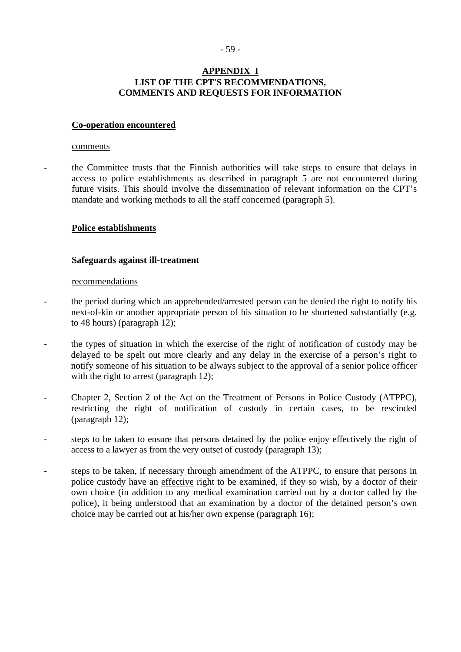### - 59 -

# **APPENDIX I LIST OF THE CPT'S RECOMMENDATIONS, COMMENTS AND REQUESTS FOR INFORMATION**

### **Co-operation encountered**

#### comments

- the Committee trusts that the Finnish authorities will take steps to ensure that delays in access to police establishments as described in paragraph 5 are not encountered during future visits. This should involve the dissemination of relevant information on the CPT's mandate and working methods to all the staff concerned (paragraph 5).

#### **Police establishments**

### **Safeguards against ill-treatment**

#### recommendations

- the period during which an apprehended/arrested person can be denied the right to notify his next-of-kin or another appropriate person of his situation to be shortened substantially (e.g. to 48 hours) (paragraph 12);
- the types of situation in which the exercise of the right of notification of custody may be delayed to be spelt out more clearly and any delay in the exercise of a person's right to notify someone of his situation to be always subject to the approval of a senior police officer with the right to arrest (paragraph 12);
- Chapter 2, Section 2 of the Act on the Treatment of Persons in Police Custody (ATPPC), restricting the right of notification of custody in certain cases, to be rescinded (paragraph 12);
- steps to be taken to ensure that persons detained by the police enjoy effectively the right of access to a lawyer as from the very outset of custody (paragraph 13);
- steps to be taken, if necessary through amendment of the ATPPC, to ensure that persons in police custody have an effective right to be examined, if they so wish, by a doctor of their own choice (in addition to any medical examination carried out by a doctor called by the police), it being understood that an examination by a doctor of the detained person's own choice may be carried out at his/her own expense (paragraph 16);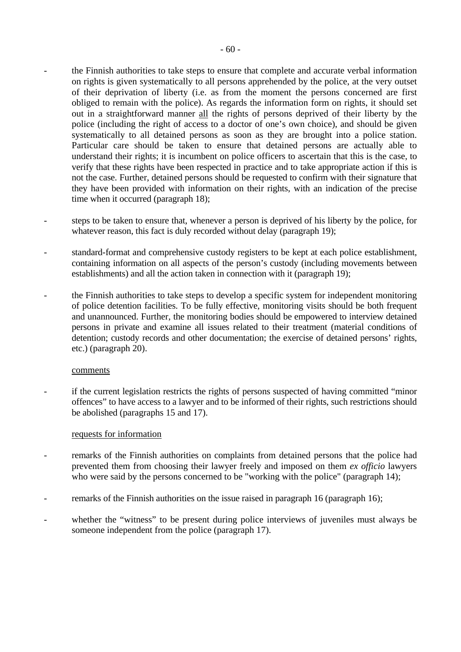- the Finnish authorities to take steps to ensure that complete and accurate verbal information on rights is given systematically to all persons apprehended by the police, at the very outset of their deprivation of liberty (i.e. as from the moment the persons concerned are first obliged to remain with the police). As regards the information form on rights, it should set out in a straightforward manner all the rights of persons deprived of their liberty by the police (including the right of access to a doctor of one's own choice), and should be given systematically to all detained persons as soon as they are brought into a police station. Particular care should be taken to ensure that detained persons are actually able to understand their rights; it is incumbent on police officers to ascertain that this is the case, to verify that these rights have been respected in practice and to take appropriate action if this is not the case. Further, detained persons should be requested to confirm with their signature that they have been provided with information on their rights, with an indication of the precise time when it occurred (paragraph 18);
- steps to be taken to ensure that, whenever a person is deprived of his liberty by the police, for whatever reason, this fact is duly recorded without delay (paragraph 19);
- standard-format and comprehensive custody registers to be kept at each police establishment, containing information on all aspects of the person's custody (including movements between establishments) and all the action taken in connection with it (paragraph 19);
- the Finnish authorities to take steps to develop a specific system for independent monitoring of police detention facilities. To be fully effective, monitoring visits should be both frequent and unannounced. Further, the monitoring bodies should be empowered to interview detained persons in private and examine all issues related to their treatment (material conditions of detention; custody records and other documentation; the exercise of detained persons' rights, etc.) (paragraph 20).

#### comments

if the current legislation restricts the rights of persons suspected of having committed "minor" offences" to have access to a lawyer and to be informed of their rights, such restrictions should be abolished (paragraphs 15 and 17).

#### requests for information

- remarks of the Finnish authorities on complaints from detained persons that the police had prevented them from choosing their lawyer freely and imposed on them *ex officio* lawyers who were said by the persons concerned to be "working with the police" (paragraph 14);
- remarks of the Finnish authorities on the issue raised in paragraph 16 (paragraph 16);
- whether the "witness" to be present during police interviews of juveniles must always be someone independent from the police (paragraph 17).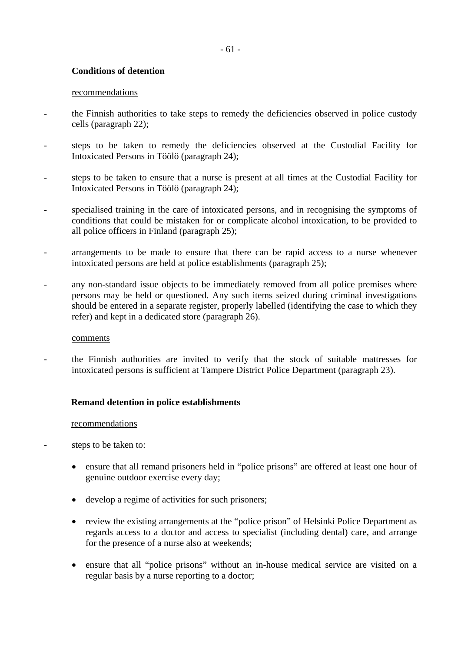# **Conditions of detention**

### recommendations

- the Finnish authorities to take steps to remedy the deficiencies observed in police custody cells (paragraph 22);
- steps to be taken to remedy the deficiencies observed at the Custodial Facility for Intoxicated Persons in Töölö (paragraph 24);
- steps to be taken to ensure that a nurse is present at all times at the Custodial Facility for Intoxicated Persons in Töölö (paragraph 24);
- specialised training in the care of intoxicated persons, and in recognising the symptoms of conditions that could be mistaken for or complicate alcohol intoxication, to be provided to all police officers in Finland (paragraph 25);
- arrangements to be made to ensure that there can be rapid access to a nurse whenever intoxicated persons are held at police establishments (paragraph 25);
- any non-standard issue objects to be immediately removed from all police premises where persons may be held or questioned. Any such items seized during criminal investigations should be entered in a separate register, properly labelled (identifying the case to which they refer) and kept in a dedicated store (paragraph 26).

#### comments

**-** the Finnish authorities are invited to verify that the stock of suitable mattresses for intoxicated persons is sufficient at Tampere District Police Department (paragraph 23).

# **Remand detention in police establishments**

#### recommendations

- steps to be taken to:
	- ensure that all remand prisoners held in "police prisons" are offered at least one hour of genuine outdoor exercise every day;
	- develop a regime of activities for such prisoners;
	- review the existing arrangements at the "police prison" of Helsinki Police Department as regards access to a doctor and access to specialist (including dental) care, and arrange for the presence of a nurse also at weekends;
	- ensure that all "police prisons" without an in-house medical service are visited on a regular basis by a nurse reporting to a doctor;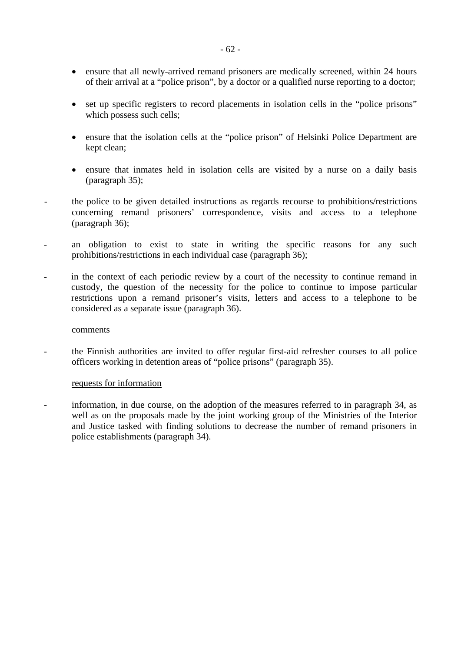- ensure that all newly-arrived remand prisoners are medically screened, within 24 hours of their arrival at a "police prison", by a doctor or a qualified nurse reporting to a doctor;
- set up specific registers to record placements in isolation cells in the "police prisons" which possess such cells;
- ensure that the isolation cells at the "police prison" of Helsinki Police Department are kept clean;
- ensure that inmates held in isolation cells are visited by a nurse on a daily basis (paragraph 35);
- the police to be given detailed instructions as regards recourse to prohibitions/restrictions concerning remand prisoners' correspondence, visits and access to a telephone (paragraph 36);
- an obligation to exist to state in writing the specific reasons for any such prohibitions/restrictions in each individual case (paragraph 36);
- in the context of each periodic review by a court of the necessity to continue remand in custody, the question of the necessity for the police to continue to impose particular restrictions upon a remand prisoner's visits, letters and access to a telephone to be considered as a separate issue (paragraph 36).

#### comments

- the Finnish authorities are invited to offer regular first-aid refresher courses to all police officers working in detention areas of "police prisons" (paragraph 35).

#### requests for information

- information, in due course, on the adoption of the measures referred to in paragraph 34, as well as on the proposals made by the joint working group of the Ministries of the Interior and Justice tasked with finding solutions to decrease the number of remand prisoners in police establishments (paragraph 34).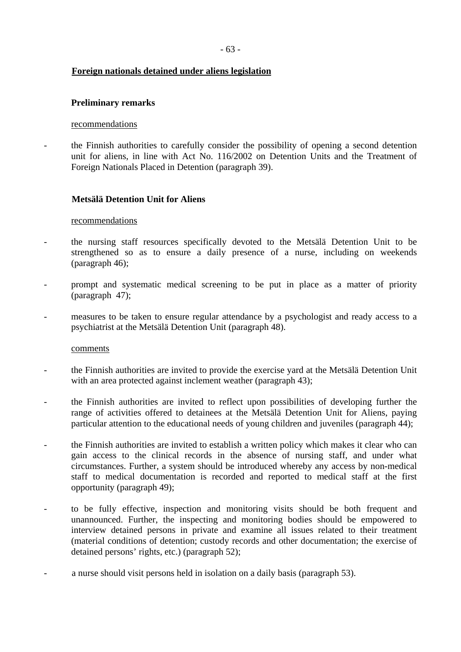# **Foreign nationals detained under aliens legislation**

### **Preliminary remarks**

### recommendations

- the Finnish authorities to carefully consider the possibility of opening a second detention unit for aliens, in line with Act No. 116/2002 on Detention Units and the Treatment of Foreign Nationals Placed in Detention (paragraph 39).

# **Metsälä Detention Unit for Aliens**

### recommendations

- the nursing staff resources specifically devoted to the Metsälä Detention Unit to be strengthened so as to ensure a daily presence of a nurse, including on weekends (paragraph 46);
- prompt and systematic medical screening to be put in place as a matter of priority (paragraph 47);
- measures to be taken to ensure regular attendance by a psychologist and ready access to a psychiatrist at the Metsälä Detention Unit (paragraph 48).

#### comments

- the Finnish authorities are invited to provide the exercise yard at the Metsälä Detention Unit with an area protected against inclement weather (paragraph 43);
- the Finnish authorities are invited to reflect upon possibilities of developing further the range of activities offered to detainees at the Metsälä Detention Unit for Aliens, paying particular attention to the educational needs of young children and juveniles (paragraph 44);
- the Finnish authorities are invited to establish a written policy which makes it clear who can gain access to the clinical records in the absence of nursing staff, and under what circumstances. Further, a system should be introduced whereby any access by non-medical staff to medical documentation is recorded and reported to medical staff at the first opportunity (paragraph 49);
- to be fully effective, inspection and monitoring visits should be both frequent and unannounced. Further, the inspecting and monitoring bodies should be empowered to interview detained persons in private and examine all issues related to their treatment (material conditions of detention; custody records and other documentation; the exercise of detained persons' rights, etc.) (paragraph 52);
- a nurse should visit persons held in isolation on a daily basis (paragraph 53).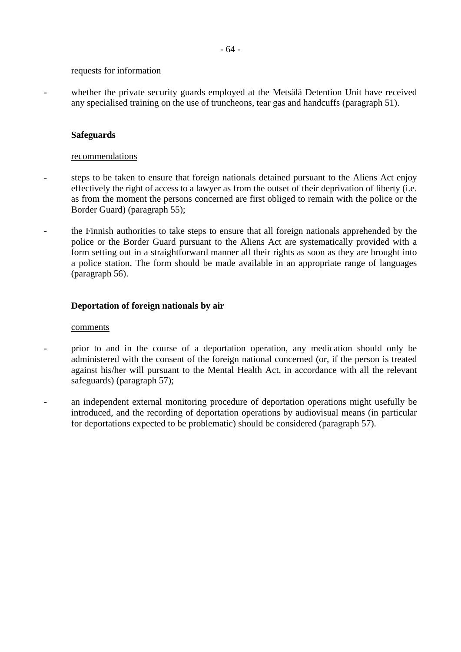#### requests for information

- whether the private security guards employed at the Metsälä Detention Unit have received any specialised training on the use of truncheons, tear gas and handcuffs (paragraph 51).

### **Safeguards**

### recommendations

- steps to be taken to ensure that foreign nationals detained pursuant to the Aliens Act enjoy effectively the right of access to a lawyer as from the outset of their deprivation of liberty (i.e. as from the moment the persons concerned are first obliged to remain with the police or the Border Guard) (paragraph 55);
- the Finnish authorities to take steps to ensure that all foreign nationals apprehended by the police or the Border Guard pursuant to the Aliens Act are systematically provided with a form setting out in a straightforward manner all their rights as soon as they are brought into a police station. The form should be made available in an appropriate range of languages (paragraph 56).

### **Deportation of foreign nationals by air**

#### comments

- prior to and in the course of a deportation operation, any medication should only be administered with the consent of the foreign national concerned (or, if the person is treated against his/her will pursuant to the Mental Health Act, in accordance with all the relevant safeguards) (paragraph 57);
- an independent external monitoring procedure of deportation operations might usefully be introduced, and the recording of deportation operations by audiovisual means (in particular for deportations expected to be problematic) should be considered (paragraph 57).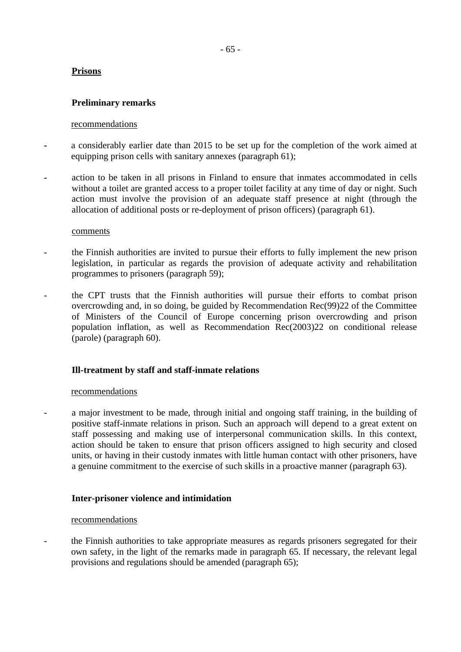# **Prisons**

# **Preliminary remarks**

### recommendations

- a considerably earlier date than 2015 to be set up for the completion of the work aimed at equipping prison cells with sanitary annexes (paragraph 61);
- action to be taken in all prisons in Finland to ensure that inmates accommodated in cells without a toilet are granted access to a proper toilet facility at any time of day or night. Such action must involve the provision of an adequate staff presence at night (through the allocation of additional posts or re-deployment of prison officers) (paragraph 61).

#### comments

- the Finnish authorities are invited to pursue their efforts to fully implement the new prison legislation, in particular as regards the provision of adequate activity and rehabilitation programmes to prisoners (paragraph 59);
- the CPT trusts that the Finnish authorities will pursue their efforts to combat prison overcrowding and, in so doing, be guided by Recommendation Rec(99)22 of the Committee of Ministers of the Council of Europe concerning prison overcrowding and prison population inflation, as well as Recommendation Rec(2003)22 on conditional release (parole) (paragraph 60).

# **Ill-treatment by staff and staff-inmate relations**

# recommendations

a major investment to be made, through initial and ongoing staff training, in the building of positive staff-inmate relations in prison. Such an approach will depend to a great extent on staff possessing and making use of interpersonal communication skills. In this context, action should be taken to ensure that prison officers assigned to high security and closed units, or having in their custody inmates with little human contact with other prisoners, have a genuine commitment to the exercise of such skills in a proactive manner (paragraph 63).

# **Inter-prisoner violence and intimidation**

#### recommendations

the Finnish authorities to take appropriate measures as regards prisoners segregated for their own safety, in the light of the remarks made in paragraph 65. If necessary, the relevant legal provisions and regulations should be amended (paragraph 65);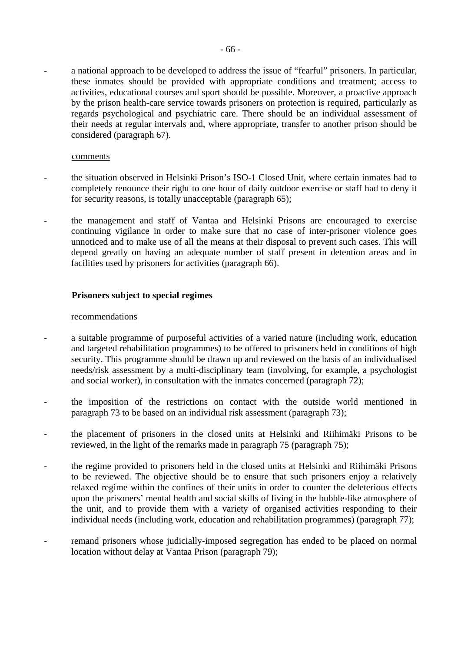a national approach to be developed to address the issue of "fearful" prisoners. In particular, these inmates should be provided with appropriate conditions and treatment; access to activities, educational courses and sport should be possible. Moreover, a proactive approach by the prison health-care service towards prisoners on protection is required, particularly as regards psychological and psychiatric care. There should be an individual assessment of their needs at regular intervals and, where appropriate, transfer to another prison should be considered (paragraph 67).

#### comments

- the situation observed in Helsinki Prison's ISO-1 Closed Unit, where certain inmates had to completely renounce their right to one hour of daily outdoor exercise or staff had to deny it for security reasons, is totally unacceptable (paragraph 65);
- the management and staff of Vantaa and Helsinki Prisons are encouraged to exercise continuing vigilance in order to make sure that no case of inter-prisoner violence goes unnoticed and to make use of all the means at their disposal to prevent such cases. This will depend greatly on having an adequate number of staff present in detention areas and in facilities used by prisoners for activities (paragraph 66).

# **Prisoners subject to special regimes**

#### recommendations

- a suitable programme of purposeful activities of a varied nature (including work, education and targeted rehabilitation programmes) to be offered to prisoners held in conditions of high security. This programme should be drawn up and reviewed on the basis of an individualised needs/risk assessment by a multi-disciplinary team (involving, for example, a psychologist and social worker), in consultation with the inmates concerned (paragraph 72);
- the imposition of the restrictions on contact with the outside world mentioned in paragraph 73 to be based on an individual risk assessment (paragraph 73);
- the placement of prisoners in the closed units at Helsinki and Riihimäki Prisons to be reviewed, in the light of the remarks made in paragraph 75 (paragraph 75);
- the regime provided to prisoners held in the closed units at Helsinki and Riihimäki Prisons to be reviewed. The objective should be to ensure that such prisoners enjoy a relatively relaxed regime within the confines of their units in order to counter the deleterious effects upon the prisoners' mental health and social skills of living in the bubble-like atmosphere of the unit, and to provide them with a variety of organised activities responding to their individual needs (including work, education and rehabilitation programmes) (paragraph 77);
- remand prisoners whose judicially-imposed segregation has ended to be placed on normal location without delay at Vantaa Prison (paragraph 79);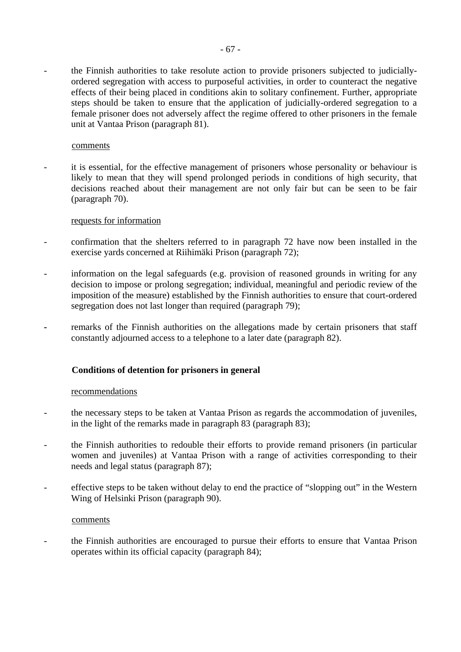the Finnish authorities to take resolute action to provide prisoners subjected to judiciallyordered segregation with access to purposeful activities, in order to counteract the negative effects of their being placed in conditions akin to solitary confinement. Further, appropriate steps should be taken to ensure that the application of judicially-ordered segregation to a female prisoner does not adversely affect the regime offered to other prisoners in the female unit at Vantaa Prison (paragraph 81).

### comments

it is essential, for the effective management of prisoners whose personality or behaviour is likely to mean that they will spend prolonged periods in conditions of high security, that decisions reached about their management are not only fair but can be seen to be fair (paragraph 70).

### requests for information

- confirmation that the shelters referred to in paragraph 72 have now been installed in the exercise yards concerned at Riihimäki Prison (paragraph 72);
- information on the legal safeguards (e.g. provision of reasoned grounds in writing for any decision to impose or prolong segregation; individual, meaningful and periodic review of the imposition of the measure) established by the Finnish authorities to ensure that court-ordered segregation does not last longer than required (paragraph 79);
- remarks of the Finnish authorities on the allegations made by certain prisoners that staff constantly adjourned access to a telephone to a later date (paragraph 82).

# **Conditions of detention for prisoners in general**

#### recommendations

- the necessary steps to be taken at Vantaa Prison as regards the accommodation of juveniles, in the light of the remarks made in paragraph 83 (paragraph 83);
- the Finnish authorities to redouble their efforts to provide remand prisoners (in particular women and juveniles) at Vantaa Prison with a range of activities corresponding to their needs and legal status (paragraph 87);
- effective steps to be taken without delay to end the practice of "slopping out" in the Western Wing of Helsinki Prison (paragraph 90).

#### comments

the Finnish authorities are encouraged to pursue their efforts to ensure that Vantaa Prison operates within its official capacity (paragraph 84);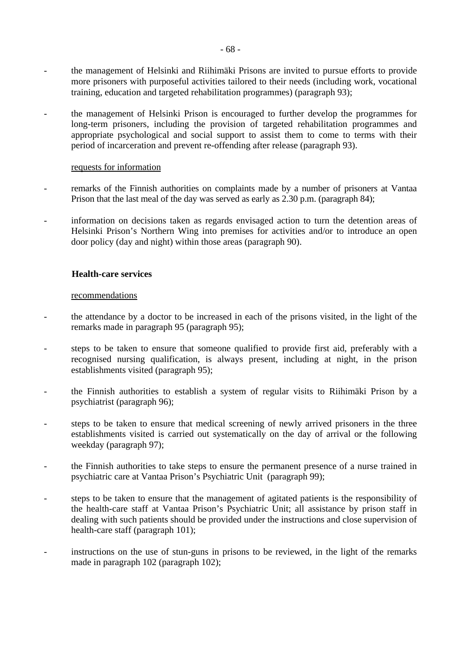- the management of Helsinki and Riihimäki Prisons are invited to pursue efforts to provide more prisoners with purposeful activities tailored to their needs (including work, vocational training, education and targeted rehabilitation programmes) (paragraph 93);
- the management of Helsinki Prison is encouraged to further develop the programmes for long-term prisoners, including the provision of targeted rehabilitation programmes and appropriate psychological and social support to assist them to come to terms with their period of incarceration and prevent re-offending after release (paragraph 93).

#### requests for information

- remarks of the Finnish authorities on complaints made by a number of prisoners at Vantaa Prison that the last meal of the day was served as early as 2.30 p.m. (paragraph 84);
- information on decisions taken as regards envisaged action to turn the detention areas of Helsinki Prison's Northern Wing into premises for activities and/or to introduce an open door policy (day and night) within those areas (paragraph 90).

# **Health-care services**

### recommendations

- the attendance by a doctor to be increased in each of the prisons visited, in the light of the remarks made in paragraph 95 (paragraph 95);
- steps to be taken to ensure that someone qualified to provide first aid, preferably with a recognised nursing qualification, is always present, including at night, in the prison establishments visited (paragraph 95);
- the Finnish authorities to establish a system of regular visits to Riihimäki Prison by a psychiatrist (paragraph 96);
- steps to be taken to ensure that medical screening of newly arrived prisoners in the three establishments visited is carried out systematically on the day of arrival or the following weekday (paragraph 97);
- the Finnish authorities to take steps to ensure the permanent presence of a nurse trained in psychiatric care at Vantaa Prison's Psychiatric Unit (paragraph 99);
- steps to be taken to ensure that the management of agitated patients is the responsibility of the health-care staff at Vantaa Prison's Psychiatric Unit; all assistance by prison staff in dealing with such patients should be provided under the instructions and close supervision of health-care staff (paragraph 101);
- instructions on the use of stun-guns in prisons to be reviewed, in the light of the remarks made in paragraph 102 (paragraph 102);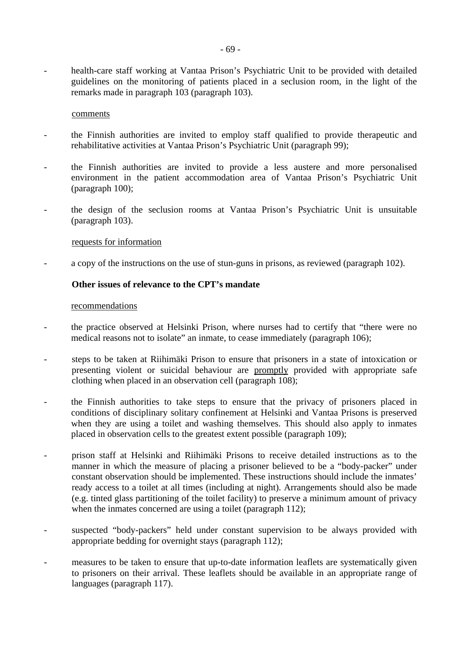- health-care staff working at Vantaa Prison's Psychiatric Unit to be provided with detailed guidelines on the monitoring of patients placed in a seclusion room, in the light of the remarks made in paragraph 103 (paragraph 103).

#### comments

- the Finnish authorities are invited to employ staff qualified to provide therapeutic and rehabilitative activities at Vantaa Prison's Psychiatric Unit (paragraph 99);
- the Finnish authorities are invited to provide a less austere and more personalised environment in the patient accommodation area of Vantaa Prison's Psychiatric Unit (paragraph 100);
- the design of the seclusion rooms at Vantaa Prison's Psychiatric Unit is unsuitable (paragraph 103).

#### requests for information

a copy of the instructions on the use of stun-guns in prisons, as reviewed (paragraph 102).

### **Other issues of relevance to the CPT's mandate**

#### recommendations

- the practice observed at Helsinki Prison, where nurses had to certify that "there were no medical reasons not to isolate" an inmate, to cease immediately (paragraph 106);
- steps to be taken at Riihimäki Prison to ensure that prisoners in a state of intoxication or presenting violent or suicidal behaviour are promptly provided with appropriate safe clothing when placed in an observation cell (paragraph 108);
- the Finnish authorities to take steps to ensure that the privacy of prisoners placed in conditions of disciplinary solitary confinement at Helsinki and Vantaa Prisons is preserved when they are using a toilet and washing themselves. This should also apply to inmates placed in observation cells to the greatest extent possible (paragraph 109);
- prison staff at Helsinki and Riihimäki Prisons to receive detailed instructions as to the manner in which the measure of placing a prisoner believed to be a "body-packer" under constant observation should be implemented. These instructions should include the inmates' ready access to a toilet at all times (including at night). Arrangements should also be made (e.g. tinted glass partitioning of the toilet facility) to preserve a minimum amount of privacy when the inmates concerned are using a toilet (paragraph 112);
- suspected "body-packers" held under constant supervision to be always provided with appropriate bedding for overnight stays (paragraph 112);
- measures to be taken to ensure that up-to-date information leaflets are systematically given to prisoners on their arrival. These leaflets should be available in an appropriate range of languages (paragraph 117).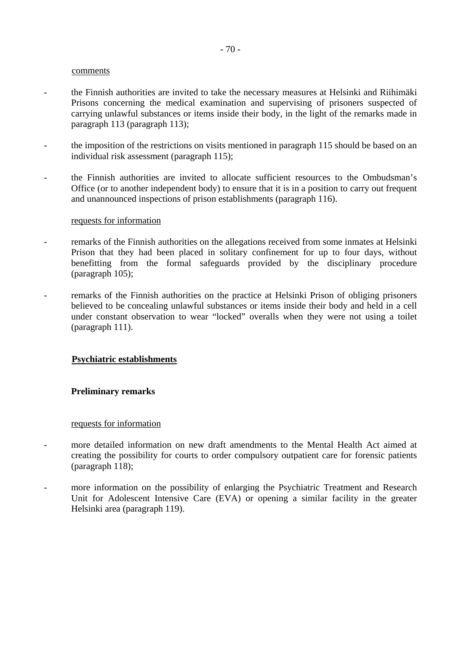#### comments

- the Finnish authorities are invited to take the necessary measures at Helsinki and Riihimäki Prisons concerning the medical examination and supervising of prisoners suspected of carrying unlawful substances or items inside their body, in the light of the remarks made in paragraph 113 (paragraph 113);
- the imposition of the restrictions on visits mentioned in paragraph 115 should be based on an individual risk assessment (paragraph 115);
- the Finnish authorities are invited to allocate sufficient resources to the Ombudsman's Office (or to another independent body) to ensure that it is in a position to carry out frequent and unannounced inspections of prison establishments (paragraph 116).

#### requests for information

- remarks of the Finnish authorities on the allegations received from some inmates at Helsinki Prison that they had been placed in solitary confinement for up to four days, without benefitting from the formal safeguards provided by the disciplinary procedure (paragraph 105);
- remarks of the Finnish authorities on the practice at Helsinki Prison of obliging prisoners believed to be concealing unlawful substances or items inside their body and held in a cell under constant observation to wear "locked" overalls when they were not using a toilet (paragraph 111).

#### **Psychiatric establishments**

#### **Preliminary remarks**

#### requests for information

- more detailed information on new draft amendments to the Mental Health Act aimed at creating the possibility for courts to order compulsory outpatient care for forensic patients (paragraph 118);
- more information on the possibility of enlarging the Psychiatric Treatment and Research Unit for Adolescent Intensive Care (EVA) or opening a similar facility in the greater Helsinki area (paragraph 119).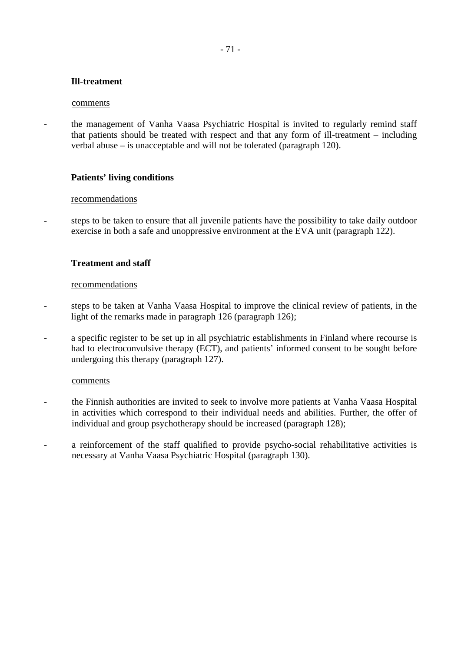# - 71 -

# **Ill-treatment**

### comments

the management of Vanha Vaasa Psychiatric Hospital is invited to regularly remind staff that patients should be treated with respect and that any form of ill-treatment – including verbal abuse – is unacceptable and will not be tolerated (paragraph 120).

# **Patients' living conditions**

### recommendations

- steps to be taken to ensure that all juvenile patients have the possibility to take daily outdoor exercise in both a safe and unoppressive environment at the EVA unit (paragraph 122).

# **Treatment and staff**

### recommendations

- steps to be taken at Vanha Vaasa Hospital to improve the clinical review of patients, in the light of the remarks made in paragraph 126 (paragraph 126);
- a specific register to be set up in all psychiatric establishments in Finland where recourse is had to electroconvulsive therapy (ECT), and patients' informed consent to be sought before undergoing this therapy (paragraph 127).

#### comments

- the Finnish authorities are invited to seek to involve more patients at Vanha Vaasa Hospital in activities which correspond to their individual needs and abilities. Further, the offer of individual and group psychotherapy should be increased (paragraph 128);
- a reinforcement of the staff qualified to provide psycho-social rehabilitative activities is necessary at Vanha Vaasa Psychiatric Hospital (paragraph 130).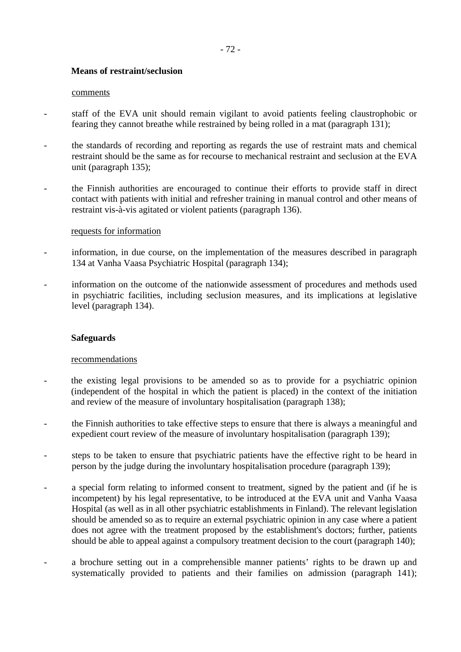# **Means of restraint/seclusion**

### comments

- staff of the EVA unit should remain vigilant to avoid patients feeling claustrophobic or fearing they cannot breathe while restrained by being rolled in a mat (paragraph 131);
- the standards of recording and reporting as regards the use of restraint mats and chemical restraint should be the same as for recourse to mechanical restraint and seclusion at the EVA unit (paragraph 135);
- the Finnish authorities are encouraged to continue their efforts to provide staff in direct contact with patients with initial and refresher training in manual control and other means of restraint vis-à-vis agitated or violent patients (paragraph 136).

### requests for information

- information, in due course, on the implementation of the measures described in paragraph 134 at Vanha Vaasa Psychiatric Hospital (paragraph 134);
- information on the outcome of the nationwide assessment of procedures and methods used in psychiatric facilities, including seclusion measures, and its implications at legislative level (paragraph 134).

# **Safeguards**

# recommendations

- the existing legal provisions to be amended so as to provide for a psychiatric opinion (independent of the hospital in which the patient is placed) in the context of the initiation and review of the measure of involuntary hospitalisation (paragraph 138);
- the Finnish authorities to take effective steps to ensure that there is always a meaningful and expedient court review of the measure of involuntary hospitalisation (paragraph 139);
- steps to be taken to ensure that psychiatric patients have the effective right to be heard in person by the judge during the involuntary hospitalisation procedure (paragraph 139);
- a special form relating to informed consent to treatment, signed by the patient and (if he is incompetent) by his legal representative, to be introduced at the EVA unit and Vanha Vaasa Hospital (as well as in all other psychiatric establishments in Finland). The relevant legislation should be amended so as to require an external psychiatric opinion in any case where a patient does not agree with the treatment proposed by the establishment's doctors; further, patients should be able to appeal against a compulsory treatment decision to the court (paragraph 140);
- a brochure setting out in a comprehensible manner patients' rights to be drawn up and systematically provided to patients and their families on admission (paragraph 141);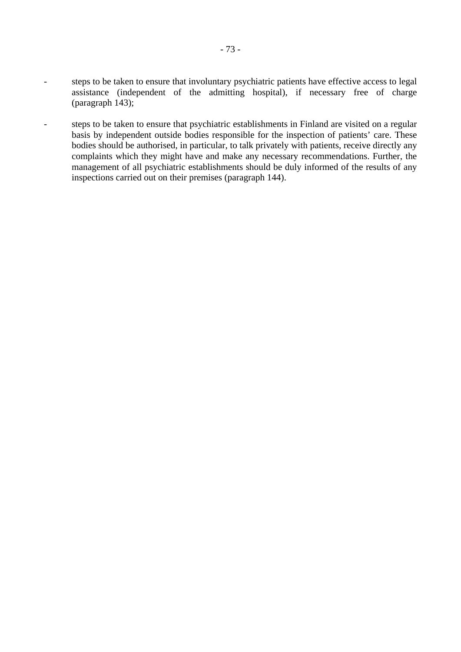- steps to be taken to ensure that involuntary psychiatric patients have effective access to legal assistance (independent of the admitting hospital), if necessary free of charge (paragraph 143);
- steps to be taken to ensure that psychiatric establishments in Finland are visited on a regular basis by independent outside bodies responsible for the inspection of patients' care. These bodies should be authorised, in particular, to talk privately with patients, receive directly any complaints which they might have and make any necessary recommendations. Further, the management of all psychiatric establishments should be duly informed of the results of any inspections carried out on their premises (paragraph 144).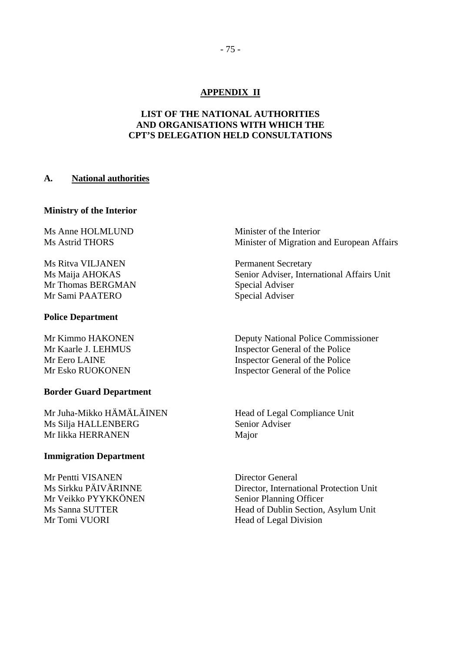# **APPENDIX II**

# **LIST OF THE NATIONAL AUTHORITIES AND ORGANISATIONS WITH WHICH THE CPT'S DELEGATION HELD CONSULTATIONS**

### **A. National authorities**

#### **Ministry of the Interior**

Ms Anne HOLMLUND Minister of the Interior

Ms Ritva VILJANEN Permanent Secretary Mr Thomas BERGMAN Special Adviser Mr Sami PAATERO Special Adviser

### **Police Department**

#### **Border Guard Department**

Mr Juha-Mikko HÄMÄLÄINEN Head of Legal Compliance Unit Ms Silja HALLENBERG Senior Adviser Mr Iikka HERRANEN Major

### **Immigration Department**

Mr Pentti VISANEN Director General Mr Veikko PYYKKÖNEN Senior Planning Officer Mr Tomi VUORI Head of Legal Division

Ms Astrid THORS Minister of Migration and European Affairs

Ms Maija AHOKAS Senior Adviser, International Affairs Unit

Mr Kimmo HAKONEN Deputy National Police Commissioner Mr Kaarle J. LEHMUS Inspector General of the Police Mr Eero LAINE Inspector General of the Police Mr Esko RUOKONEN Inspector General of the Police

Ms Sirkku PÄIVÄRINNE Director, International Protection Unit Ms Sanna SUTTER Head of Dublin Section, Asylum Unit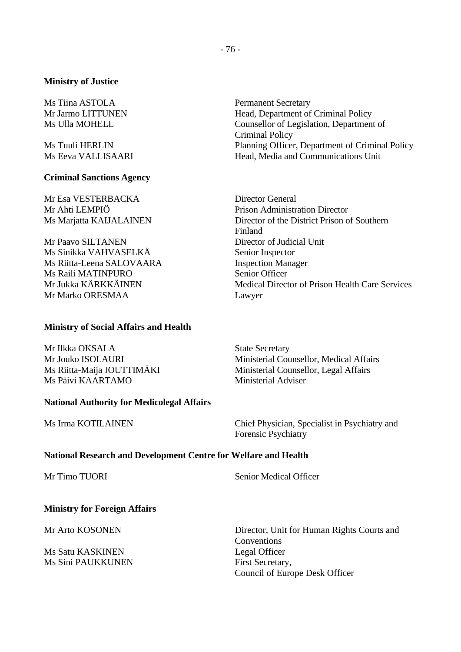### **Ministry of Justice**

Ms Tiina ASTOLA Permanent Secretary

### **Criminal Sanctions Agency**

Mr Esa VESTERBACKA Director General

Mr Paavo SILTANEN Director of Judicial Unit Ms Sinikka VAHVASELKÄ Senior Inspector Ms Riitta-Leena SALOVAARA Inspection Manager Ms Raili MATINPURO Senior Officer Mr Marko ORESMAA Lawyer

### **Ministry of Social Affairs and Health**

Mr Ilkka OKSALA State Secretary Ms Päivi KAARTAMO Ministerial Adviser

**National Authority for Medicolegal Affairs** 

Mr Jarmo LITTUNEN Head, Department of Criminal Policy Ms Ulla MOHELL Counsellor of Legislation, Department of Criminal Policy Ms Tuuli HERLIN Planning Officer, Department of Criminal Policy Ms Eeva VALLISAARI Head, Media and Communications Unit

Mr Ahti LEMPIÖ **Prison Administration Director** Ms Marjatta KAIJALAINEN Director of the District Prison of Southern Finland Mr Jukka KÄRKKÄINEN Medical Director of Prison Health Care Services

Mr Jouko ISOLAURI Ministerial Counsellor, Medical Affairs Ms Riitta-Maija JOUTTIMÄKI Ministerial Counsellor, Legal Affairs

Ms Irma KOTILAINEN Chief Physician, Specialist in Psychiatry and Forensic Psychiatry

### **National Research and Development Centre for Welfare and Health**

Mr Timo TUORI Senior Medical Officer

### **Ministry for Foreign Affairs**

Ms Satu KASKINEN Legal Officer Ms Sini PAUKKUNEN First Secretary,

Mr Arto KOSONEN Director, Unit for Human Rights Courts and Conventions Council of Europe Desk Officer